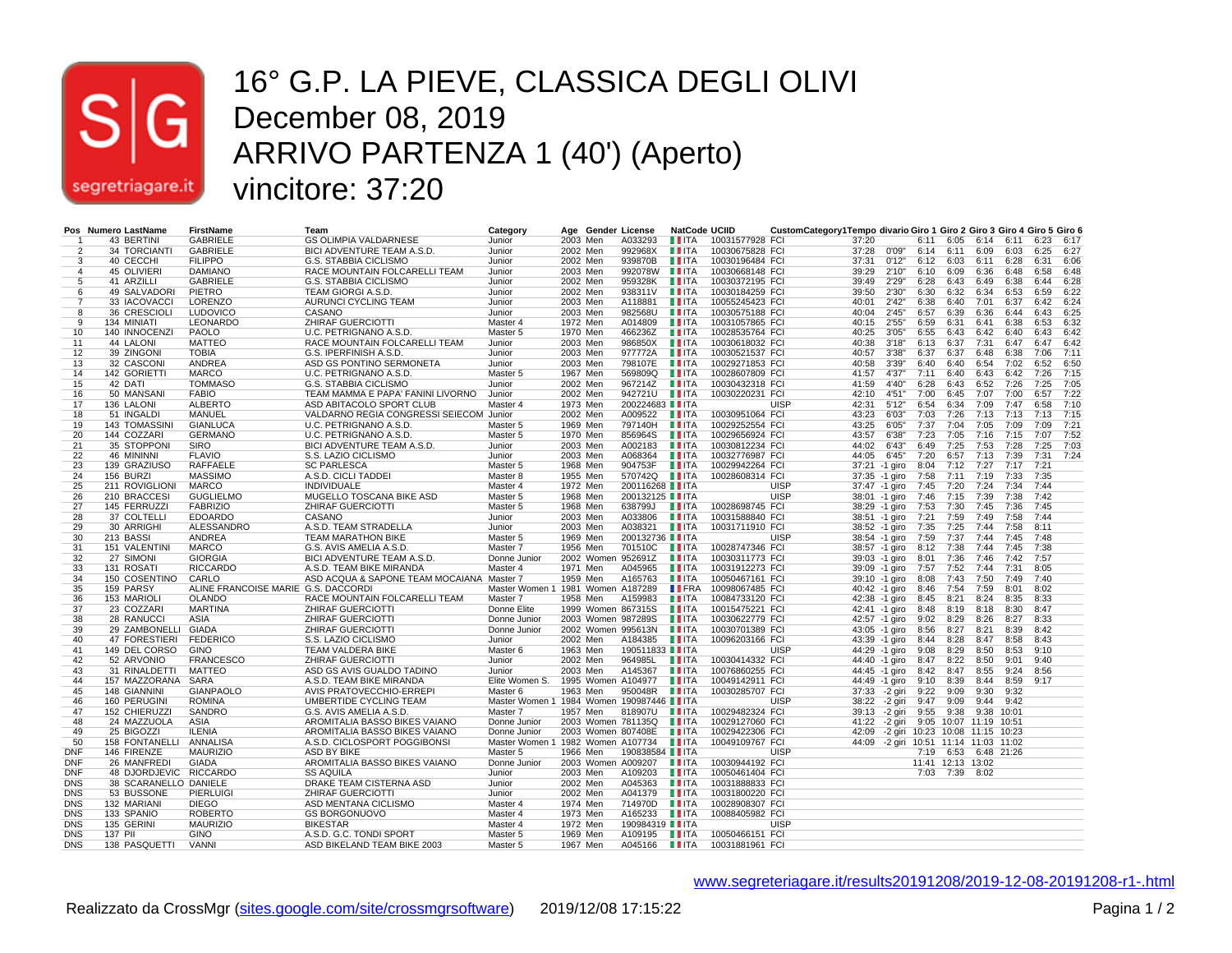

#### 16° G.P. LA PIEVE, CLASSICA DEGLI OLIVI December 08, 2019 ARRIVO PARTENZA 1 (40') (Aperto) vincitore: 37:20

|                          |         | Pos Numero LastName    | FirstName                           | Team                                      | Category                                 |          |          | Age Gender License      | <b>NatCode UCIID</b>              |                 | CustomCategory1Tempo divario Giro 1 Giro 2 Giro 3 Giro 4 Giro 5 Giro 6 |                |                                       |      |                        |            |       |           |      |
|--------------------------|---------|------------------------|-------------------------------------|-------------------------------------------|------------------------------------------|----------|----------|-------------------------|-----------------------------------|-----------------|------------------------------------------------------------------------|----------------|---------------------------------------|------|------------------------|------------|-------|-----------|------|
|                          |         | 43 BERTINI             | <b>GABRIELE</b>                     | <b>GS OLIMPIA VALDARNESE</b>              | Junior                                   | 2003 Men |          | A033293                 | <b>LLITA</b>                      | 10031577928 FCI |                                                                        | 37:20          |                                       | 6:11 | 6:05                   | 6:14       | 6:11  | 6:23 6:17 |      |
| $\overline{2}$           |         | 34 TORCIANTI           | <b>GABRIELE</b>                     | BICI ADVENTURE TEAM A.S.D.                | Junior                                   | 2002 Men |          | 992968X                 | <b>LLITA</b>                      | 10030675828 FCI |                                                                        | 37:28          | 0'09"                                 | 6:14 | 6:11                   | 6:09       | 6:03  | 6:25      | 6:27 |
| 3                        |         | 40 CECCHI              | <b>FILIPPO</b>                      | G.S. STABBIA CICLISMO                     | Junior                                   | 2002 Men |          | 939870B                 | $\blacksquare$ ITA                | 10030196484 FCI |                                                                        | 37:31          | 0'12"                                 | 6:12 | 6:03                   | 6:11       | 6:28  | 6:31      | 6:06 |
| 4                        |         | 45 OLIVIERI            | <b>DAMIANO</b>                      | RACE MOUNTAIN FOLCARELLI TEAM             | Junior                                   | 2003 Men |          | 992078W                 | $\blacksquare$ $\blacksquare$ ITA | 10030668148 FCI |                                                                        | 39:29          | 2'10"                                 | 6:10 | 6:09                   | 6:36       | 6:48  | 6:58      | 6:48 |
| -5                       |         | 41 ARZILLI             | <b>GABRIELE</b>                     | G.S. STABBIA CICLISMO                     | Junior                                   | 2002 Men |          | 959328K                 | $\blacksquare$ ITA                | 10030372195 FCI |                                                                        | 39:49          | 2'29"                                 | 6:28 | 6:43                   | 6:49       | 6:38  | 6:44      | 6:28 |
| -6                       |         | 49 SALVADORI           | PIETRO                              | TEAM GIORGI A.S.D.                        | Junior                                   | 2002 Men |          | 938311V                 | $\blacksquare$ ITA                | 10030184259 FCI |                                                                        | 39:50          | 2'30"                                 | 6:30 | 6:32                   | 6:34       | 6:53  | 6:59      | 6:22 |
|                          |         | 33 IACOVACCI           | <b>LORENZO</b>                      | AURUNCI CYCLING TEAM                      | Junior                                   | 2003 Men |          | A118881                 | <b>TEITA</b>                      | 10055245423 FCI |                                                                        | 40:01          | 2'42"                                 | 6:38 | 6:40                   | 7:01       | 6:37  | 6:42      | 6:24 |
| 8                        |         | 36 CRESCIOLI           | <b>LUDOVICO</b>                     | CASANO                                    | Junior                                   | 2003 Men |          | 982568U                 | $\blacksquare$ ITA                | 10030575188 FCI |                                                                        | 40:04          | 2'45"                                 | 6:57 | 6:39                   | 6:36       | 6:44  | 6:43      | 6:25 |
| 9                        |         | 134 MINIATI            | LEONARDO                            | ZHIRAF GUERCIOTTI                         | Master 4                                 | 1972 Men |          | A014809                 | <b>LITA</b>                       | 10031057865 FCI |                                                                        | 40:15          | 2'55"                                 | 6:59 | 6:31                   | 6:41       | 6:38  | 6:53      | 6:32 |
| 10                       |         | 140 INNOCENZI          | PAOLO                               | U.C. PETRIGNANO A.S.D.                    | Master 5                                 | 1970 Men |          | 466236Z                 | $\blacksquare$ ITA                | 10028535764 FCI |                                                                        | 40:25          | 3'05"                                 | 6:55 | 6:43                   | 6:42       | 6:40  | 6:43      | 6:42 |
| 11                       |         | 44 LALONI              | <b>MATTEO</b>                       | RACE MOUNTAIN FOLCARELLI TEAM             | Junior                                   | 2003 Men |          | 986850X                 | <b>LITA</b>                       | 10030618032 FCI |                                                                        | 40:38          | 3'18"                                 | 6:13 | 6:37                   | 7:31       | 6:47  | 6:47      | 6:42 |
| 12                       |         | 39 ZINGONI             | <b>TOBIA</b>                        | G.S. IPERFINISH A.S.D.                    | Junior                                   | 2003 Men |          | 977772A                 | $\blacksquare$ ITA                | 10030521537 FCI |                                                                        | 40:57          | 3'38"                                 | 6:37 | 6:37                   | 6:48       | 6:38  | 7:06      | 7:11 |
| 13                       |         | 32 CASCONI             | <b>ANDREA</b>                       | ASD GS PONTINO SERMONETA                  | Junior                                   | 2003 Men |          | 798107E                 | <b>LIITA</b>                      | 10029271853 FCI |                                                                        | 40:58          | 3'39"                                 | 6:40 | 6:40                   | 6:54       | 7:02  | 6:52      | 6:50 |
| 14                       |         | 142 GORIETTI           | <b>MARCO</b>                        | U.C. PETRIGNANO A.S.D.                    | Master 5                                 | 1967 Men |          | 569809Q                 | $\blacksquare$ ITA                | 10028607809 FCI |                                                                        | 41:57          | 4'37"                                 | 7:11 | 6:40                   | 6:43       | 6:42  | 7:26      | 7:15 |
| 15                       |         | 42 DATI                | <b>TOMMASO</b>                      | G.S. STABBIA CICLISMO                     | Junior                                   | 2002 Men |          | 967214Z                 | $\blacksquare$ ITA                | 10030432318 FCI |                                                                        | 41:59          | 4'40"                                 | 6:28 | 6:43                   | 6:52       | 7:26  | 7:25      | 7:05 |
| 16                       |         | 50 MANSANI             | <b>FABIO</b>                        | TEAM MAMMA E PAPA' FANINI LIVORNO         | Junior                                   | 2002 Men |          | 942721U                 | <b>II</b> ITA                     | 10030220231 FCI |                                                                        | 42:10          | 4'51"                                 | 7:00 | 6:45                   | 7:07       | 7:00  | 6:57      | 7:22 |
| 17                       |         | 136 LALONI             | <b>ALBERTO</b>                      | ASD ABITACOLO SPORT CLUB                  | Master 4                                 | 1973 Men |          | 200224683     ITA       |                                   |                 | <b>UISP</b>                                                            | 42:31          | 5'12"                                 | 6:54 | 6:34                   | 7:09       | 7:47  | 6:58      | 7:10 |
| 18                       |         | 51 INGALDI             | MANUEL                              | VALDARNO REGIA CONGRESSI SEIECOM Junior   |                                          | 2002 Men |          | A009522                 | <b>II</b> ITA                     | 10030951064 FCI |                                                                        | 43:23          | 6'03"                                 | 7:03 | 7:26                   | 7:13       | 7:13  | 7:13      | 7:15 |
| 19                       |         | 143 TOMASSINI          | <b>GIANLUCA</b>                     | U.C. PETRIGNANO A.S.D.                    |                                          | 1969 Men |          | 797140H                 | $\blacksquare$ ITA                | 10029252554 FCI |                                                                        | 43:25          | 6'05"                                 | 7:37 | 7:04                   | 7:05       | 7:09  | 7:09      | 7:21 |
| 20                       |         | 144 COZZARI            | <b>GERMANO</b>                      | U.C. PETRIGNANO A.S.D.                    | Master 5<br>Master 5                     | 1970 Men |          | 856964S                 | $\blacksquare$ ITA                | 10029656924 FCI |                                                                        | 43:57          | 6'38"                                 | 7:23 | 7:05                   | 7:16       | 7:15  | 7:07      | 7:52 |
|                          |         |                        |                                     |                                           |                                          |          |          |                         | $\blacksquare$ $\blacksquare$     |                 |                                                                        |                |                                       |      |                        |            |       |           |      |
| 21                       |         | 35 STOPPONI            | <b>SIRO</b>                         | BICI ADVENTURE TEAM A.S.D.                | Junior                                   | 2003 Men |          | A002183                 |                                   | 10030812234 FCI |                                                                        | 44:02          | 6'43"                                 | 6:49 | 7:25                   | 7:53       | 7:28  | 7:25      | 7:03 |
| 22                       |         | 46 MININNI             | <b>FLAVIO</b>                       | S.S. LAZIO CICLISMO                       | Junior                                   | 2003 Men |          | A068364                 | $\blacksquare$ ITA                | 10032776987 FCI |                                                                        | 44:05          | 6'45"                                 | 7:20 | 6:57                   | 7:13       | 7:39  | 7:31      | 7:24 |
| 23                       |         | 139 GRAZIUSO           | <b>RAFFAELE</b>                     | <b>SC PARLESCA</b>                        | Master 5                                 | 1968 Men |          | 904753F                 | $\blacksquare$ ITA                | 10029942264 FCI |                                                                        | 37:21 -1 giro  |                                       | 8:04 | 7:12                   | 7:27       | 7:17  | 7:21      |      |
| 24                       |         | 156 BURZI              | <b>MASSIMO</b>                      | A.S.D. CICLI TADDEI                       | Master 8                                 | 1955 Men |          | 570742Q                 | $\blacksquare$ ITA                | 10028608314 FCI |                                                                        | 37:35 -1 giro  |                                       | 7:58 | 7:11                   | 7:19       | 7:33  | 7:35      |      |
| 25                       |         | 211 ROVIGLIONI         | <b>MARCO</b>                        | <b>INDIVIDUALE</b>                        | Master 4                                 | 1972 Men |          | 200116268 TTA           |                                   |                 | <b>UISP</b>                                                            | 37:47 -1 giro  |                                       | 7:45 | 7:20                   | 7:24       | 7:34  | 7:44      |      |
| 26                       |         | 210 BRACCESI           | <b>GUGLIELMO</b>                    | MUGELLO TOSCANA BIKE ASD                  | Master 5                                 | 1968 Men |          | 200132125 <b>III</b> TA |                                   |                 | <b>UISP</b>                                                            | 38:01 -1 giro  |                                       | 7:46 | 7:15                   | 7:39       | 7:38  | 7:42      |      |
| 27                       |         | 145 FERRUZZI           | <b>FABRIZIO</b>                     | ZHIRAF GUERCIOTTI                         | Master 5                                 | 1968 Men |          | 638799J                 | <b>LLITA</b>                      | 10028698745 FCI |                                                                        | 38:29 -1 giro  |                                       | 7:53 | 7:30                   | 7:45       | 7:36  | 7:45      |      |
| 28                       |         | 37 COLTELLI            | <b>EDOARDO</b>                      | CASANO                                    | Junior                                   | 2003 Men |          | A033806                 | $\blacksquare$ ITA                | 10031588840 FCI |                                                                        | 38:51 -1 giro  |                                       | 7:21 | 7:59                   | 7:49       | 7:58  | 7:44      |      |
| 29                       |         | 30 ARRIGHI             | ALESSANDRO                          | A.S.D. TEAM STRADELLA                     | Junior                                   | 2003 Men |          | A038321                 | <b>LLITA</b>                      | 10031711910 FCI |                                                                        | 38:52 -1 giro  |                                       | 7:35 | 7:25                   | 7:44       | 7:58  | 8:11      |      |
| 30                       |         | 213 BASSI              | <b>ANDREA</b>                       | <b>TEAM MARATHON BIKE</b>                 | Master 5                                 | 1969 Men |          | 200132736 IIITA         |                                   |                 | <b>UISP</b>                                                            | 38:54 -1 giro  |                                       | 7:59 | 7:37                   | 7:44       | 7:45  | 7:48      |      |
| 31                       |         | 151 VALENTINI          | <b>MARCO</b>                        | G.S. AVIS AMELIA A.S.D.                   | Master 7                                 | 1956 Men |          | 701510C                 | LI ITA                            | 10028747346 FCI |                                                                        | 38:57 -1 giro  |                                       | 8:12 | 7:38                   | 7:44       | 7:45  | 7:38      |      |
| 32                       |         | 27 SIMONI              | <b>GIORGIA</b>                      | BICI ADVENTURE TEAM A.S.D.                | Donne Junior                             |          |          | 2002 Women 952691Z      | $\blacksquare$ ITA                | 10030311773 FCI |                                                                        | 39:03 -1 giro  |                                       | 8:01 | 7:36                   | 7:46       | 7:42  | 7:57      |      |
| 33                       |         | 131 ROSATI             | <b>RICCARDO</b>                     | A.S.D. TEAM BIKE MIRANDA                  | Master 4                                 | 1971 Men |          | A045965                 | $\blacksquare$ ITA                | 10031912273 FCI |                                                                        | 39:09 -1 giro  |                                       | 7:57 | 7:52                   | 7:44       | 7:31  | 8:05      |      |
| 34                       |         | 150 COSENTINO          | CARLO                               | ASD ACQUA & SAPONE TEAM MOCAIANA Master 7 |                                          | 1959 Men |          | A165763                 | $\blacksquare$ ITA                | 10050467161 FCI |                                                                        | 39:10 -1 giro  |                                       | 8:08 | 7:43                   | 7:50       | 7:49  | 7:40      |      |
| 35                       |         | 159 PARSY              | ALINE FRANCOISE MARIE G.S. DACCORDI |                                           | Master Women 1 1981 Women A187289        |          |          |                         | <b>LE</b> FRA                     | 10098067485 FCI |                                                                        | 40:42 -1 giro  |                                       | 8:46 | 7:54                   | 7:59       | 8:01  | 8:02      |      |
| 36                       |         | 153 MARIOLI            | <b>OLANDO</b>                       | RACE MOUNTAIN FOLCARELLI TEAM             | Master 7                                 | 1958 Men |          | A159983                 | $\blacksquare$ ITA                | 10084733120 FCI |                                                                        | 42:38 -1 giro  |                                       | 8:45 | 8:21                   | 8:24       | 8:35  | 8:33      |      |
| 37                       |         | 23 COZZARI             | <b>MARTINA</b>                      | <b>ZHIRAF GUERCIOTTI</b>                  | Donne Elite                              |          |          | 1999 Women 867315S      | $\blacksquare$ ITA                | 10015475221 FCI |                                                                        | 42:41 -1 giro  |                                       | 8:48 | 8:19                   | 8:18       | 8:30  | 8:47      |      |
| 38                       |         | 28 RANUCCI             | ASIA                                | <b>ZHIRAF GUERCIOTTI</b>                  | Donne Junior                             |          |          | 2003 Women 987289S      | $\blacksquare$ ITA                | 10030622779 FCI |                                                                        | 42:57 -1 giro  |                                       | 9:02 | 8:29                   | 8:26       | 8:27  | 8:33      |      |
| 39                       |         | 29 ZAMBONELLI          | <b>GIADA</b>                        | ZHIRAF GUERCIOTTI                         | Donne Junior                             |          |          | 2002 Women 995613N      | $\blacksquare$ ITA                | 10030701389 FCI |                                                                        | 43:05 -1 giro  |                                       | 8:56 | 8:27                   | 8:21       | 8:39  | 8:42      |      |
| 40                       |         | 47 FORESTIERI          | <b>FEDERICO</b>                     | S.S. LAZIO CICLISMO                       | Junior                                   | 2002 Men |          | A184385                 | <b>II</b> ITA                     | 10096203166 FCI |                                                                        | 43:39 -1 giro  |                                       | 8:44 | 8:28                   | 8:47       | 8:58  | 8:43      |      |
| 41                       |         | 149 DEL CORSO          | <b>GINO</b>                         | TEAM VALDERA BIKE                         | Master 6                                 | 1963 Men |          | 190511833 <b>III</b> TA |                                   |                 | <b>UISP</b>                                                            | 44:29 -1 giro  |                                       | 9:08 | 8:29                   | 8:50       | 8:53  | 9:10      |      |
| 42                       |         | 52 ARVONIO             | <b>FRANCESCO</b>                    | <b>ZHIRAF GUERCIOTTI</b>                  | Junior                                   | 2002 Men |          | 964985L                 | <b>LITA</b>                       | 10030414332 FCI |                                                                        | 44:40 -1 giro  |                                       | 8:47 | 8:22                   | 8:50       | 9:01  | 9:40      |      |
| 43                       |         | 31 RINALDETTI          | <b>MATTEO</b>                       | ASD GS AVIS GUALDO TADINO                 | Junior                                   | 2003 Men |          | A145367                 | $\blacksquare$ ITA                | 10076860255 FCI |                                                                        | 44:45 -1 giro  |                                       | 8:42 | 8:47                   | 8:55       | 9:24  | 8:56      |      |
| 44                       |         | 157 MAZZORANA          | SARA                                | A.S.D. TEAM BIKE MIRANDA                  | Elite Women S.                           |          |          | 1995 Women A104977      | $\blacksquare$ ITA                | 10049142911 FCI |                                                                        | 44:49 -1 giro  |                                       | 9:10 | 8:39                   | 8:44       | 8:59  | 9:17      |      |
| 45                       |         | 148 GIANNINI           | <b>GIANPAOLO</b>                    | AVIS PRATOVECCHIO-ERREPI                  | Master 6                                 | 1963 Men |          | 950048R                 | <b>II</b> ITA                     | 10030285707 FCI |                                                                        | 37:33 - 2 giri |                                       | 9:22 | 9:09                   | 9:30       | 9:32  |           |      |
| 46                       |         | 160 PERUGINI           | <b>ROMINA</b>                       | <b>UMBERTIDE CYCLING TEAM</b>             | Master Women 1 1984 Women 190987446 IITA |          |          |                         |                                   |                 | <b>UISP</b>                                                            | 38:22 -2 giri  |                                       | 9:47 | 9:09                   | 9:44       | 9:42  |           |      |
| 47                       |         | 152 CHIERUZZI          | SANDRO                              | G.S. AVIS AMELIA A.S.D                    | Master 7                                 |          | 1957 Men | 818907U                 | $\blacksquare$ ITA                | 10029482324 FCI |                                                                        | 39:13 -2 giri  |                                       | 9:55 | 9:38                   | 9:38       | 10:01 |           |      |
| 48                       |         | 24 MAZZUOLA            | <b>ASIA</b>                         | AROMITALIA BASSO BIKES VAIANO             | Donne Junior                             |          |          | 2003 Women 781135Q      | $\blacksquare$ ITA                | 10029127060 FCI |                                                                        | 41:22 -2 giri  |                                       |      | 9:05 10:07 11:19 10:51 |            |       |           |      |
| 49                       |         | 25 BIGOZZI             | <b>ILENIA</b>                       | AROMITALIA BASSO BIKES VAIANO             | Donne Junior                             |          |          | 2003 Women 807408E      | $\blacksquare$ ITA                | 10029422306 FCI |                                                                        |                | 42:09 -2 giri 10:23                   |      | 10:08 11:15 10:23      |            |       |           |      |
| 50                       |         | 158 FONTANELLI         | ANNALISA                            | A.S.D. CICLOSPORT POGGIBONSI              | Master Women 1 1982 Women A107734        |          |          |                         | $\blacksquare$ ITA                | 10049109767 FCI |                                                                        |                | 44:09 -2 giri 10:51 11:14 11:03 11:02 |      |                        |            |       |           |      |
| <b>DNF</b>               |         | 146 FIRENZE            | <b>MAURIZIO</b>                     | ASD BY BIKE                               | Master 5                                 | 1966 Men |          | 190838584 <b>IIITA</b>  |                                   |                 | <b>UISP</b>                                                            |                |                                       |      | 6:53                   | 6:48 21:26 |       |           |      |
|                          |         |                        | <b>GIADA</b>                        |                                           |                                          |          |          |                         |                                   |                 |                                                                        |                |                                       | 7:19 |                        |            |       |           |      |
| <b>DNF</b><br><b>DNF</b> |         | 26 MANFREDI            |                                     | AROMITALIA BASSO BIKES VAIANO             | Donne Junior                             |          |          | 2003 Women A009207      | $\blacksquare$ ITA                | 10030944192 FCI |                                                                        |                |                                       |      | 11:41 12:13 13:02      |            |       |           |      |
|                          |         | 48 DJORDJEVIC RICCARDO |                                     | <b>SS AQUILA</b>                          | Junior                                   | 2003 Men |          | A109203                 | $\blacksquare$ ITA                | 10050461404 FCI |                                                                        |                |                                       | 7:03 | 7:39                   | 8:02       |       |           |      |
| <b>DNS</b>               |         | 38 SCARANELLO DANIELE  |                                     | DRAKE TEAM CISTERNA ASD                   | Junior                                   | 2002 Men |          | A045363                 | $\blacksquare$ ITA                | 10031888833 FCI |                                                                        |                |                                       |      |                        |            |       |           |      |
| <b>DNS</b>               |         | 53 BUSSONE             | <b>PIERLUIGI</b>                    | <b>ZHIRAF GUERCIOTTI</b>                  | Junior                                   | 2002 Men |          | A041379                 | $\blacksquare$ ITA                | 10031800220 FCI |                                                                        |                |                                       |      |                        |            |       |           |      |
| <b>DNS</b>               |         | 132 MARIANI            | <b>DIEGO</b>                        | ASD MENTANA CICLISMO                      | Master 4                                 | 1974 Men |          | 714970D                 | <b>LLITA</b>                      | 10028908307 FCI |                                                                        |                |                                       |      |                        |            |       |           |      |
| <b>DNS</b>               |         | 133 SPANIO             | <b>ROBERTO</b>                      | <b>GS BORGONUOVO</b>                      | Master 4                                 | 1973 Men |          | A165233                 | <b>LLITA</b>                      | 10088405982 FCI |                                                                        |                |                                       |      |                        |            |       |           |      |
| <b>DNS</b>               |         | 135 GERINI             | <b>MAURIZIO</b>                     | <b>BIKESTAR</b>                           | Master 4                                 | 1972 Men |          | 190984319   ITA         |                                   |                 | <b>UISP</b>                                                            |                |                                       |      |                        |            |       |           |      |
| <b>DNS</b>               | 137 PII |                        | <b>GINO</b>                         | A.S.D. G.C. TONDI SPORT                   | Master 5                                 | 1969 Men |          | A109195                 | <b>LLITA</b>                      | 10050466151 FCI |                                                                        |                |                                       |      |                        |            |       |           |      |
| <b>DNS</b>               |         | 138 PASQUETTI          | <b>VANNI</b>                        | ASD BIKELAND TEAM BIKE 2003               | Master 5                                 | 1967 Men |          | A045166                 | $\blacksquare$ ITA                | 10031881961 FCI |                                                                        |                |                                       |      |                        |            |       |           |      |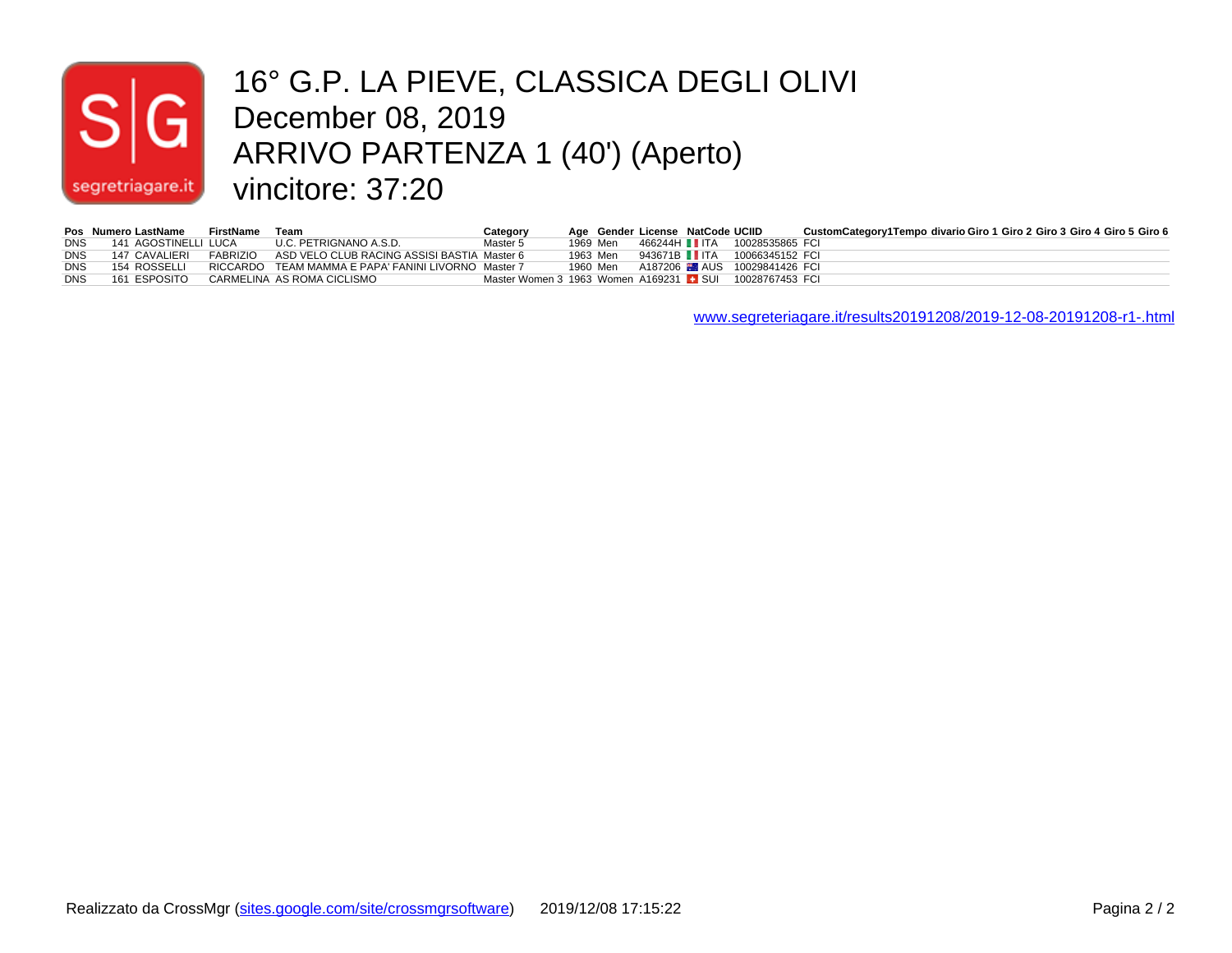

#### 16° G.P. LA PIEVE, CLASSICA DEGLI OLIVI December 08, 2019 ARRIVO PARTENZA 1 (40') (Aperto) vincitore: 37:20

|            | Pos Numero LastName  | FirstName | Team                                                               | Category                                                |          | Age Gender License NatCode UCIID |                                                      | CustomCategory1Tempo_divario Giro 1_Giro 2_Giro 3_Giro 4_Giro 5_Giro 6 |
|------------|----------------------|-----------|--------------------------------------------------------------------|---------------------------------------------------------|----------|----------------------------------|------------------------------------------------------|------------------------------------------------------------------------|
| <b>DNS</b> | 141 AGOSTINELLI LUCA |           | U.C. PETRIGNANO A.S.D.                                             | Master 5                                                |          |                                  | 1969 Men 466244H TTA 10028535865 FCI                 |                                                                        |
| <b>DNS</b> |                      |           | 147 CAVALIERI FABRIZIO ASD VELO CLUB RACING ASSISI BASTIA Master 6 |                                                         | 1963 Men |                                  | 943671B IITA 10066345152 FCI                         |                                                                        |
| DNS        | 154 ROSSELLI         |           | RICCARDO TEAM MAMMA E PAPA' FANINI LIVORNO Master 7                |                                                         |          |                                  | 1960 Men    A187206 <b>MM</b> AUS    10029841426 FCI |                                                                        |
| <b>DNS</b> | 161 ESPOSITO         |           | CARMELINA AS ROMA CICLISMO                                         | Master Women 3 1963 Women A169231 L SUI 10028767453 FCI |          |                                  |                                                      |                                                                        |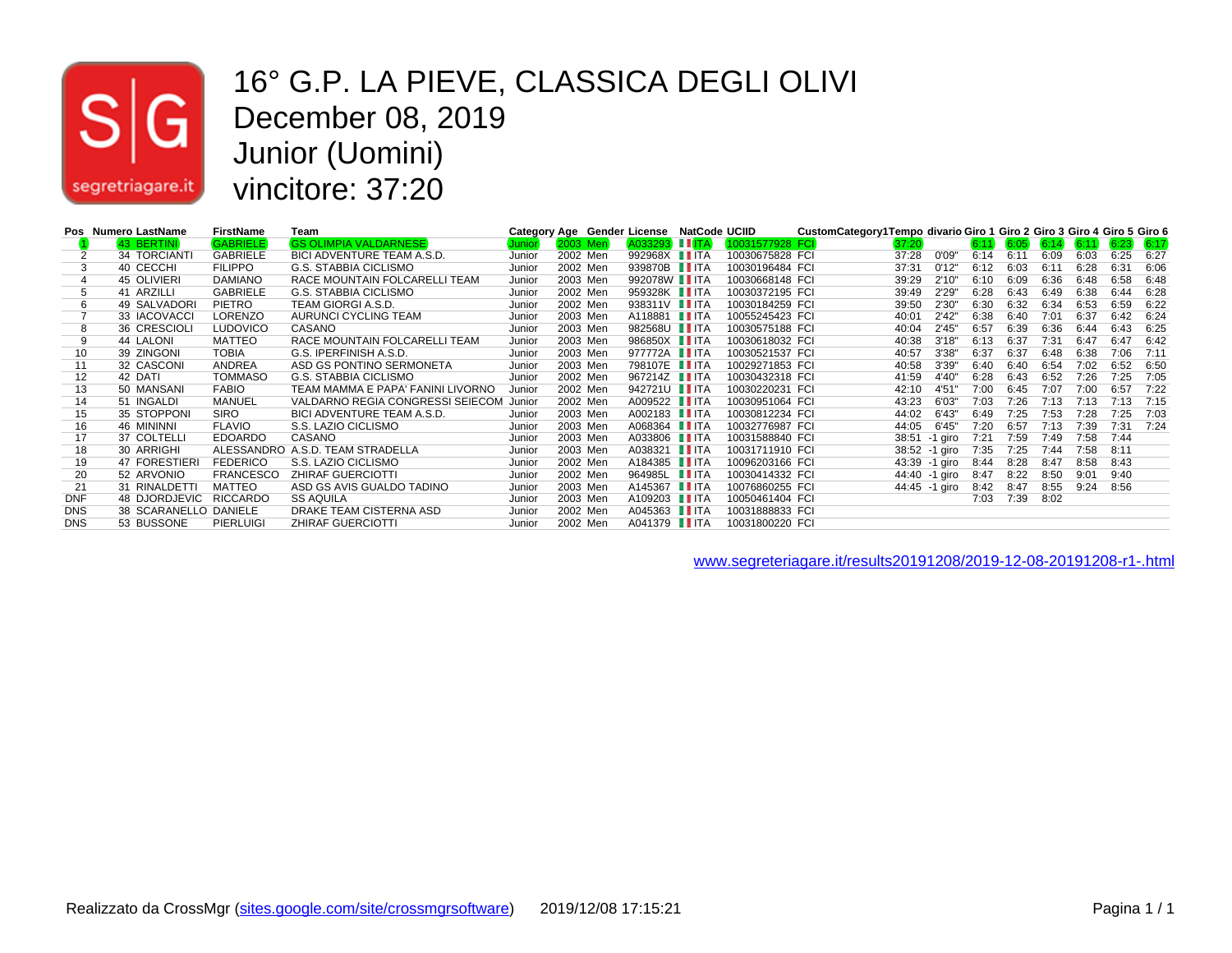

#### 16° G.P. LA PIEVE, CLASSICA DEGLI OLIVI December 08, 2019 Junior (Uomini) vincitore: 37:20

|            | Pos Numero LastName   | <b>FirstName</b> | Team                              | Category Age Gender License |                 |                       | <b>NatCode UCIID</b> |                 | CustomCategory1Tempo divario Giro 1 Giro 2 Giro 3 Giro 4 Giro 5 Giro 6 |       |               |      |      |      |      |      |               |
|------------|-----------------------|------------------|-----------------------------------|-----------------------------|-----------------|-----------------------|----------------------|-----------------|------------------------------------------------------------------------|-------|---------------|------|------|------|------|------|---------------|
|            | 43 BERTINI            | <b>GABRIELE</b>  | <b>GS OLIMPIA VALDARNESE</b>      | Junior <sup>:</sup>         | <b>2003 Men</b> | A033293 IITA          |                      | 10031577928 FCI |                                                                        | 37:20 |               | 6:11 | 6:05 | 6:14 | 6:11 |      | $6:23$ $6:17$ |
|            | 34 TORCIANTI          | <b>GABRIELE</b>  | BICI ADVENTURE TEAM A.S.D.        | Junior                      | 2002 Men        | 992968X IITA          |                      | 10030675828 FCI |                                                                        | 37:28 | 0'09'         | 6:14 | 6:11 | 6:09 | 6:03 | 6:25 | 6:27          |
|            | 40 CECCHI             | <b>FILIPPO</b>   | G.S. STABBIA CICLISMO             | Junior                      | 2002 Men        | 939870B <b>IITA</b>   |                      | 10030196484 FCI | 37:31                                                                  |       | 0'12"         | 6:12 | 6:03 | 6:11 | 6:28 | 6:31 | 6:06          |
|            | 45 OLIVIERI           | <b>DAMIANO</b>   | RACE MOUNTAIN FOLCARELLI TEAM     | Junior                      | 2003 Men        | 992078W <b>II</b> ITA |                      | 10030668148 FCI |                                                                        | 39:29 | 2'10'         | 6:10 | 6:09 | 6:36 | 6:48 | 6:58 | 6:48          |
|            | 41 ARZILLI            | <b>GABRIELE</b>  | G.S. STABBIA CICLISMO             | Junior                      | 2002 Men        | 959328K IITA          |                      | 10030372195 FCI |                                                                        | 39:49 | 2'29'         | 6:28 | 6:43 | 6:49 | 6:38 | 6:44 | 6:28          |
| 6          | 49 SALVADORI          | PIETRO           | TEAM GIORGI A.S.D.                | Junior                      | 2002 Men        | 938311V <b>IIITA</b>  |                      | 10030184259 FCI |                                                                        | 39:50 | 2'30'         | 6:30 | 6:32 | 6:34 | 6:53 | 6:59 | 6:22          |
|            | 33 IACOVACCI          | <b>LORENZO</b>   | AURUNCI CYCLING TEAM              | Junior                      | 2003 Men        | A118881 IITA          |                      | 10055245423 FCI | 40:01                                                                  |       | 2'42'         | 6:38 | 6:40 | 7:01 | 6:37 | 6:42 | 6:24          |
| 8          | 36 CRESCIOLI          | <b>LUDOVICO</b>  | CASANO                            | Junior                      | 2003 Men        | 982568U <b>II</b> ITA |                      | 10030575188 FCI | 40:04                                                                  |       | 2'45'         | 6:57 | 6:39 | 6:36 | 6:44 | 6:43 | 6:25          |
| 9          | 44 LALONI             | <b>MATTEO</b>    | RACE MOUNTAIN FOLCARELLI TEAM     | Junior                      | 2003 Men        | 986850X <b>I</b> ITA  |                      | 10030618032 FCI |                                                                        | 40:38 | 3'18'         | 6:13 | 6:37 | 7:31 | 6:47 | 6:47 | 6:42          |
| 10         | 39 ZINGONI            | <b>TOBIA</b>     | G.S. IPERFINISH A.S.D.            | Junior                      | 2003 Men        | 977772A <b>II</b> ITA |                      | 10030521537 FCI | 40:57                                                                  |       | 3'38'         | 6:37 | 6:37 | 6:48 | 6:38 | 7:06 | 7:11          |
| 11         | 32 CASCONI            | ANDREA           | ASD GS PONTINO SERMONETA          | Junior                      | 2003 Men        | 798107E <b>III</b> TA |                      | 10029271853 FCI |                                                                        | 40:58 | 3'39'         | 6:40 | 6:40 | 6:54 | 7:02 | 6:52 | 6:50          |
| 12         | 42 DATI               | <b>TOMMASO</b>   | <b>G.S. STABBIA CICLISMO</b>      | Junior                      | 2002 Men        | 967214Z <b>II</b> ITA |                      | 10030432318 FCI |                                                                        | 41:59 | 4'40'         | 6:28 | 6:43 | 6:52 | 7:26 | 7:25 | 7:05          |
| 13         | 50 MANSANI            | <b>FABIO</b>     | TEAM MAMMA E PAPA' FANINI LIVORNO | Junior                      | 2002 Men        | 942721U <b>II</b> ITA |                      | 10030220231 FCI |                                                                        | 42:10 | 4'51          | 7:00 | 6:45 | 7:07 | 7:00 | 6:57 | 7:22          |
| 14         | 51 INGALDI            | <b>MANUEL</b>    | VALDARNO REGIA CONGRESSI SEIECOM  | Junior                      | 2002 Men        | A009522 IITA          |                      | 10030951064 FCI |                                                                        | 43:23 | 6'03'         | 7:03 | 7:26 | 7:13 | 7:13 | 7:13 | 7:15          |
| 15         | 35 STOPPONI           | <b>SIRO</b>      | BICI ADVENTURE TEAM A.S.D.        | Junior                      | 2003 Men        | A002183 <b>I</b> ITA  |                      | 10030812234 FCI |                                                                        | 44:02 | 6'43'         | 6:49 | 7:25 | 7:53 | 7:28 | 7:25 | 7:03          |
| 16         | 46 MININNI            | <b>FLAVIO</b>    | S.S. LAZIO CICLISMO               | Junior                      | 2003 Men        | A068364 <b>I</b> ITA  |                      | 10032776987 FCI |                                                                        | 44:05 | 6'45"         | 7:20 | 6:57 | 7:13 | 7:39 | 7:31 | 7:24          |
| 17         | 37 COLTELLI           | <b>EDOARDO</b>   | CASANO                            | Junior                      | 2003 Men        | A033806 IITA          |                      | 10031588840 FCI |                                                                        | 38:51 | -1 giro       | 7:21 | 7:59 | 7:49 | 7:58 | 7:44 |               |
| 18         | 30 ARRIGHI            |                  | ALESSANDRO A.S.D. TEAM STRADELLA  | Junior                      | 2003 Men        | A038321 IITA          |                      | 10031711910 FCI |                                                                        |       | 38:52 -1 giro | 7:35 | 7:25 | 7:44 | 7:58 | 8:11 |               |
| 19         | 47 FORESTIERI         | <b>FEDERICO</b>  | S.S. LAZIO CICLISMO               | Junior                      | 2002 Men        | A184385 <b>I</b> ITA  |                      | 10096203166 FCI |                                                                        |       | 43:39 -1 giro | 8:44 | 8:28 | 8:47 | 8:58 | 8:43 |               |
| 20         | 52 ARVONIO            | <b>FRANCESCO</b> | <b>ZHIRAF GUERCIOTTI</b>          | Junior                      | 2002 Men        | 964985L <b>II</b> ITA |                      | 10030414332 FCI |                                                                        |       | 44:40 -1 giro | 8:47 | 8:22 | 8:50 | 9:01 | 9:40 |               |
| 21         | 31 RINALDETTI         | <b>MATTEO</b>    | ASD GS AVIS GUALDO TADINO         | Junior                      | 2003 Men        | A145367 IITA          |                      | 10076860255 FCI |                                                                        |       | 44:45 -1 giro | 8:42 | 8:47 | 8:55 | 9:24 | 8:56 |               |
| <b>DNF</b> | 48 DJORDJEVIC         | <b>RICCARDO</b>  | <b>SS AQUILA</b>                  | Junior                      | 2003 Men        | A109203 <b>T</b> ITA  |                      | 10050461404 FCI |                                                                        |       |               | 7:03 | 7:39 | 8:02 |      |      |               |
| <b>DNS</b> | 38 SCARANELLO DANIELE |                  | DRAKE TEAM CISTERNA ASD           | Junior                      | 2002 Men        | A045363 <b>I</b> ITA  |                      | 10031888833 FCI |                                                                        |       |               |      |      |      |      |      |               |
| <b>DNS</b> | 53 BUSSONE            | PIERLUIGI        | <b>ZHIRAF GUERCIOTTI</b>          | Junior                      | 2002 Men        | A041379 IITA          |                      | 10031800220 FCI |                                                                        |       |               |      |      |      |      |      |               |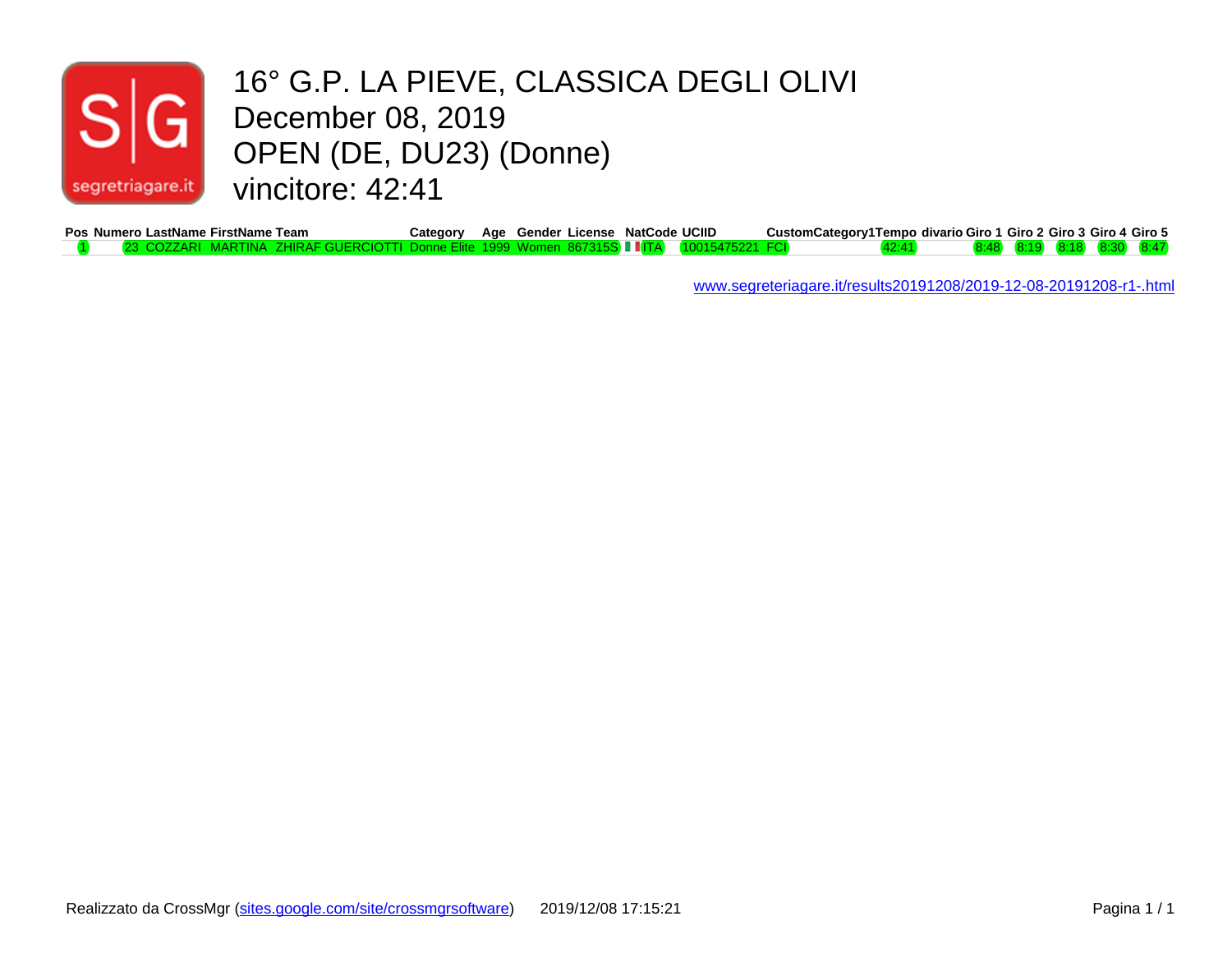

#### 16° G.P. LA PIEVE, CLASSICA DEGLI OLIVI December 08, 2019 OPEN (DE, DU23) (Donne) vincitore: 42:41

| Pos Numero LastName FirstName Team                  | خategory. |  | Age Gender License NatCode UCIID | CustomCategory1Tempo_divario Giro 1_Giro 2_Giro 3_Giro 4_Giro 5 |  |  |  |
|-----------------------------------------------------|-----------|--|----------------------------------|-----------------------------------------------------------------|--|--|--|
| RAF GUFRCIOTTI Donne Flite_1999_Women_867315S_L_IT. |           |  |                                  |                                                                 |  |  |  |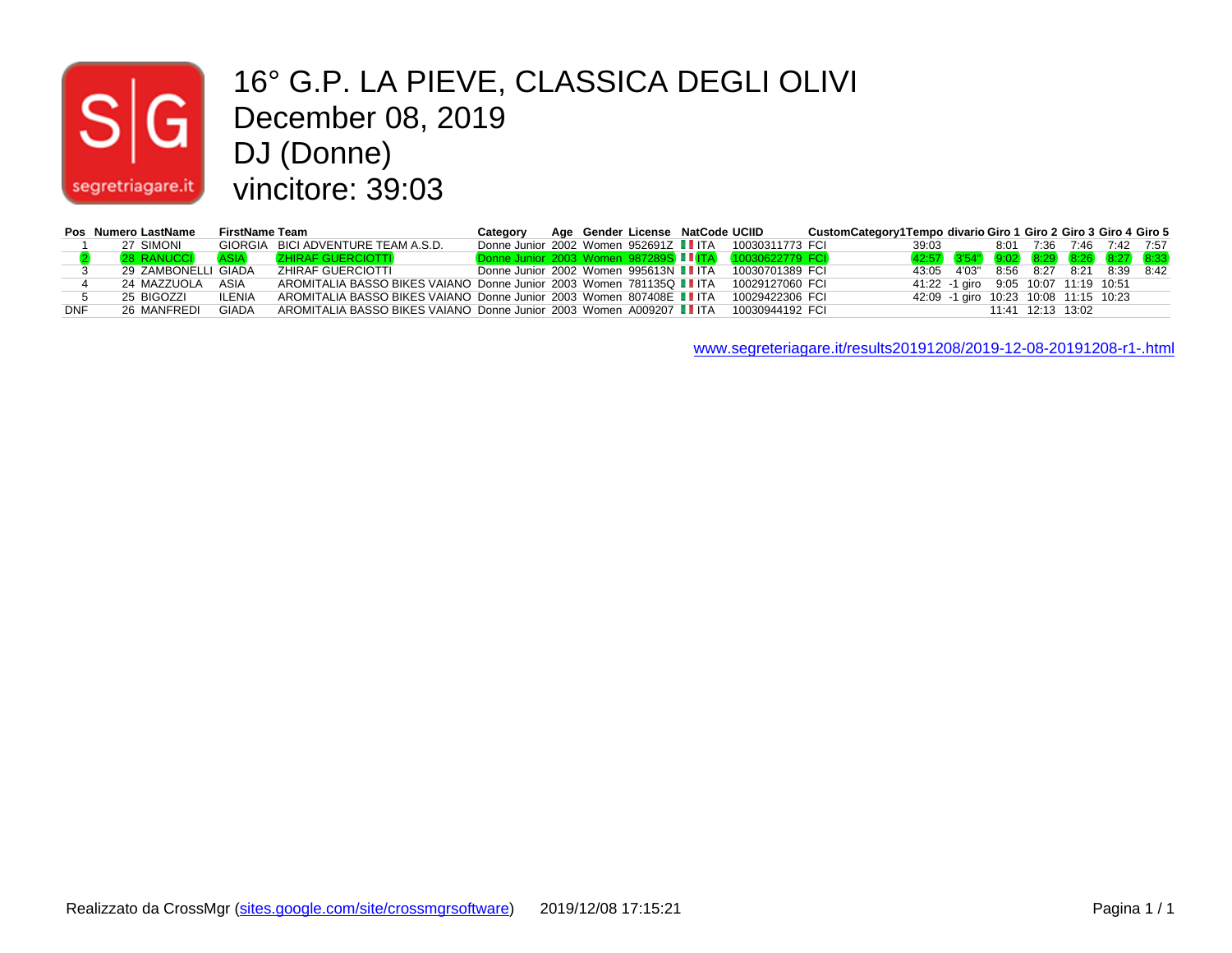# $|S|$

#### 16° G.P. LA PIEVE, CLASSICA DEGLI OLIVI December 08, 2019 DJ (Donne) segretriagare.it vincitore: 39:03

|     | Pos Numero LastName | FirstName Team |                                                                      | Category |  | Age Gender License NatCode UCIID |                                                        | CustomCategory1Tempo divario Giro 1 Giro 2 Giro 3 Giro 4 Giro 5 |       |                                       |      |      |                   |           |      |
|-----|---------------------|----------------|----------------------------------------------------------------------|----------|--|----------------------------------|--------------------------------------------------------|-----------------------------------------------------------------|-------|---------------------------------------|------|------|-------------------|-----------|------|
|     | 27 SIMONI           | GIORGIA        | BICI ADVENTURE TEAM A.S.D.                                           |          |  |                                  | Donne Junior 2002 Women 952691Z IITA 10030311773 FCI   |                                                                 | 39:03 |                                       | 8:01 | 7:36 | 7:46              | 7:42 7:57 |      |
|     | <b>28 RANUCCI</b>   | <b>ASIA</b>    | <b>ZHIRAF GUERCIOTTI</b>                                             |          |  |                                  | Donne Junior 2003 Women 987289S II ITA 10030622779 FCI |                                                                 |       | 42:57 3'54" 9:02 8:29 8:26 8:27 8:33  |      |      |                   |           |      |
|     | 29 ZAMBONELLI GIADA |                | ZHIRAF GUERCIOTTI                                                    |          |  |                                  | Donne Junior 2002 Women 995613N IIITA 10030701389 FCI  |                                                                 |       | 43:05 4'03" 8:56 8:27                 |      |      |                   | 8:21 8:39 | 8.42 |
|     | 24 MAZZUOLA         | ASIA           | AROMITALIA BASSO BIKES VAIANO Donne Junior 2003 Women 781135Q II ITA |          |  |                                  | 10029127060 FCI                                        |                                                                 |       | 41:22 -1 giro 9:05 10:07 11:19 10:51  |      |      |                   |           |      |
|     | 25 BIGOZZI          | <b>ILENIA</b>  | AROMITALIA BASSO BIKES VAIANO Donne Junior 2003 Women 807408E II ITA |          |  |                                  | 10029422306 FCI                                        |                                                                 |       | 42:09 -1 giro 10:23 10:08 11:15 10:23 |      |      |                   |           |      |
| DNF | 26 MANFREDI         | GIADA          | AROMITALIA BASSO BIKES VAIANO Donne Junior 2003 Women A009207 II ITA |          |  |                                  | 10030944192 FCI                                        |                                                                 |       |                                       |      |      | 11:41 12:13 13:02 |           |      |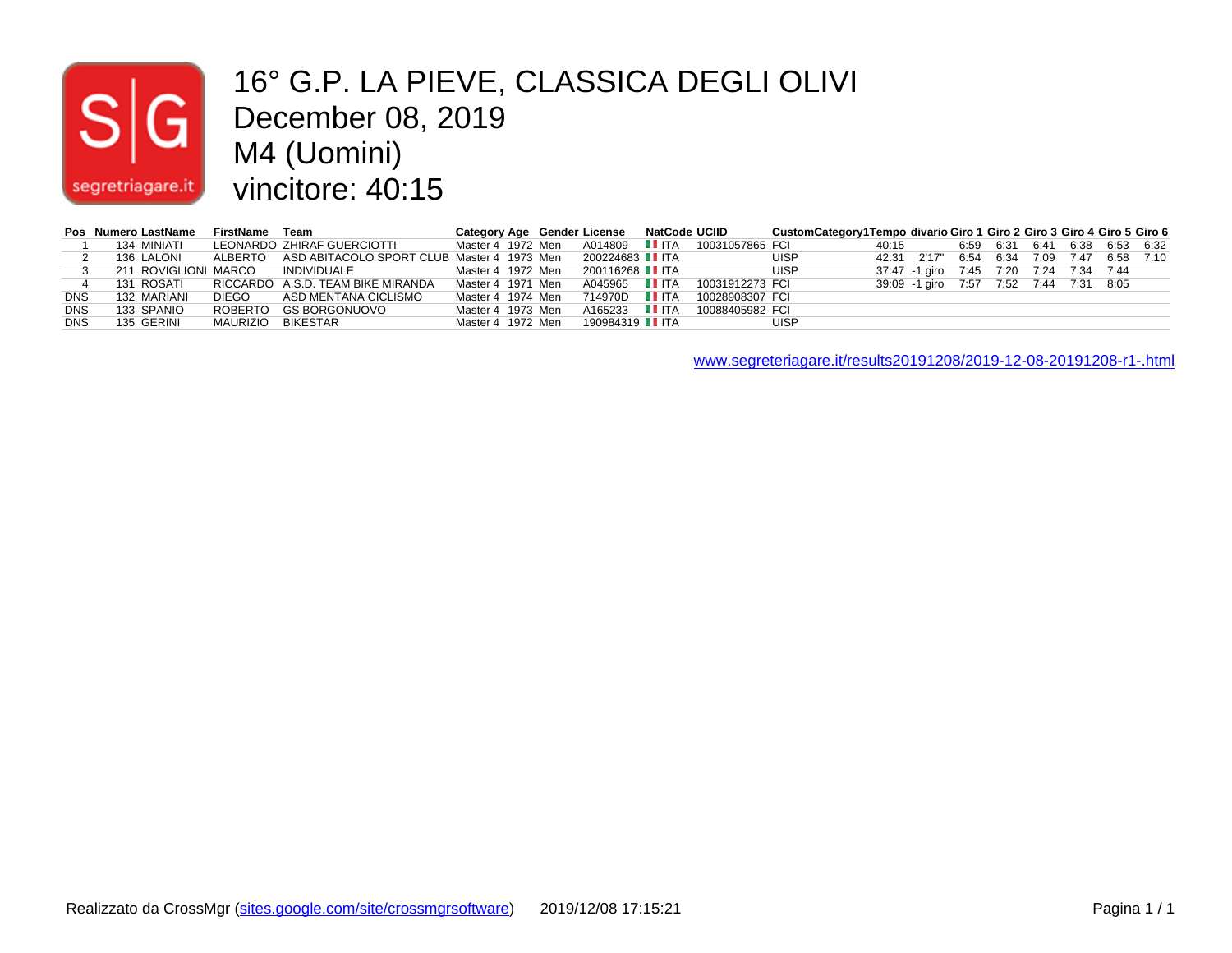# $|\mathsf{s}|$ segretriagare.it

#### 16° G.P. LA PIEVE, CLASSICA DEGLI OLIVI December 08, 2019 M4 (Uomini) vincitore: 40:15

|            | Pos Numero LastName  | FirstName Team    |                                                    |                   |  | Category Age Gender License NatCode UCIID |                               | CustomCategory1Tempo divario Giro 1 Giro 2 Giro 3 Giro 4 Giro 5 Giro 6 |       |                                           |  |  |                               |  |
|------------|----------------------|-------------------|----------------------------------------------------|-------------------|--|-------------------------------------------|-------------------------------|------------------------------------------------------------------------|-------|-------------------------------------------|--|--|-------------------------------|--|
|            | 134 MINIATI          |                   | LEONARDO ZHIRAF GUERCIOTTI                         | Master 4 1972 Men |  |                                           | A014809 LLITA 10031057865 FCI |                                                                        | 40:15 |                                           |  |  | 6.59 6.31 6.41 6.38 6.53 6.32 |  |
|            | 136 LALONI           |                   | ALBERTO ASD ABITACOLO SPORT CLUB Master 4 1973 Men |                   |  | 200224683 <b>Ⅰ</b> ITA                    |                               | <b>UISP</b>                                                            |       | 42:31 2'17" 6:54 6:34 7:09 7:47 6:58 7:10 |  |  |                               |  |
|            | 211 ROVIGLIONI MARCO |                   | INDIVIDUALE                                        | Master 4 1972 Men |  | 200116268 LL ITA                          |                               | <b>UISP</b>                                                            |       | 37:47 -1 giro 7:45 7:20 7:24 7:34 7:44    |  |  |                               |  |
|            | 131 ROSATI           |                   | RICCARDO A.S.D. TEAM BIKE MIRANDA                  | Master 4 1971 Men |  | A045965 IIITA                             | 10031912273 FCI               |                                                                        |       | 39:09 -1 giro 7:57 7:52 7:44 7:31 8:05    |  |  |                               |  |
| <b>DNS</b> | 132 MARIANI          | <b>DIEGO</b>      | ASD MENTANA CICLISMO                               | Master 4 1974 Men |  | 714970D <b>I</b> ITA                      | 10028908307 FCI               |                                                                        |       |                                           |  |  |                               |  |
| <b>DNS</b> | 133 SPANIO           |                   | ROBERTO GS BORGONUOVO                              | Master 4 1973 Men |  | A165233 IIITA                             | 10088405982 FCI               |                                                                        |       |                                           |  |  |                               |  |
| <b>DNS</b> | 135 GERINI           | MAURIZIO BIKESTAR |                                                    | Master 4 1972 Men |  | 190984319 <b>II</b> ITA                   |                               | <b>UISP</b>                                                            |       |                                           |  |  |                               |  |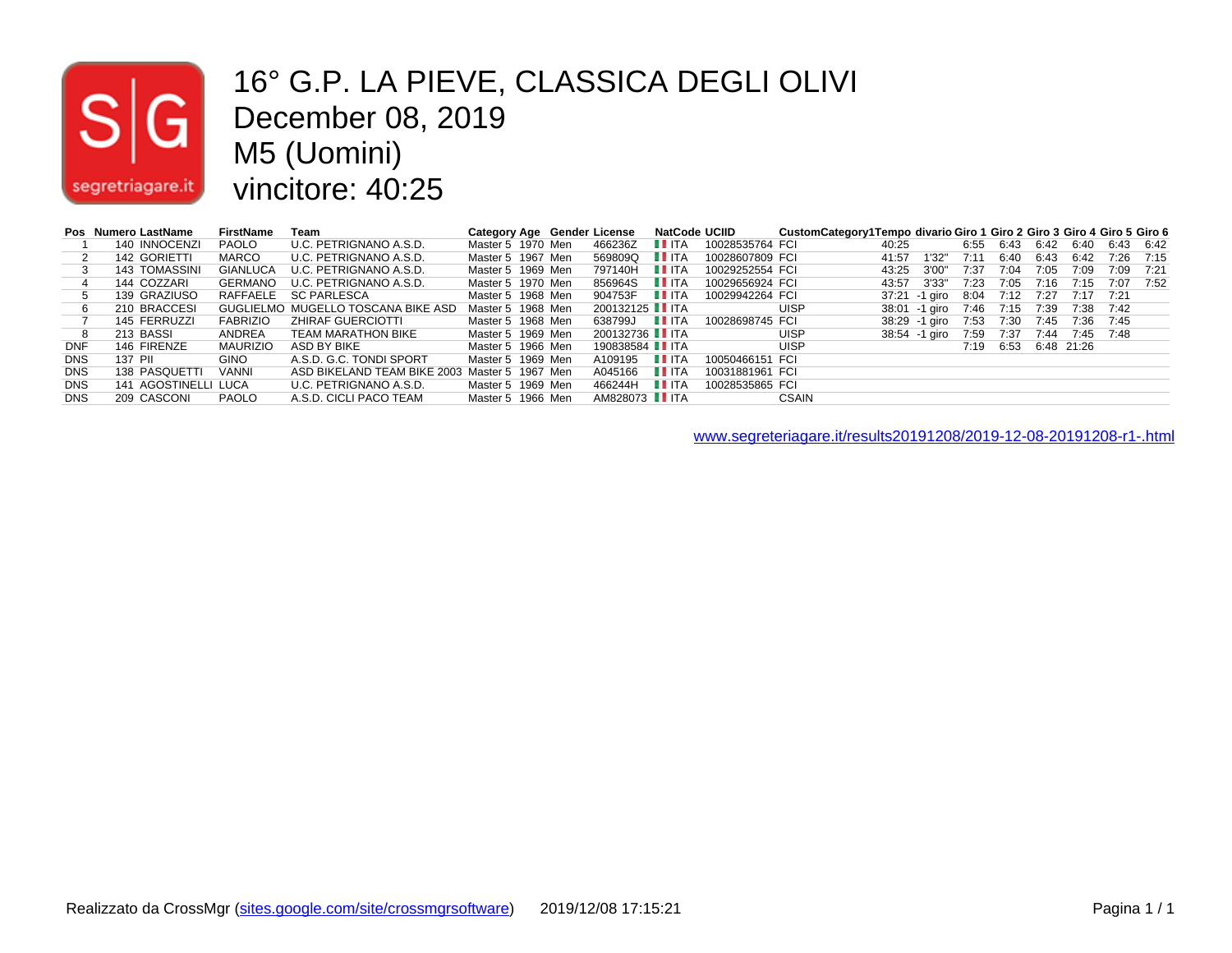# $|S|$ segretriagare.it

#### 16° G.P. LA PIEVE, CLASSICA DEGLI OLIVI December 08, 2019 M5 (Uomini) vincitore: 40:25

|            | Pos Numero LastName  | <b>FirstName</b> | Team                                          |                   |  | Category Age Gender License |                    | <b>NatCode UCIID</b> | CustomCategory1Tempo divario Giro 1 Giro 2 Giro 3 Giro 4 Giro 5 Giro 6 |       |               |      |                      |      |           |                |      |
|------------|----------------------|------------------|-----------------------------------------------|-------------------|--|-----------------------------|--------------------|----------------------|------------------------------------------------------------------------|-------|---------------|------|----------------------|------|-----------|----------------|------|
|            | 140 INNOCENZI        | PAOLO            | U.C. PETRIGNANO A.S.D.                        | Master 5 1970 Men |  | 466236Z                     | LL ITA             | 10028535764 FCI      |                                                                        | 40:25 |               | 6:55 | 6:43                 | 6:42 |           | 6:40 6:43 6:42 |      |
|            | 142 GORIETTI         | MARCO            | U.C. PETRIGNANO A.S.D.                        | Master 5 1967 Men |  | 569809Q                     | LL ITA             | 10028607809 FCI      |                                                                        | 41:57 | 1'32"         | 7:11 | 6:40                 | 6:43 | 6:42      | 7:26 7:15      |      |
|            | 143 TOMASSINI        | GIANLUCA         | U.C. PETRIGNANO A.S.D.                        | Master 5 1969 Men |  | 797140H                     | <b>LI</b> ITA      | 10029252554 FCI      |                                                                        | 43:25 | 3'00"         | 7:37 | 7:04                 | 7:05 | 7:09      | 7:09           | 7:21 |
|            | 144 COZZARI          |                  | GERMANO U.C. PETRIGNANO A.S.D.                | Master 5 1970 Men |  | 856964S                     | $\blacksquare$ ITA | 10029656924 FCI      |                                                                        | 43:57 | 3'33"         | 7:23 | 7:05                 | 7:16 |           | 7:15 7:07 7:52 |      |
|            | 139 GRAZIUSO         |                  | RAFFAELE SC PARLESCA                          | Master 5 1968 Men |  | 904753F                     | <b>LITA</b>        | 10029942264 FCI      |                                                                        |       | 37:21 -1 airo | 8:04 | 7:12                 | 7:27 | 7:17 7:21 |                |      |
|            | 210 BRACCESI         |                  | GUGLIELMO MUGELLO TOSCANA BIKE ASD            | Master 5 1968 Men |  | 200132125 <b>T</b> ITA      |                    |                      | <b>UISP</b>                                                            |       | 38:01 -1 airo |      | 7:46 7:15            | 7:39 | 7:38 7:42 |                |      |
|            | 145 FERRUZZI         | FABRIZIO         | ZHIRAF GUERCIOTTI                             | Master 5 1968 Men |  | 638799J                     | $\blacksquare$ ITA | 10028698745 FCI      |                                                                        |       | 38:29 -1 airo |      | 7:53 7:30            |      |           | 7:45 7:36 7:45 |      |
|            | 213 BASSI            | ANDREA           | TEAM MARATHON BIKE                            | Master 5 1969 Men |  | 200132736 LLITA             |                    |                      | <b>UISP</b>                                                            |       | 38:54 -1 airo | 7:59 | 7:37                 | 7:44 | 7:45 7:48 |                |      |
| <b>DNF</b> | 146 FIRENZE          | MAURIZIO         | ASD BY BIKE                                   | Master 5 1966 Men |  | 190838584 <b>II</b> ITA     |                    |                      | <b>UISP</b>                                                            |       |               |      | 7:19 6:53 6:48 21:26 |      |           |                |      |
| <b>DNS</b> | 137 PII              | <b>GINO</b>      | A.S.D. G.C. TONDI SPORT                       | Master 5 1969 Men |  | A109195                     | <b>LI</b> ITA      | 10050466151 FCI      |                                                                        |       |               |      |                      |      |           |                |      |
| <b>DNS</b> | 138 PASQUETTI        | <b>VANNI</b>     | ASD BIKELAND TEAM BIKE 2003 Master 5 1967 Men |                   |  | A045166                     | $\blacksquare$ ITA | 10031881961 FCI      |                                                                        |       |               |      |                      |      |           |                |      |
| <b>DNS</b> | 141 AGOSTINELLI LUCA |                  | U.C. PETRIGNANO A.S.D.                        | Master 5 1969 Men |  | 466244H                     | $\blacksquare$ ITA | 10028535865 FCI      |                                                                        |       |               |      |                      |      |           |                |      |
| <b>DNS</b> | 209 CASCONI          | PAOLO            | A.S.D. CICLI PACO TEAM                        | Master 5 1966 Men |  | AM828073 <b>T</b> ITA       |                    |                      | <b>CSAIN</b>                                                           |       |               |      |                      |      |           |                |      |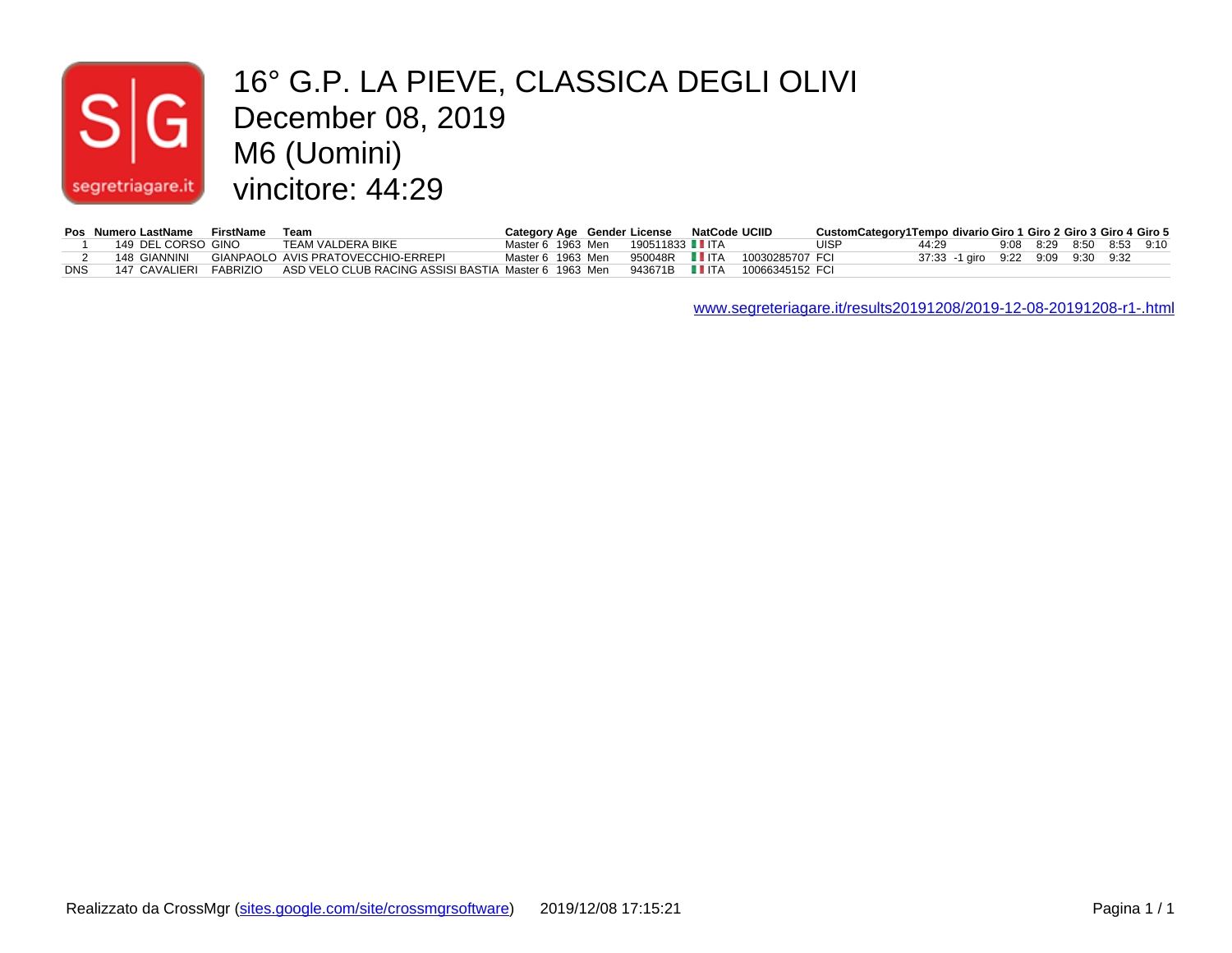## $|\mathsf{s}|$ segretriagare.it

#### 16° G.P. LA PIEVE, CLASSICA DEGLI OLIVI December 08, 2019 M6 (Uomini) vincitore: 44:29

|     | Pos Numero LastName FirstName Team |                                                                                    |  | Category Age Gender License NatCode UCIID |                                                 | CustomCategory1Tempo divario Giro 1 Giro 2 Giro 3 Giro 4 Giro 5 |                                   |                          |  |  |
|-----|------------------------------------|------------------------------------------------------------------------------------|--|-------------------------------------------|-------------------------------------------------|-----------------------------------------------------------------|-----------------------------------|--------------------------|--|--|
|     | 149 DEL CORSO GINO                 | TEAM VALDERA BIKE                                                                  |  | Master 6 1963 Men  190511833 II ITA       |                                                 | <b>UISP</b>                                                     | 44:29                             | 9:08 8:29 8:50 8:53 9:10 |  |  |
|     | 148 GIANNINI                       | GIANPAOLO AVIS PRATOVECCHIO-ERREPI                                                 |  |                                           | Master 6 1963 Men 950048R IIITA 10030285707 FCI |                                                                 | 37:33 -1 giro 9:22 9:09 9:30 9:32 |                          |  |  |
| DNS | 147 CAVALIERI FABRIZIO             | ASD VELO CLUB RACING ASSISI BASTIA Master 6 1963 Men 943671B ■ ITA 10066345152 FCI |  |                                           |                                                 |                                                                 |                                   |                          |  |  |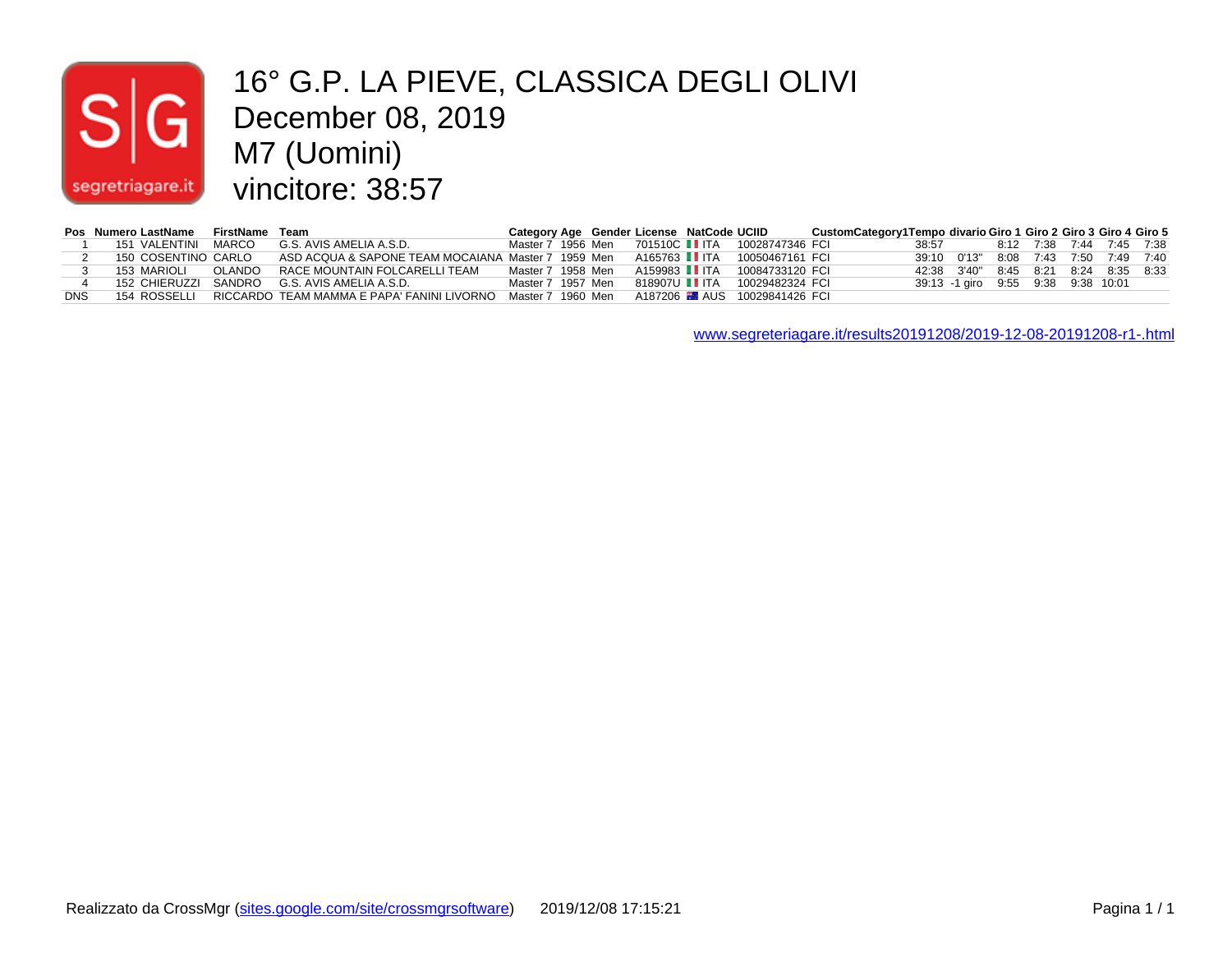# segretriagare.it

#### 16° G.P. LA PIEVE, CLASSICA DEGLI OLIVI December 08, 2019 M7 (Uomini) vincitore: 38:57

|            | Pos Numero LastName FirstName Team |        |                                                         | Category Age Gender License NatCode UCIID |  |  |                                | CustomCategory1Tempo divario Giro 1 Giro 2 Giro 3 Giro 4 Giro 5 |       |                                            |                          |  |  |
|------------|------------------------------------|--------|---------------------------------------------------------|-------------------------------------------|--|--|--------------------------------|-----------------------------------------------------------------|-------|--------------------------------------------|--------------------------|--|--|
|            | 151 VALENTINI MARCO                |        | G.S. AVIS AMELIA A.S.D.                                 | Master 7 1956 Men                         |  |  |                                |                                                                 | 38:57 |                                            | 8:12 7:38 7:44 7:45 7:38 |  |  |
|            | 150 COSENTINO CARLO                |        | ASD ACQUA & SAPONE TEAM MOCAIANA Master 7 1959 Men      |                                           |  |  | A165763 IIITA 10050467161 FCI  |                                                                 |       | 39:10  0'13"  8:08  7:43  7:50  7:49  7:40 |                          |  |  |
|            | 153 MARIOLI                        | OLANDO | RACE MOUNTAIN FOLCARELLI TEAM                           | Master 7 1958 Men                         |  |  | A159983 II ITA 10084733120 FCI |                                                                 |       | 42:38 3'40" 8:45 8:21 8:24 8:35 8:33       |                          |  |  |
|            |                                    |        | 152 CHIERUZZI SANDRO G.S. AVIS AMELIA A.S.D.            | Master 7 1957 Men                         |  |  | 818907U TTA 10029482324 FCI    |                                                                 |       | 39:13 -1 giro 9:55 9:38 9:38 10:01         |                          |  |  |
| <b>DNS</b> |                                    |        | 154 ROSSELLI RICCARDO TEAM MAMMA E PAPA' FANINI LIVORNO | Master 7 1960 Men                         |  |  |                                |                                                                 |       |                                            |                          |  |  |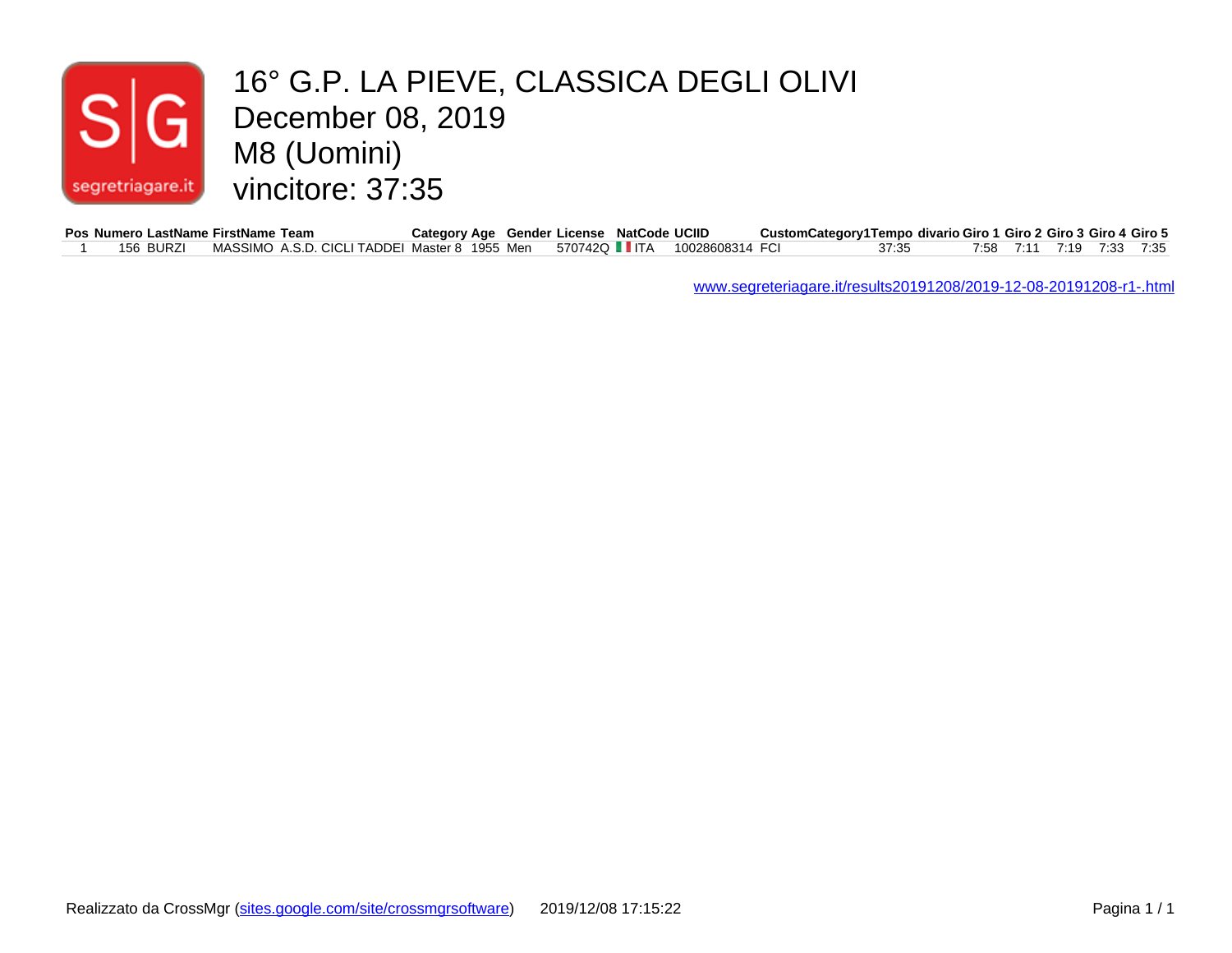#### December 08, 2019 16° G.P. LA PIEVE, CLASSICA DEGLI OLIVI M8 (Uomini) vincitore: 37:35 segretriagare.it

|           | Pos Numero LastName FirstName Team                                          | Category Age Gender License NatCode UCIID |  |  | CustomCategory1Tempo divario Giro 1 Giro 2 Giro 3 Giro 4 Giro 5 |       |  |                          |  |
|-----------|-----------------------------------------------------------------------------|-------------------------------------------|--|--|-----------------------------------------------------------------|-------|--|--------------------------|--|
| 156 BURZI | MASSIMO A.S.D. CICLI TADDEI Master 8 1955 Men 570742Q LLITA 10028608314 FCI |                                           |  |  |                                                                 | 37:35 |  | 7:58 7:11 7:19 7:33 7:35 |  |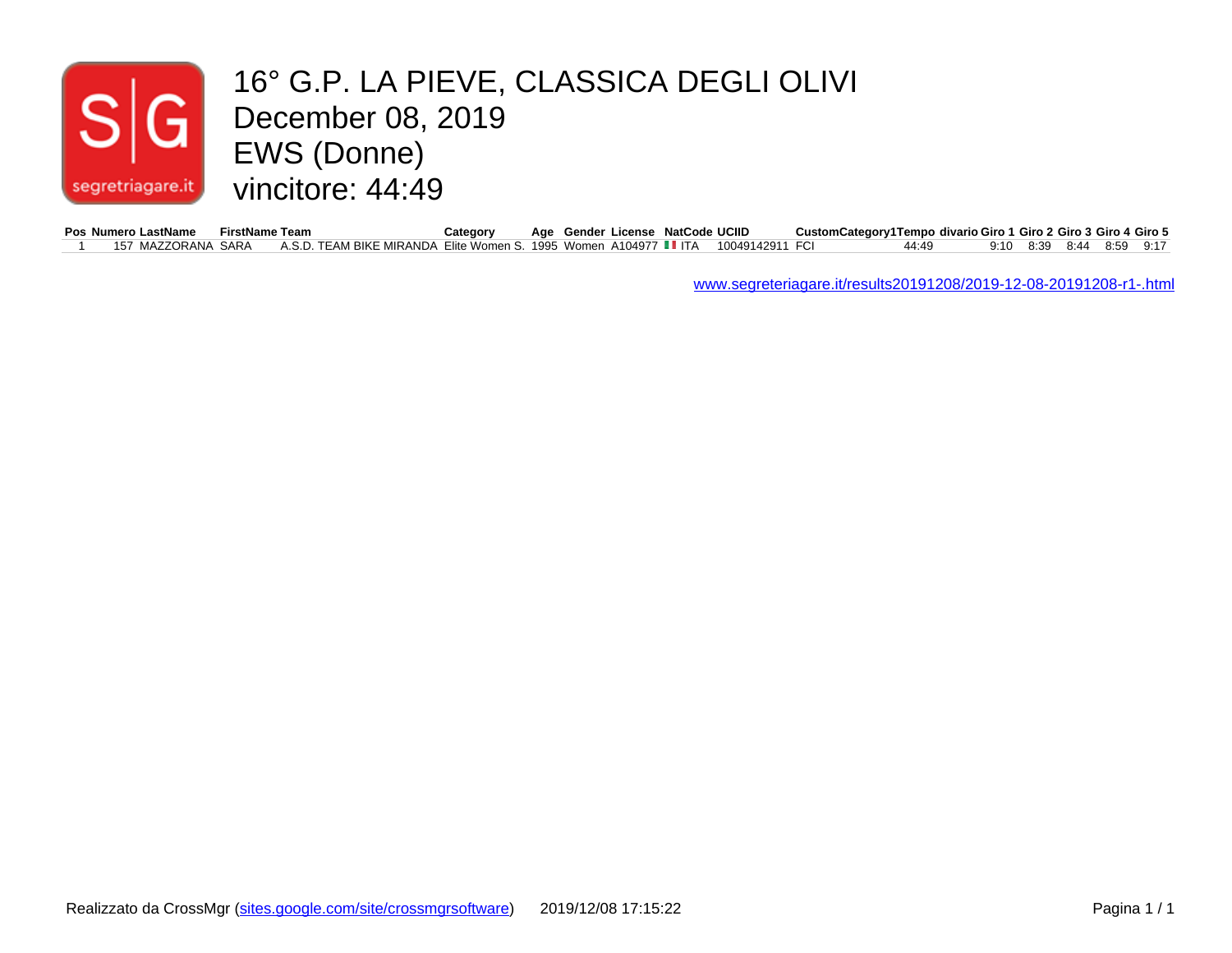#### 16° G.P. LA PIEVE, CLASSICA DEGLI OLIVI  $\mathsf{G}\vert$ December 08, 2019 EWS (Donne) vincitore: 44:49 segretriagare.it

| Pos Numero LastName | FirstName Team |                                                                                  | Category | Age Gender License NatCode UCIID |  | CustomCategory1Tempo divario Giro 1 Giro 2 Giro 3 Giro 4 Giro 5 |       |                          |  |  |
|---------------------|----------------|----------------------------------------------------------------------------------|----------|----------------------------------|--|-----------------------------------------------------------------|-------|--------------------------|--|--|
| 157 MAZZORANA SARA  |                | A.S.D. TEAM BIKE MIRANDA Elite Women S. 1995 Women A104977 IIITA 10049142911 FCI |          |                                  |  |                                                                 | 44:49 | 9:10 8:39 8:44 8:59 9:17 |  |  |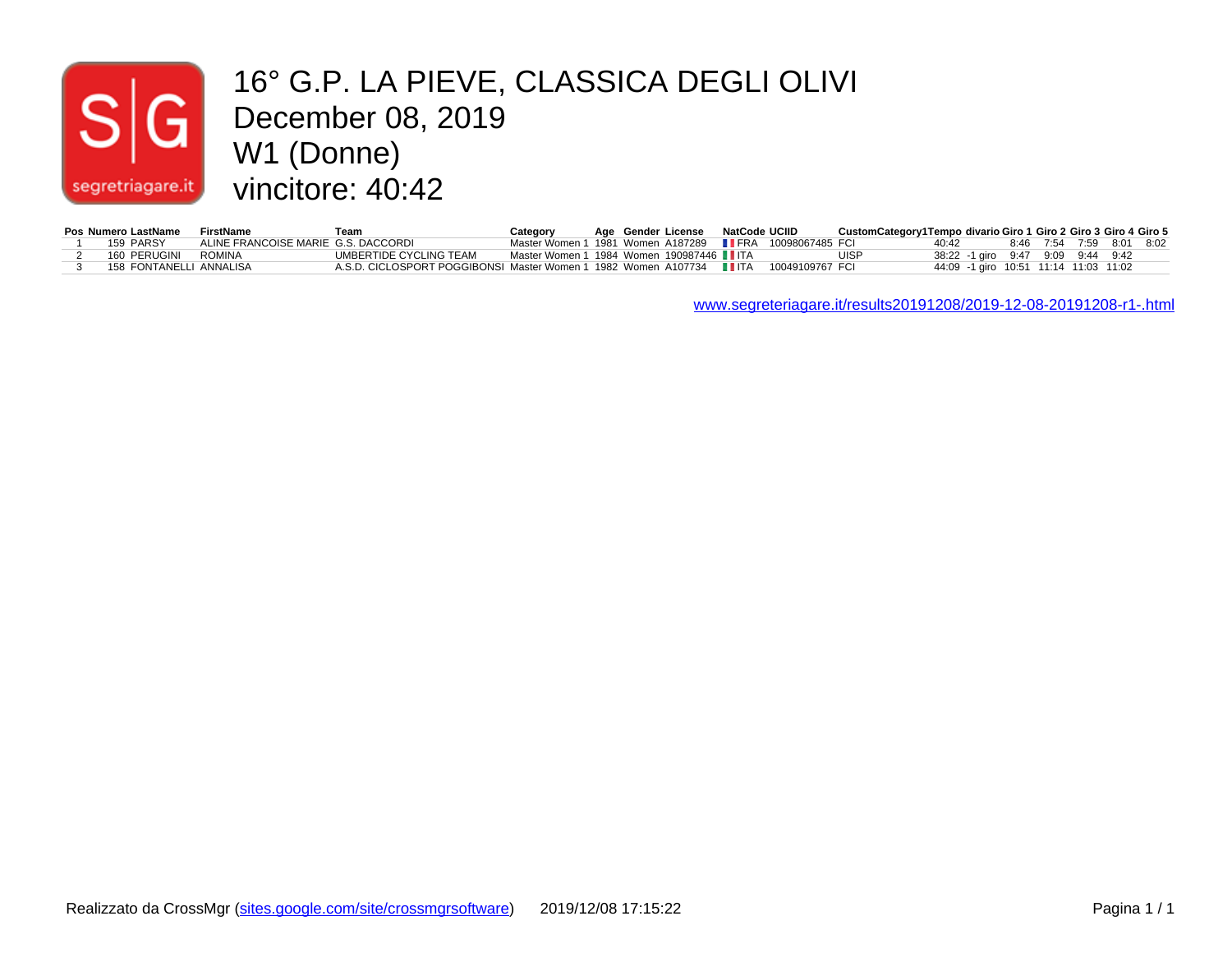## $|S|$ segretriagare.it

#### 16° G.P. LA PIEVE, CLASSICA DEGLI OLIVI December 08, 2019 W1 (Donne) vincitore: 40:42

| Pos Numero LastName     | FirstName                           | Team                                                                                 | Category                                                       |  | Age Gender License NatCode UCIID |  | CustomCategory1Tempo divario Giro 1 Giro 2 Giro 3 Giro 4 Giro 5 |                                       |  |                          |  |
|-------------------------|-------------------------------------|--------------------------------------------------------------------------------------|----------------------------------------------------------------|--|----------------------------------|--|-----------------------------------------------------------------|---------------------------------------|--|--------------------------|--|
| 159 PARSY               | ALINE FRANCOISE MARIE G.S. DACCORDI |                                                                                      | Master Women 1 1981 Women A187289 <b>IIFRA</b> 10098067485 FCI |  |                                  |  |                                                                 | 40:42                                 |  | 8:46 7:54 7:59 8:01 8:02 |  |
| 160 PERUGINI            | ROMINA                              | UMBERTIDE CYCLING TEAM                                                               | Master Women 1 1984 Women 190987446 ■ ITA                      |  |                                  |  | UISP                                                            | 38:22 -1 airo 9:47 9:09 9:44 9:42     |  |                          |  |
| 158 FONTANELLI ANNALISA |                                     | A.S.D. CICLOSPORT POGGIBONSI Master Women 1 1982 Women A107734 IIITA 10049109767 FCI |                                                                |  |                                  |  |                                                                 | 44:09 -1 giro 10:51 11:14 11:03 11:02 |  |                          |  |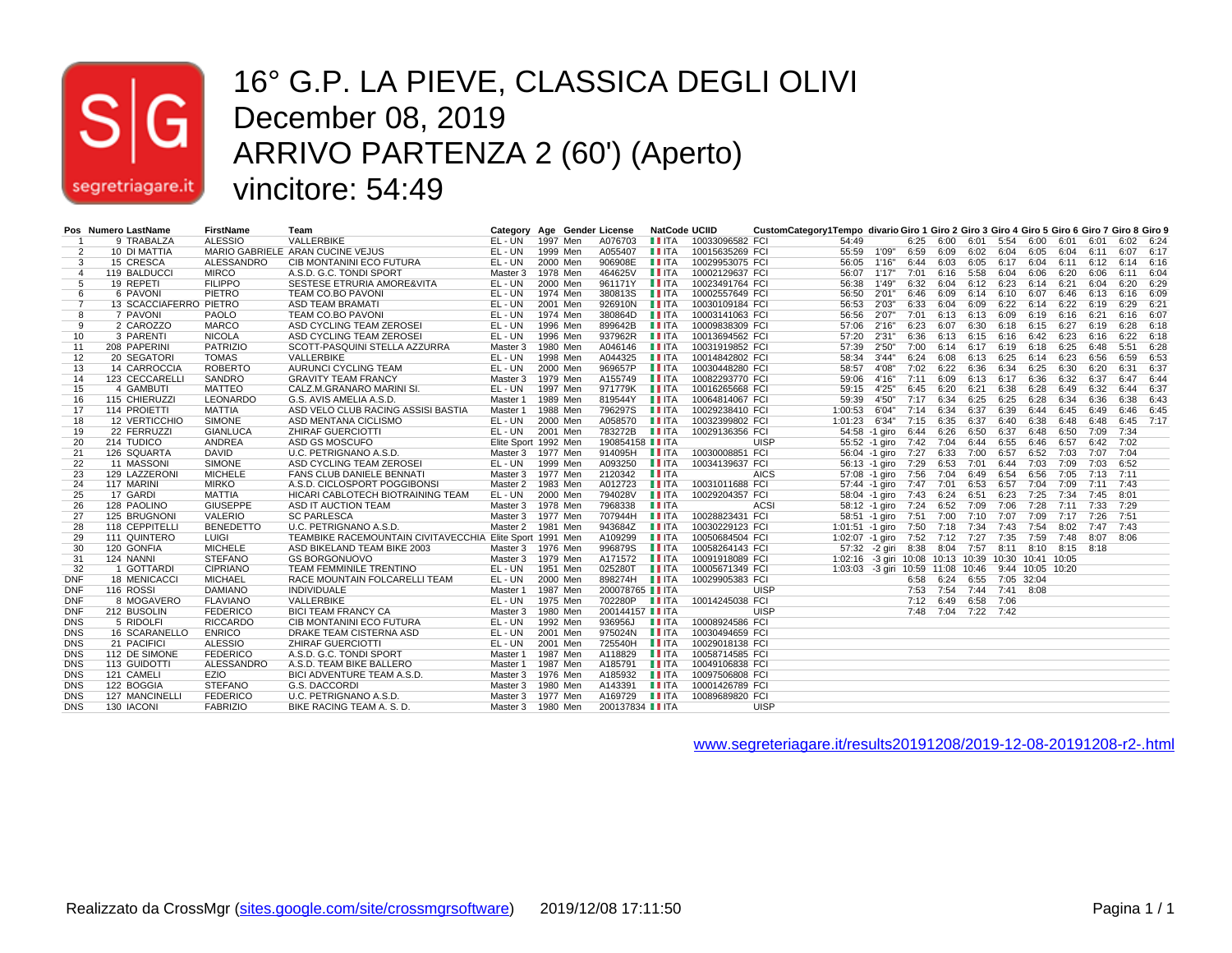

#### 16° G.P. LA PIEVE, CLASSICA DEGLI OLIVI December 08, 2019 ARRIVO PARTENZA 2 (60') (Aperto) vincitore: 54:49

|                | Pos Numero LastName    | <b>FirstName</b> | Team                                                     | Category Age Gender License |          |                          | NatCode UCIID                                |                 | CustomCategory1Tempo divario Giro 1 Giro 2 Giro 3 Giro 4 Giro 5 Giro 6 Giro 7 Giro 8 Giro 9 |                                                     |                                        |      |                |                           |      |      |                     |           |           |      |
|----------------|------------------------|------------------|----------------------------------------------------------|-----------------------------|----------|--------------------------|----------------------------------------------|-----------------|---------------------------------------------------------------------------------------------|-----------------------------------------------------|----------------------------------------|------|----------------|---------------------------|------|------|---------------------|-----------|-----------|------|
|                | 9 TRABALZA             | <b>ALESSIO</b>   | VALLERBIKE                                               | EL-UN 1997 Men              |          | A076703                  | <b>LEITA</b>                                 | 10033096582 FCI |                                                                                             | 54:49                                               |                                        |      |                | 6:25 6:00 6:01 5:54 6:00  |      |      | 6:01                | 6:01      | 6:02 6:24 |      |
| 2              | 10 DI MATTIA           |                  | MARIO GABRIELE ARAN CUCINE VEJUS                         | EL - UN                     | 1999 Men | A055407                  | <b>LI</b> ITA                                | 10015635269 FCI |                                                                                             | 55:59                                               | 1'09"                                  | 6:59 | 6:09           | 6:02                      | 6:04 | 6:05 | 6:04                | 6:11      | 6:07 6:17 |      |
| 3              | 15 CRESCA              | ALESSANDRO       | CIB MONTANINI ECO FUTURA                                 | EL - UN                     | 2000 Men | 906908E                  | $\blacksquare$ ITA                           | 10029953075 FCI |                                                                                             | 56:05                                               | 1'16"                                  |      |                | 6:44 6:03 6:05 6:17 6:04  |      |      | 6:11 6:12 6:14 6:16 |           |           |      |
| $\overline{4}$ | 119 BALDUCCI           | <b>MIRCO</b>     | A.S.D. G.C. TONDI SPORT                                  | Master 3 1978 Men           |          | 464625V                  | <b>II</b> ITA                                | 10002129637 FCI |                                                                                             | 56:07                                               | 1'17"                                  | 7:01 | 6:16           | 5:58                      | 6:04 | 6:06 | 6:20                | 6:06      | 6:11 6:04 |      |
| 5              | 19 REPETI              | <b>FILIPPO</b>   | SESTESE ETRURIA AMORE&VITA                               | EL - UN                     | 2000 Men | 961171Y                  | $\blacksquare$ ITA                           | 10023491764 FCI |                                                                                             | 56:38                                               | 1'49"                                  |      | 6:32 6:04      | 6:12 6:23                 |      | 6:14 | 6:21                | 6:04      | 6:20 6:29 |      |
| 6              | 6 PAVONI               | PIETRO           | <b>TEAM CO.BO PAVONI</b>                                 | EL - UN                     | 1974 Men | 380813S                  | $\blacksquare$ ITA                           | 10002557649 FCI |                                                                                             | 56:50                                               | 2'01'                                  |      |                | 6:46 6:09 6:14 6:10 6:07  |      |      | 6:46                | 6:13      | 6:16 6:09 |      |
| $\overline{7}$ | 13 SCACCIAFERRO PIETRO |                  | <b>ASD TEAM BRAMATI</b>                                  | EL-UN                       | 2001 Men | 926910N                  | <b>LEITA</b>                                 | 10030109184 FCI |                                                                                             | 56:53                                               | 2'03"                                  | 6:33 | 6:04           | 6:09                      | 6:22 | 6:14 | 6:22                | 6:19      | 6:29 6:21 |      |
| 8              | 7 PAVONI               | PAOLO            | <b>TEAM CO.BO PAVONI</b>                                 | EL - UN                     | 1974 Men | 380864D                  | $\blacksquare$ $\blacksquare$ $\blacksquare$ | 10003141063 FCI |                                                                                             | 56:56                                               | 2'07"                                  | 7:01 |                | 6:13 6:13 6:09            |      | 6:19 | 6:16                | 6:21      | 6:16 6:07 |      |
| 9              | 2 CAROZZO              | <b>MARCO</b>     | ASD CYCLING TEAM ZEROSEI                                 | EL - UN                     | 1996 Men | 899642B                  | $\blacksquare$ ITA                           | 10009838309 FCI |                                                                                             | 57:06                                               | 2'16"                                  | 6:23 | 6:07           | 6:30                      | 6:18 | 6:15 | 6:27                | 6:19      | 6:28 6:18 |      |
| 10             | 3 PARENTI              | <b>NICOLA</b>    | ASD CYCLING TEAM ZEROSEI                                 | EL-UN                       | 1996 Men | 937962R                  | $\blacksquare$ ITA                           | 10013694562 FCI |                                                                                             | 57:20                                               | 2'31"                                  | 6:36 |                | 6:13 6:15 6:16 6:42       |      |      | 6:23                | 6:16      | 6:22 6:18 |      |
| 11             | 208 PAPERINI           | <b>PATRIZIO</b>  | SCOTT-PASQUINI STELLA AZZURRA                            | Master 3                    | 1980 Men | A046146                  | <b>LI</b> ITA                                | 10031919852 FCI |                                                                                             | 57:39                                               | 2'50"                                  | 7:00 |                | 6:14 6:17 6:19 6:18       |      |      | 6:25                | 6:48      | 5:51 6:28 |      |
| 12             | 20 SEGATORI            | <b>TOMAS</b>     | VALLERBIKE                                               | EL - UN                     | 1998 Men | A044325                  | $\blacksquare$ ITA                           | 10014842802 FCI |                                                                                             | 58:34                                               | 3'44"                                  | 6:24 | 6:08           | 6:13 6:25                 |      | 6:14 | 6:23                | 6:56      | 6:59 6:53 |      |
| 13             | 14 CARROCCIA           | <b>ROBERTO</b>   | AURUNCI CYCLING TEAM                                     | EL - UN                     | 2000 Men | 969657P                  | $\blacksquare$ ITA                           | 10030448280 FCI |                                                                                             | 58:57                                               | 4'08"                                  | 7:02 | 6:22           | 6:36                      | 6:34 | 6:25 | 6:30                | 6:20      | 6:31      | 6:37 |
| 14             | 123 CECCARELLI         | SANDRO           | <b>GRAVITY TEAM FRANCY</b>                               | Master 3 1979 Men           |          | A155749                  | <b>LEITA</b>                                 | 10082293770 FCI |                                                                                             | 59:06                                               | 4'16"                                  | 7:11 | 6:09           | 6:13 6:17 6:36            |      |      | 6:32                | 6:37      | 6:47 6:44 |      |
| 15             | 4 GAMBUTI              | <b>MATTEO</b>    | CALZ.M.GRANARO MARINI SI.                                | EL - UN                     | 1997 Men | 971779K                  | $\blacksquare$ ITA                           | 10016265668 FCI |                                                                                             | 59:15                                               | 4'25"                                  | 6:45 | 6:20           | 6:21                      | 6:38 | 6:28 | 6:49                | 6:32      | 6:44 6:37 |      |
| 16             | 115 CHIERUZZI          | LEONARDO         | G.S. AVIS AMELIA A.S.D.                                  | Master 1                    | 1989 Men | 819544Y                  | $\blacksquare$ ITA                           | 10064814067 FCI |                                                                                             | 59:39                                               | 4'50"                                  | 7:17 | 6:34           | 6:25                      | 6:25 | 6:28 | 6:34                | 6:36      | 6:38 6:43 |      |
| 17             | 114 PROIETTI           | <b>MATTIA</b>    | ASD VELO CLUB RACING ASSISI BASTIA                       | Master 1                    | 1988 Men | 796297S                  | $\blacksquare$ ITA                           | 10029238410 FCI |                                                                                             | 1:00:53                                             | 6'04"                                  | 7:14 | 6:34           | 6:37                      | 6:39 | 6:44 | 6:45                | 6:49      | 6:46 6:45 |      |
| 18             | <b>12 VERTICCHIO</b>   | <b>SIMONE</b>    | ASD MENTANA CICLISMO                                     | EL - UN                     | 2000 Men | A058570                  | $\blacksquare$ ITA                           | 10032399802 FCI |                                                                                             | 1:01:23                                             | 6'34"                                  |      | 7:15 6:35 6:37 |                           | 6:40 | 6:38 | 6:48                | 6:48      | 6:45 7:17 |      |
| 19             | 22 FERRUZZI            | <b>GIANLUCA</b>  | <b>ZHIRAF GUERCIOTTI</b>                                 | EL-UN                       | 2001 Men | 783272B                  | $\blacksquare$ ITA                           | 10029136356 FCI |                                                                                             |                                                     | 54:58 -1 giro                          |      |                | 6:44 6:26 6:50            | 6:37 | 6:48 | 6:50 7:09           |           | 7:34      |      |
| 20             | 214 TUDICO             | <b>ANDREA</b>    | ASD GS MOSCUFO                                           | Elite Sport 1992 Men        |          | 190854158 <b>II</b> ITA  |                                              |                 | <b>UISP</b>                                                                                 |                                                     | 55:52 -1 giro 7:42 7:04 6:44 6:55 6:46 |      |                |                           |      |      | 6:57                | 6:42 7:02 |           |      |
| 21             | 126 SQUARTA            | <b>DAVID</b>     | U.C. PETRIGNANO A.S.D.                                   | Master 3 1977 Men           |          | 914095H <b>III</b> TA    |                                              | 10030008851 FCI |                                                                                             |                                                     | 56:04 -1 giro 7:27 6:33 7:00 6:57 6:52 |      |                |                           |      |      | 7:03                | 7:07 7:04 |           |      |
| 22             | 11 MASSONI             | <b>SIMONE</b>    | ASD CYCLING TEAM ZEROSEI                                 | EL - UN                     | 1999 Men | A093250                  | <b>LEITA</b>                                 | 10034139637 FCI |                                                                                             |                                                     | 56:13 -1 giro 7:29 6:53 7:01           |      |                |                           | 6:44 | 7:03 | 7:09                | 7:03      | 6:52      |      |
| 23             | 129 LAZZERONI          | <b>MICHELE</b>   | <b>FANS CLUB DANIELE BENNATI</b>                         | Master 3 1977 Men           |          | 2120342                  | $\blacksquare$ ITA                           |                 | <b>AICS</b>                                                                                 |                                                     | 57:08 -1 giro 7:56 7:04 6:49 6:54 6:56 |      |                |                           |      |      | 7:05                | 7:13 7:11 |           |      |
| 24             | 117 MARINI             | <b>MIRKO</b>     | A.S.D. CICLOSPORT POGGIBONSI                             | Master 2 1983 Men           |          | A012723                  | $\blacksquare$ ITA                           | 10031011688 FCI |                                                                                             |                                                     | 57:44 -1 giro 7:47 7:01 6:53 6:57 7:04 |      |                |                           |      |      | 7:09                | 7:11 7:43 |           |      |
| 25             | 17 GARDI               | <b>MATTIA</b>    | HICARI CABLOTECH BIOTRAINING TEAM                        | EL - UN                     | 2000 Men | 794028V                  | $\blacksquare$ ITA                           | 10029204357 FCI |                                                                                             |                                                     | 58:04 -1 giro                          |      | 7:43 6:24 6:51 |                           | 6:23 | 7:25 | 7:34                | 7:45      | 8:01      |      |
| 26             | 128 PAOLINO            | <b>GIUSEPPE</b>  | ASD IT AUCTION TEAM                                      | Master 3 1978 Men           |          | 7968338                  | <b>IITA</b>                                  |                 | <b>ACSI</b>                                                                                 |                                                     | 58:12 -1 giro 7:24 6:52 7:09 7:06 7:28 |      |                |                           |      |      | 7:11 7:33 7:29      |           |           |      |
| 27             | 125 BRUGNONI           | <b>VALERIO</b>   | <b>SC PARLESCA</b>                                       | Master 3 1977 Men           |          | 707944H                  | $\blacksquare$ ITA                           | 10028823431 FCI |                                                                                             |                                                     | 58:51 -1 giro 7:51 7:00 7:10 7:07      |      |                |                           |      | 7:09 | 7:17                | 7:26      | 7:51      |      |
| 28             | 118 CEPPITELLI         | <b>BENEDETTO</b> | U.C. PETRIGNANO A.S.D.                                   | Master 2 1981 Men           |          | 943684Z                  | $\blacksquare$ ITA                           | 10030229123 FCI |                                                                                             | 1:01:51 -1 giro 7:50 7:18 7:34 7:43 7:54            |                                        |      |                |                           |      |      | 8:02                | 7:47 7:43 |           |      |
| 29             | 111 QUINTERO           | LUIGI            | TEAMBIKE RACEMOUNTAIN CIVITAVECCHIA Elite Sport 1991 Men |                             |          | A109299                  | <b>LEITA</b>                                 | 10050684504 FCI |                                                                                             | 1:02:07 -1 giro 7:52 7:12 7:27 7:35 7:59            |                                        |      |                |                           |      |      | 7:48                | 8:07 8:06 |           |      |
| 30             | 120 GONFIA             | <b>MICHELE</b>   | ASD BIKELAND TEAM BIKE 2003                              | Master 3 1976 Men           |          | 996879S                  | $\blacksquare$ ITA                           | 10058264143 FCI |                                                                                             |                                                     | 57:32 -2 giri 8:38 8:04                |      |                | 7:57 8:11 8:10            |      |      | 8:15 8:18           |           |           |      |
| 31             | 124 NANNI              | <b>STEFANO</b>   | <b>GS BORGONUOVO</b>                                     | Master 3 1979 Men           |          | A171572                  | $\blacksquare$ ITA                           | 10091918089 FCI |                                                                                             | 1:02:16 -3 giri 10:08 10:13 10:39 10:30 10:41 10:05 |                                        |      |                |                           |      |      |                     |           |           |      |
| 32             | 1 GOTTARDI             | <b>CIPRIANO</b>  | TEAM FEMMINILE TRENTINO                                  | EL - UN                     | 1951 Men | 025280T                  | <b>LI</b> ITA                                | 10005671349 FCI |                                                                                             | 1:03:03 -3 giri 10:59 11:08 10:46 9:44 10:05 10:20  |                                        |      |                |                           |      |      |                     |           |           |      |
| <b>DNF</b>     | <b>18 MENICACCI</b>    | <b>MICHAEL</b>   | RACE MOUNTAIN FOLCARELLI TEAM                            | EL-UN                       | 2000 Men | 898274H                  | $\blacksquare$ ITA                           | 10029905383 FCI |                                                                                             |                                                     |                                        |      |                | 6:58 6:24 6:55 7:05 32:04 |      |      |                     |           |           |      |
| <b>DNF</b>     | 116 ROSSI              | <b>DAMIANO</b>   | <b>INDIVIDUALE</b>                                       | Master 1                    | 1987 Men | 200078765 II ITA         |                                              |                 | <b>UISP</b>                                                                                 |                                                     |                                        |      |                | 7:53 7:54 7:44 7:41 8:08  |      |      |                     |           |           |      |
| <b>DNF</b>     | 8 MOGAVERO             | <b>FLAVIANO</b>  | VALLERBIKE                                               | EL - UN                     | 1975 Men | 702280P <b>III</b> TA    |                                              | 10014245038 FCI |                                                                                             |                                                     |                                        |      |                | 7:12 6:49 6:58 7:06       |      |      |                     |           |           |      |
| <b>DNF</b>     | 212 BUSOLIN            | <b>FEDERICO</b>  | <b>BICI TEAM FRANCY CA</b>                               | Master 3 1980 Men           |          | 200144157 <b>III</b> ITA |                                              |                 | <b>UISP</b>                                                                                 |                                                     |                                        |      |                | 7:48 7:04 7:22 7:42       |      |      |                     |           |           |      |
| <b>DNS</b>     | 5 RIDOLFI              | <b>RICCARDO</b>  | CIB MONTANINI ECO FUTURA                                 | EL - UN                     | 1992 Men | 936956J                  | $\blacksquare$ ITA                           | 10008924586 FCI |                                                                                             |                                                     |                                        |      |                |                           |      |      |                     |           |           |      |
| <b>DNS</b>     | 16 SCARANELLO          | <b>ENRICO</b>    | DRAKE TEAM CISTERNA ASD                                  | EL-UN                       | 2001 Men | 975024N                  | $\blacksquare$ ITA                           | 10030494659 FCI |                                                                                             |                                                     |                                        |      |                |                           |      |      |                     |           |           |      |
| <b>DNS</b>     | 21 PACIFICI            | <b>ALESSIO</b>   | <b>ZHIRAF GUERCIOTTI</b>                                 | EL - UN                     | 2001 Men | 725540H                  | <b>II</b> ITA                                | 10029018138 FCI |                                                                                             |                                                     |                                        |      |                |                           |      |      |                     |           |           |      |
| <b>DNS</b>     | 112 DE SIMONE          | <b>FEDERICO</b>  | A.S.D. G.C. TONDI SPORT                                  | Master 1                    | 1987 Men | A118829                  | $\blacksquare$ ITA                           | 10058714585 FCI |                                                                                             |                                                     |                                        |      |                |                           |      |      |                     |           |           |      |
| <b>DNS</b>     | 113 GUIDOTTI           | ALESSANDRO       | A.S.D. TEAM BIKE BALLERO                                 | Master 1                    | 1987 Men | A185791                  | $\blacksquare$ ITA                           | 10049106838 FCI |                                                                                             |                                                     |                                        |      |                |                           |      |      |                     |           |           |      |
| <b>DNS</b>     | 121 CAMELI             | EZIO             | BICI ADVENTURE TEAM A.S.D.                               | Master 3 1976 Men           |          | A185932                  | $\blacksquare$ ITA                           | 10097506808 FCI |                                                                                             |                                                     |                                        |      |                |                           |      |      |                     |           |           |      |
| <b>DNS</b>     | 122 BOGGIA             | <b>STEFANO</b>   | <b>G.S. DACCORDI</b>                                     | Master 3                    | 1980 Men | A143391                  | <b>LEITA</b>                                 | 10001426789 FCI |                                                                                             |                                                     |                                        |      |                |                           |      |      |                     |           |           |      |
| <b>DNS</b>     | 127 MANCINELLI         | <b>FEDERICO</b>  | U.C. PETRIGNANO A.S.D.                                   | Master 3 1977 Men           |          | A169729                  | $\blacksquare$ $\blacksquare$ $\blacksquare$ | 10089689820 FCI |                                                                                             |                                                     |                                        |      |                |                           |      |      |                     |           |           |      |
| <b>DNS</b>     | 130 IACONI             | <b>FABRIZIO</b>  | BIKE RACING TEAM A. S. D.                                | Master 3 1980 Men           |          | 200137834 <b>II ITA</b>  |                                              |                 | UISP                                                                                        |                                                     |                                        |      |                |                           |      |      |                     |           |           |      |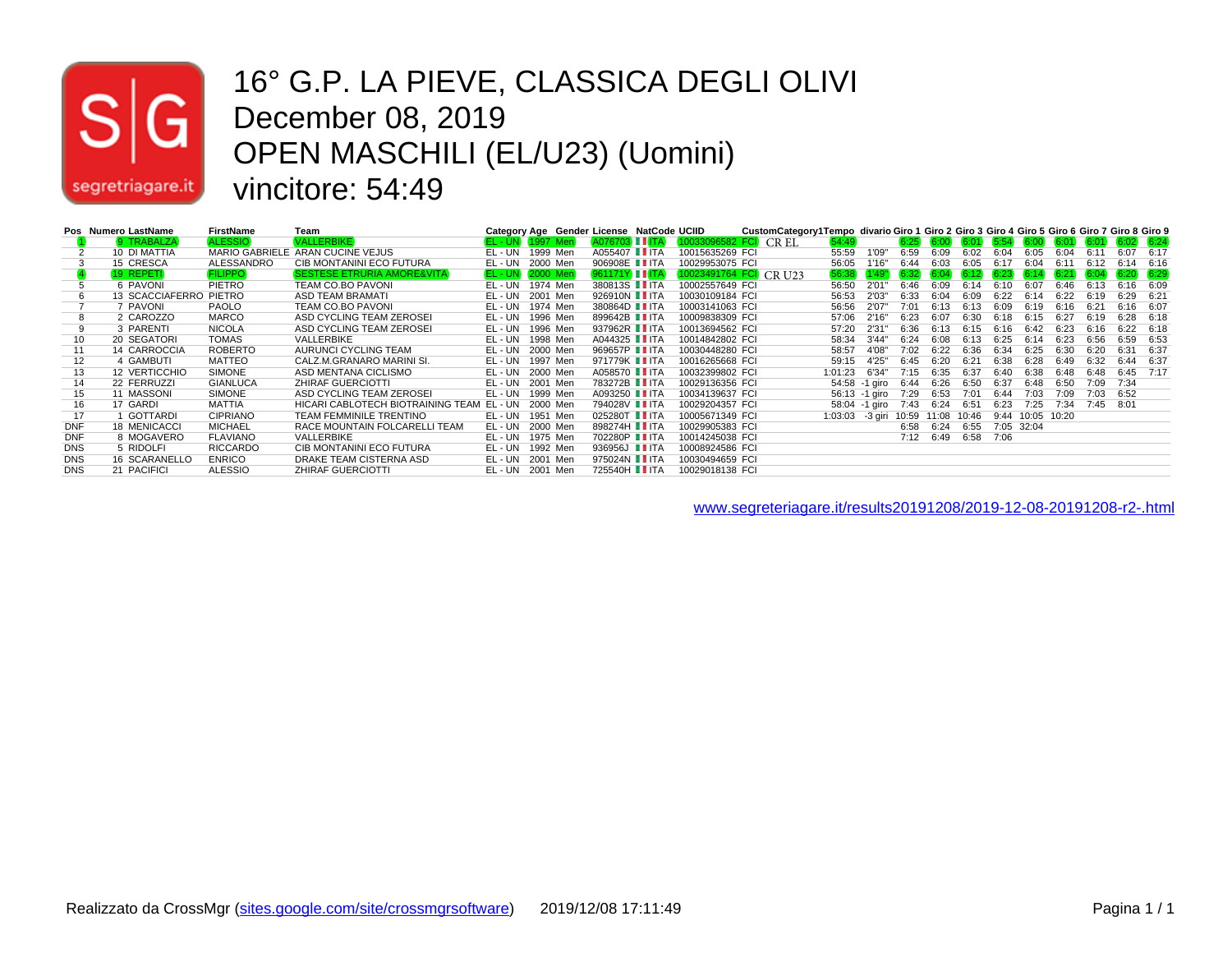

#### 16° G.P. LA PIEVE, CLASSICA DEGLI OLIVI December 08, 2019 OPEN MASCHILI (EL/U23) (Uomini) vincitore: 54:49

|            | Pos Numero LastName    | <b>FirstName</b> | Team                                      |                       |          | Category Age Gender License NatCode UCIID |                        | CustomCategory1Tempo divario Giro 1 Giro 2 Giro 3 Giro 4 Giro 5 Giro 6 Giro 7 Giro 8 Giro 9 |                    |                 |      |             |       |      |                                                                                        |       |      |               |      |
|------------|------------------------|------------------|-------------------------------------------|-----------------------|----------|-------------------------------------------|------------------------|---------------------------------------------------------------------------------------------|--------------------|-----------------|------|-------------|-------|------|----------------------------------------------------------------------------------------|-------|------|---------------|------|
|            | 9 TRABALZA             | <b>ALESSIO</b>   | <b>VALLERBIKE</b>                         | <b>EL-UN 1997 Men</b> |          | A076703 LLITA                             | 10033096582 FCI CR EL  |                                                                                             | 54:49              |                 |      | $6:25$ 6:00 | 6:01  |      | $\begin{array}{ c c c c c c c c } \hline 6:54 & 6:00 & 6:01 & 6:01 \hline \end{array}$ |       |      | $6:02$ $6:24$ |      |
|            | 10 DI MATTIA           |                  | MARIO GABRIELE ARAN CUCINE VEJUS          | EL-UN                 | 1999 Men | A055407 <b>■ ITA</b>                      | 10015635269 FCI        |                                                                                             | 55:59              | 1'09"           | 6:59 | 6:09        | 6:02  | 6:04 | 6:05                                                                                   | 6:04  | 6.11 | 6:07          | 6:17 |
|            | 15 CRESCA              | ALESSANDRO       | CIB MONTANINI ECO FUTURA                  | EL - UN               | 2000 Men | 906908E IITA                              | 10029953075 FCI        |                                                                                             | 56:05              | 1'16"           | 6:44 | 6:03        | 6:05  | 6:17 | 6:04                                                                                   | 6:11  | 6:12 | 6:14          | 6:16 |
|            | 19 REPETI              | <b>FILIPPO</b>   | <b>SESTESE ETRURIA AMORE&amp;VITA</b>     | <b>EL-UN 2000 Men</b> |          | $961171Y$ IIITA                           | 10023491764 FCI CR U23 |                                                                                             |                    | $56:38$ $1'49"$ | 6:32 | 6:04        | 6:12  | 6:23 | 6:14                                                                                   | 6:21  | 6:04 | $6:20$ $6:29$ |      |
| 5          | 6 PAVONI               | <b>PIETRO</b>    | <b>TEAM CO.BO PAVONI</b>                  | EL - UN               | 1974 Men | 380813S IITA                              | 10002557649 FCI        |                                                                                             | 56:50              | 2'01"           | 6:46 | 6:09        | 6:14  | 6:10 | 6:07                                                                                   | 6:46  | 6:13 | 6:16          | 6:09 |
|            | 13 SCACCIAFERRO PIETRO |                  | ASD TEAM BRAMATI                          | EL - UN               | 2001 Men | 926910N II ITA                            | 10030109184 FCI        |                                                                                             | 56:53              | 2'03"           | 6:33 | 6:04        | 6:09  | 6:22 | 6:14                                                                                   | 6:22  | 6:19 | 6:29          | 6:21 |
|            | 7 PAVONI               | PAOLO            | <b>TEAM CO.BO PAVONI</b>                  | EL - UN               | 1974 Men | 380864D <b>I</b> ITA                      | 10003141063 FCI        |                                                                                             | 56:56              | 2'07"           | 7:01 | 6:13        | 6:13  | 6:09 | 6:19                                                                                   | 6:16  | 6:21 | 6:16          | 6:07 |
| 8          | 2 CAROZZO              | <b>MARCO</b>     | ASD CYCLING TEAM ZEROSEI                  | EL-UN                 | 1996 Men | 899642B IITA                              | 10009838309 FCI        |                                                                                             | 57:06              | 2'16"           | 6:23 | 6:07        | 6:30  | 6:18 | 6:15                                                                                   | 6:27  | 6:19 | 6:28          | 6:18 |
|            | 3 PARENTI              | <b>NICOLA</b>    | ASD CYCLING TEAM ZEROSEI                  | EL - UN               | 1996 Men | 937962R IITA                              | 10013694562 FCI        |                                                                                             | 57:20              | 2'31"           | 6:36 | 6:13        | 6:15  | 6:16 | 6:42                                                                                   | 6:23  | 6:16 | 6:22          | 6:18 |
| 10         | 20 SEGATORI            | <b>TOMAS</b>     | VALLERBIKE                                | EL-UN                 | 1998 Men | A044325 <b>II</b> ITA                     | 10014842802 FCI        |                                                                                             | 58:34              | 3'44"           | 6:24 | 6:08        | 6:13  | 6:25 | 6:14                                                                                   | 6:23  | 6:56 | 6:59          | 6:53 |
| 11         | 14 CARROCCIA           | <b>ROBERTO</b>   | AURUNCI CYCLING TEAM                      | EL-UN                 | 2000 Men | 969657P IITA                              | 10030448280 FCI        |                                                                                             | 58:57              | 4'08"           | 7:02 | 6:22        | 6:36  | 6:34 | 6:25                                                                                   | 6:30  | 6:20 | 6:31          | 6:37 |
| 12         | 4 GAMBUTI              | <b>MATTEO</b>    | CALZ.M.GRANARO MARINI SI.                 | EL - UN               | 1997 Men | 971779K II ITA                            | 10016265668 FCI        |                                                                                             | 59:15              | 4'25"           | 6:45 | 6:20        | 6:21  | 6:38 | 6:28                                                                                   | 6:49  | 6:32 | 6:44          | 6:37 |
| 13         | 12 VERTICCHIO          | <b>SIMONE</b>    | ASD MENTANA CICLISMO                      | EL-UN 2000 Men        |          | A058570 <b>II</b> ITA                     | 10032399802 FCI        |                                                                                             | 1:01:23            | 6'34"           | 7:15 | 6:35        | 6:37  | 6:40 | 6:38                                                                                   | 6:48  | 6:48 | 6:45          | 7:17 |
| 14         | 22 FERRUZZI            | <b>GIANLUCA</b>  | <b>ZHIRAF GUERCIOTTI</b>                  | EL-UN 2001 Men        |          | 783272B IITA                              | 10029136356 FCI        |                                                                                             |                    | 54:58 -1 giro   | 6:44 | 6:26        | 6:50  | 6:37 | 6:48                                                                                   | 6:50  | 7:09 | 7:34          |      |
| 15         | 11 MASSONI             | <b>SIMONE</b>    | ASD CYCLING TEAM ZEROSEI                  | EL-UN                 | 1999 Men | A093250 <b>II</b> ITA                     | 10034139637 FCI        |                                                                                             |                    | 56:13 -1 giro   | 7:29 | 6:53        | 7:01  | 6:44 | 7:03                                                                                   | 7:09  | 7:03 | 6:52          |      |
| 16         | 17 GARDI               | <b>MATTIA</b>    | HICARI CABLOTECH BIOTRAINING TEAM EL - UN |                       | 2000 Men | 794028V IITA                              | 10029204357 FCI        |                                                                                             |                    | 58:04 -1 giro   | 7:43 | 6:24        | 6:51  | 6:23 | 7:25                                                                                   | 7:34  | 7:45 | 8:01          |      |
| 17         | 1 GOTTARDI             | <b>CIPRIANO</b>  | TEAM FEMMINILE TRENTINO                   | EL - UN               | 1951 Men | 025280T IITA                              | 10005671349 FCI        |                                                                                             | $1:03:03 - 3$ qiri |                 |      | 10:59 11:08 | 10:46 | 9:44 | 10:05                                                                                  | 10:20 |      |               |      |
| <b>DNF</b> | <b>18 MENICACCI</b>    | <b>MICHAEL</b>   | RACE MOUNTAIN FOLCARELLI TEAM             | EL-UN                 | 2000 Men | 898274H IITA                              | 10029905383 FCI        |                                                                                             |                    |                 | 6:58 | 6:24        | 6:55  |      | 7:05 32:04                                                                             |       |      |               |      |
| <b>DNF</b> | 8 MOGAVERO             | <b>FLAVIANO</b>  | VALLERBIKE                                | EL-UN                 | 1975 Men | 702280P IITA                              | 10014245038 FCI        |                                                                                             |                    |                 | 7:12 | 6:49        | 6:58  | 7:06 |                                                                                        |       |      |               |      |
| <b>DNS</b> | 5 RIDOLFI              | <b>RICCARDO</b>  | CIB MONTANINI ECO FUTURA                  | EL - UN               | 1992 Men | 936956J II ITA                            | 10008924586 FCI        |                                                                                             |                    |                 |      |             |       |      |                                                                                        |       |      |               |      |
| <b>DNS</b> | 16 SCARANELLO          | <b>ENRICO</b>    | DRAKE TEAM CISTERNA ASD                   | EL-UN                 | 2001 Men | 975024N IITA                              | 10030494659 FCI        |                                                                                             |                    |                 |      |             |       |      |                                                                                        |       |      |               |      |
| <b>DNS</b> | 21 PACIFICI            | <b>ALESSIO</b>   | <b>ZHIRAF GUERCIOTTI</b>                  | EL-UN 2001 Men        |          | 725540H IITA                              | 10029018138 FCI        |                                                                                             |                    |                 |      |             |       |      |                                                                                        |       |      |               |      |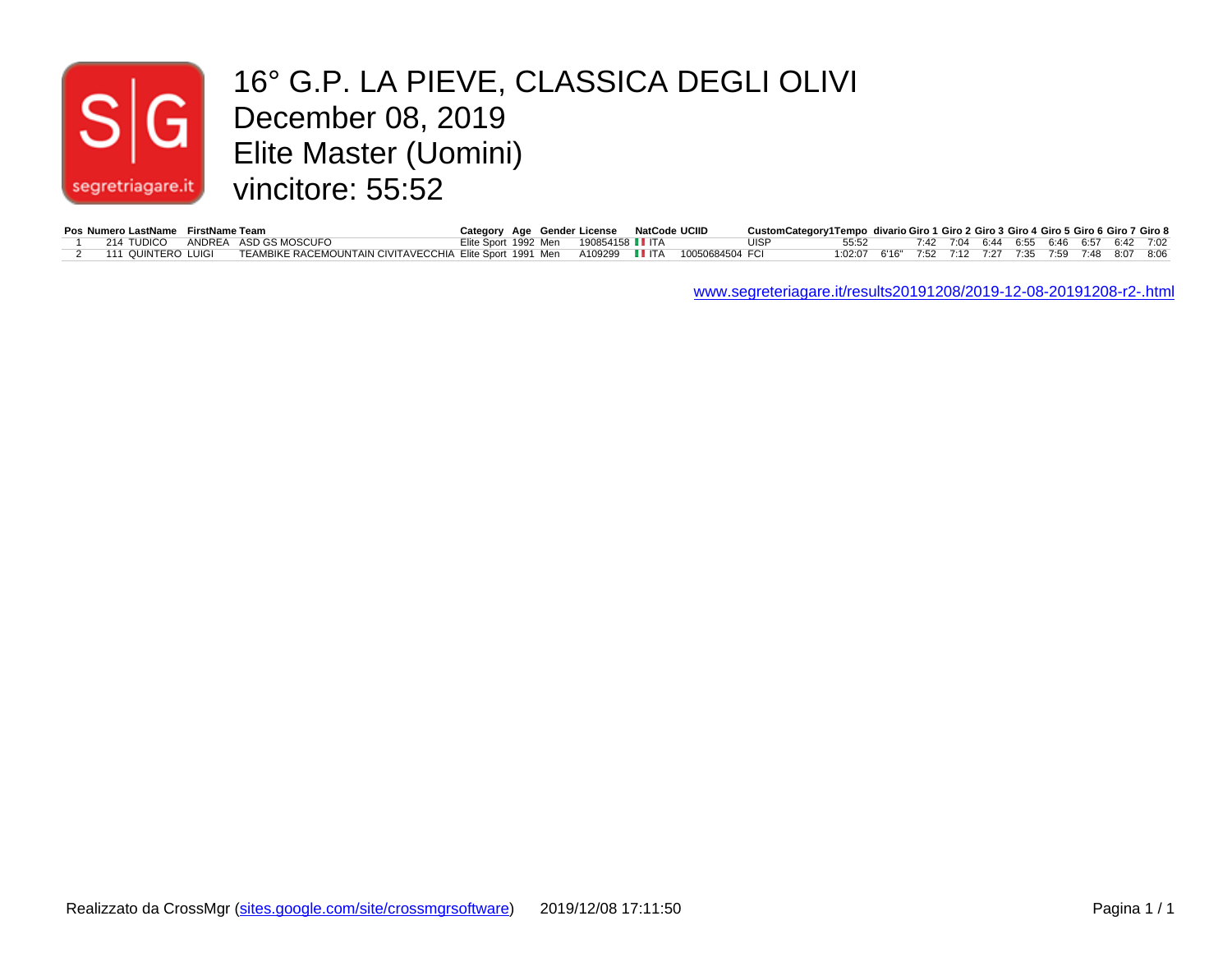## $|S|$ segretriagare.it

#### 16° G.P. LA PIEVE, CLASSICA DEGLI OLIVI<br>December 08, 2019<br>Flite Master (Uomini) December 08, 2019 Elite Master (Uomini) vincitore: 55:52

| Pos Numero LastName FirstName Team |                                                                                           | Category Age Gender License NatCode UCIID |  | CustomCategory1Tempo divario Giro 1 Giro 2 Giro 3 Giro 4 Giro 5 Giro 6 Giro 7 Giro 8 |                                                       |  |  |  |  |                                         |
|------------------------------------|-------------------------------------------------------------------------------------------|-------------------------------------------|--|--------------------------------------------------------------------------------------|-------------------------------------------------------|--|--|--|--|-----------------------------------------|
| 214 TUDICO                         | ANDREA ASD GS MOSCUFO                                                                     | Elite Sport 1992 Men 190854158 ■ ITA      |  | UISP                                                                                 | 55:52                                                 |  |  |  |  | 7:42 7:04 6:44 6:55 6:46 6:57 6:42 7:02 |
| 111 QUINTERO LUIGI                 | TEAMBIKE RACEMOUNTAIN CIVITAVECCHIA Elite Sport 1991 Men   A109299 IIITA  10050684504 FCI |                                           |  |                                                                                      | 1:02:07 6'16" 7:52 7:12 7:27 7:35 7:59 7:48 8:07 8:06 |  |  |  |  |                                         |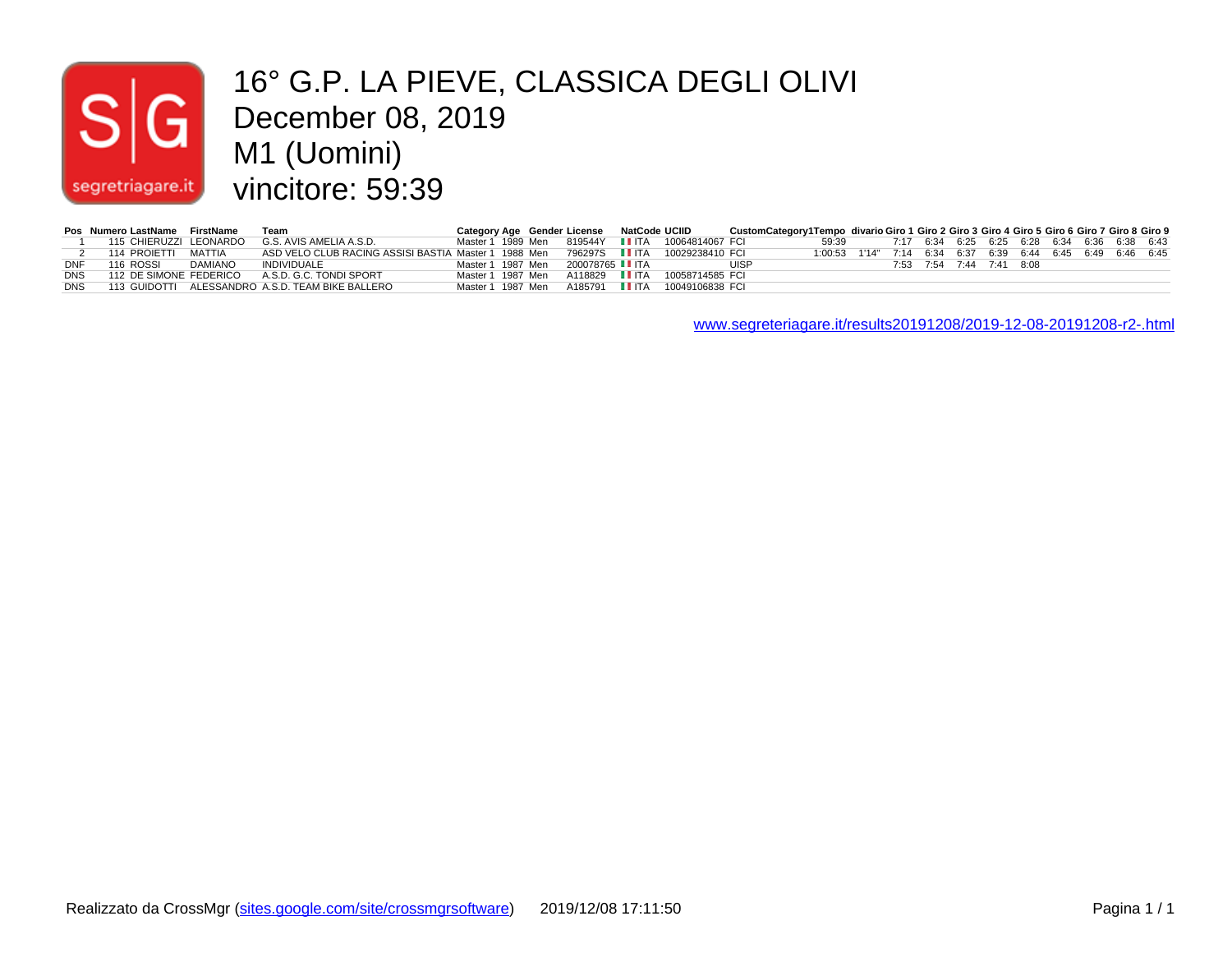# $s<sub>1</sub>$ segretriagare.it

#### 16° G.P. LA PIEVE, CLASSICA DEGLI OLIVI December 08, 2019 M1 (Uomini) vincitore: 59:39

|     | Pos Numero LastName FirstName |         | <b>Team</b>                                                                           |  | Category Age Gender License NatCode UCIID |                                                 | CustomCategory1Tempo divario Giro 1 Giro 2 Giro 3 Giro 4 Giro 5 Giro 6 Giro 7 Giro 8 Giro 9 |                                                            |                                                    |                          |  |  |  |  |
|-----|-------------------------------|---------|---------------------------------------------------------------------------------------|--|-------------------------------------------|-------------------------------------------------|---------------------------------------------------------------------------------------------|------------------------------------------------------------|----------------------------------------------------|--------------------------|--|--|--|--|
|     |                               |         | 115 CHIERUZZI LEONARDO G.S. AVIS AMELIA A.S.D.                                        |  |                                           | Master 1 1989 Men 819544Y IIITA 10064814067 FCL |                                                                                             |                                                            | 59:39 7:17 6:34 6:25 6:25 6:28 6:34 6:36 6:38 6:43 |                          |  |  |  |  |
|     | 114 PROJETTI MATTIA           |         | ASD VELO CLUB RACING ASSISI BASTIA_Master 1_1988_Men  796297S  ■ ITA  10029238410_FCI |  |                                           |                                                 |                                                                                             | 1:00:53 1'14" 7:14 6:34 6:37 6:39 6:44 6:45 6:49 6:46 6:45 |                                                    |                          |  |  |  |  |
| DNF | 116 ROSSI                     | DAMIANO | INDIVIDUALE                                                                           |  | Master 1 1987 Men 200078765 IIITA         |                                                 | <b>UISP</b>                                                                                 |                                                            |                                                    | 7:53 7:54 7:44 7:41 8:08 |  |  |  |  |
|     |                               |         | DNS 112 DE SIMONE FEDERICO A.S.D. G.C. TONDI SPORT                                    |  |                                           | Master 1 1987 Men A118829 ■ ITA 10058714585 FCI |                                                                                             |                                                            |                                                    |                          |  |  |  |  |
|     |                               |         | DNS 113 GUIDOTTI ALESSANDRO A.S.D. TEAM BIKE BALLERO                                  |  |                                           |                                                 |                                                                                             |                                                            |                                                    |                          |  |  |  |  |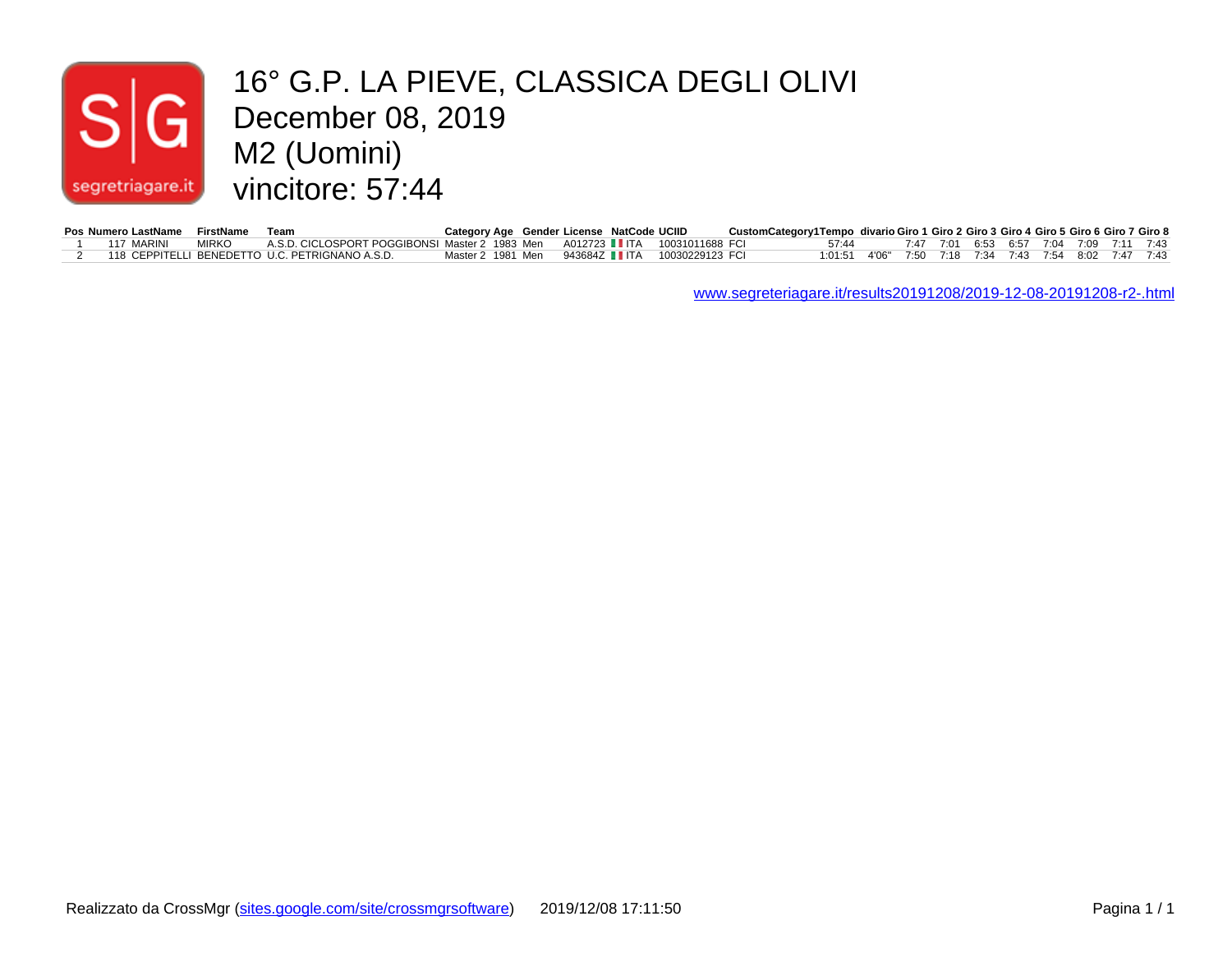#### December 08, 2019 16° G.P. LA PIEVE, CLASSICA DEGLI OLIVI  $|\mathsf{s}|$ M2 (Uomini) vincitore: 57:44 segretriagare.it

|  | Pos Numero LastName FirstName Team |                                                                                   | Category Age Gender License NatCode UCIID        |  |  | CustomCategory1Tempo divario Giro 1 Giro 2 Giro 3 Giro 4 Giro 5 Giro 6 Giro 7 Giro 8 |       |                                                       |  |                                         |  |  |  |
|--|------------------------------------|-----------------------------------------------------------------------------------|--------------------------------------------------|--|--|--------------------------------------------------------------------------------------|-------|-------------------------------------------------------|--|-----------------------------------------|--|--|--|
|  | 117 MARINI                         | MIRKO A.S.D. CICLOSPORT POGGIBONSI Master 2 1983 Men A012723 ∎ITA 10031011688 FCI |                                                  |  |  |                                                                                      | 57.44 |                                                       |  | 7:47 7:01 6:53 6:57 7:04 7:09 7:11 7:43 |  |  |  |
|  |                                    | 118 CEPPITELLI BENEDETTO U.C. PETRIGNANO A.S.D.                                   | Master 2 1981 Men  943684Z LITA  10030229123 FCI |  |  |                                                                                      |       | 1:01:51 4'06" 7:50 7:18 7:34 7:43 7:54 8:02 7:47 7:43 |  |                                         |  |  |  |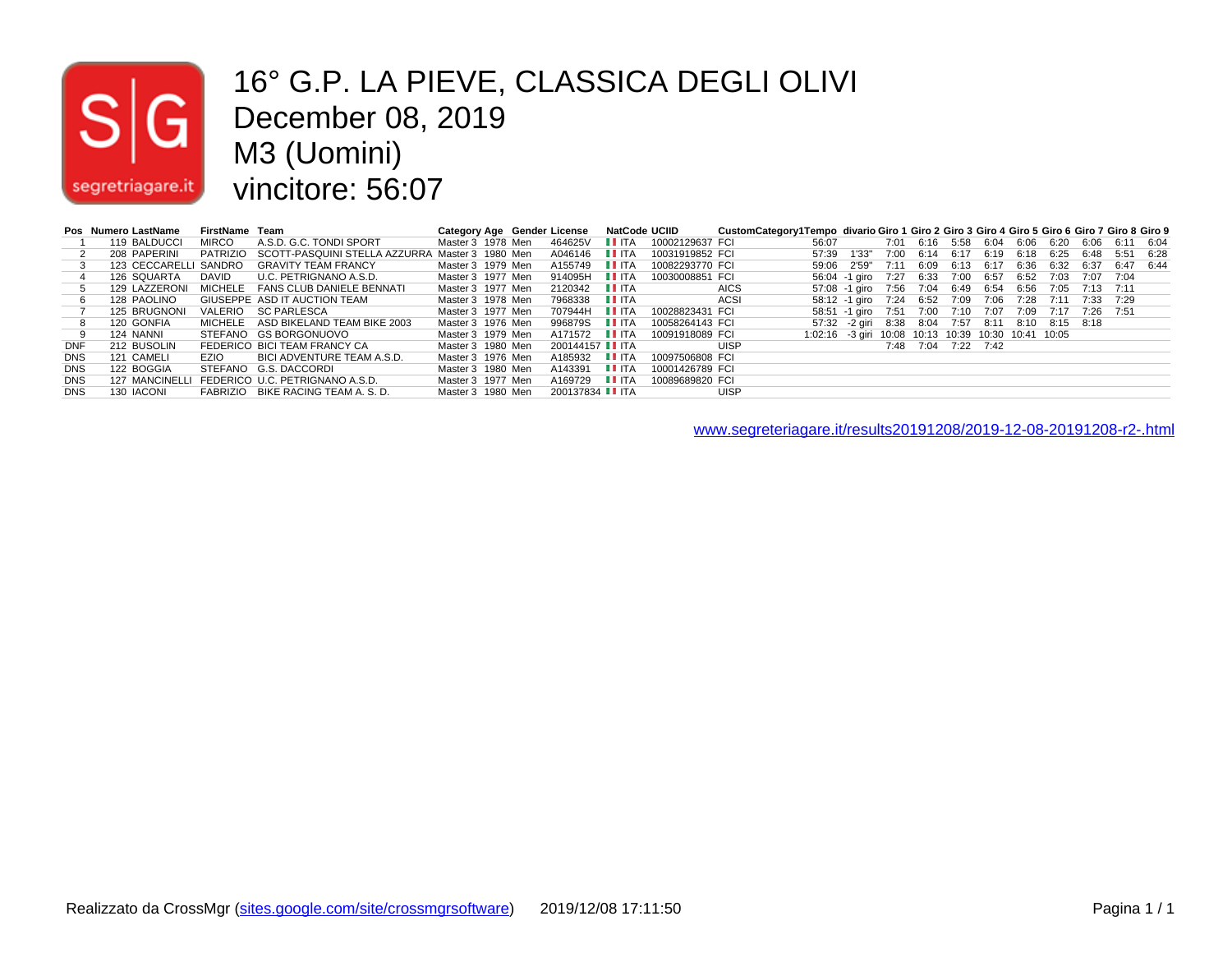# $|\mathsf{s}|$ segretriagare.it

#### 16° G.P. LA PIEVE, CLASSICA DEGLI OLIVI December 08, 2019 M3 (Uomini) vincitore: 56:07

|            | Pos Numero LastName | FirstName Team |                                                          |                   |  | Category Age Gender License | NatCode UCIID                     |                 | CustomCategory1Tempo divario Giro 1 Giro 2 Giro 3 Giro 4 Giro 5 Giro 6 Giro 7 Giro 8 Giro 9 |                                                     |                                                       |      |                               |           |                          |                |           |                |  |
|------------|---------------------|----------------|----------------------------------------------------------|-------------------|--|-----------------------------|-----------------------------------|-----------------|---------------------------------------------------------------------------------------------|-----------------------------------------------------|-------------------------------------------------------|------|-------------------------------|-----------|--------------------------|----------------|-----------|----------------|--|
|            | 119 BALDUCCI        | <b>MIRCO</b>   | A.S.D. G.C. TONDI SPORT                                  | Master 3 1978 Men |  | 464625V                     | II ITA                            | 10002129637 FCI |                                                                                             | 56:07                                               |                                                       |      | 7:01 6:16 5:58 6:04 6:06 6:20 |           |                          |                |           | 6:06 6:11 6:04 |  |
|            | 208 PAPERINI        |                | PATRIZIO SCOTT-PASQUINI STELLA AZZURRA Master 3 1980 Men |                   |  | A046146                     | <b>LLITA</b>                      | 10031919852 FCI |                                                                                             | 57:39                                               | 1'33"                                                 | 7:00 |                               |           | 6:14 6:17 6:19 6:18 6:25 |                | 6:48      | 5:51 6:28      |  |
|            |                     |                | 123 CECCARELLI SANDRO GRAVITY TEAM FRANCY                | Master 3 1979 Men |  | A155749                     | <b>LEITA</b>                      | 10082293770 FCI |                                                                                             |                                                     | 59:06 2'59"                                           | 7:11 | 6:09                          | 6:13 6:17 | 6:36                     | 6:32           | 6:37      | 6:47 6:44      |  |
|            | 126 SQUARTA DAVID   |                | U.C. PETRIGNANO A.S.D.                                   | Master 3 1977 Men |  | 914095H <b>II</b> ITA       |                                   | 10030008851 FCI |                                                                                             |                                                     | 56:04 -1 giro 7:27 6:33 7:00 6:57 6:52                |      |                               |           |                          | 7:03           | 7:07 7:04 |                |  |
|            | 129 LAZZERONI       |                | MICHELE FANS CLUB DANIELE BENNATI                        | Master 3 1977 Men |  | 2120342                     | $\blacksquare$ $\blacksquare$ ITA |                 | <b>AICS</b>                                                                                 |                                                     | 57:08 -1 giro 7:56 7:04 6:49 6:54 6:56                |      |                               |           |                          | 7:05 7:13 7:11 |           |                |  |
|            | 128 PAOLINO         |                | GIUSEPPE ASD IT AUCTION TEAM                             | Master 3 1978 Men |  | 7968338                     | <b>LI</b> ITA                     |                 | ACSI                                                                                        |                                                     | 58:12 -1 giro 7:24 6:52 7:09 7:06 7:28 7:11 7:33 7:29 |      |                               |           |                          |                |           |                |  |
|            | 125 BRUGNONI        |                | VALERIO SC PARLESCA                                      | Master 3 1977 Men |  | 707944H                     | II ITA                            | 10028823431 FCI |                                                                                             |                                                     | 58:51 -1 airo 7:51 7:00 7:10 7:07 7:09 7:17 7:26 7:51 |      |                               |           |                          |                |           |                |  |
|            | 120 GONFIA          |                | MICHELE ASD BIKELAND TEAM BIKE 2003                      | Master 3 1976 Men |  | 996879S IITA                |                                   | 10058264143 FCI |                                                                                             |                                                     | 57:32 -2 giri 8:38 8:04 7:57 8:11 8:10 8:15 8:18      |      |                               |           |                          |                |           |                |  |
|            | 124 NANNI           |                | STEFANO GS BORGONUOVO                                    | Master 3 1979 Men |  | A171572 <b>II</b> ITA       |                                   | 10091918089 FCI |                                                                                             | 1:02:16 -3 airi 10:08 10:13 10:39 10:30 10:41 10:05 |                                                       |      |                               |           |                          |                |           |                |  |
| <b>DNF</b> | 212 BUSOLIN         |                | FEDERICO BICI TEAM FRANCY CA                             | Master 3 1980 Men |  | 200144157 <b>II</b> ITA     |                                   |                 | <b>UISP</b>                                                                                 |                                                     |                                                       |      | 7:48 7:04 7:22 7:42           |           |                          |                |           |                |  |
| <b>DNS</b> | 121 CAMELI          | EZIO           | BICI ADVENTURE TEAM A.S.D.                               | Master 3 1976 Men |  | A185932                     | II ITA                            | 10097506808 FCI |                                                                                             |                                                     |                                                       |      |                               |           |                          |                |           |                |  |
| <b>DNS</b> | 122 BOGGIA          |                | STEFANO G.S. DACCORDI                                    | Master 3 1980 Men |  | A143391                     | <b>TEITA</b>                      | 10001426789 FCI |                                                                                             |                                                     |                                                       |      |                               |           |                          |                |           |                |  |
| <b>DNS</b> | 127 MANCINELLI      |                | FEDERICO U.C. PETRIGNANO A.S.D.                          | Master 3 1977 Men |  | A169729 II ITA              |                                   | 10089689820 FCI |                                                                                             |                                                     |                                                       |      |                               |           |                          |                |           |                |  |
| <b>DNS</b> | 130 IACONI          |                | FABRIZIO BIKE RACING TEAM A. S. D.                       | Master 3 1980 Men |  | 200137834 <b>■ I</b> ITA    |                                   |                 | <b>UISP</b>                                                                                 |                                                     |                                                       |      |                               |           |                          |                |           |                |  |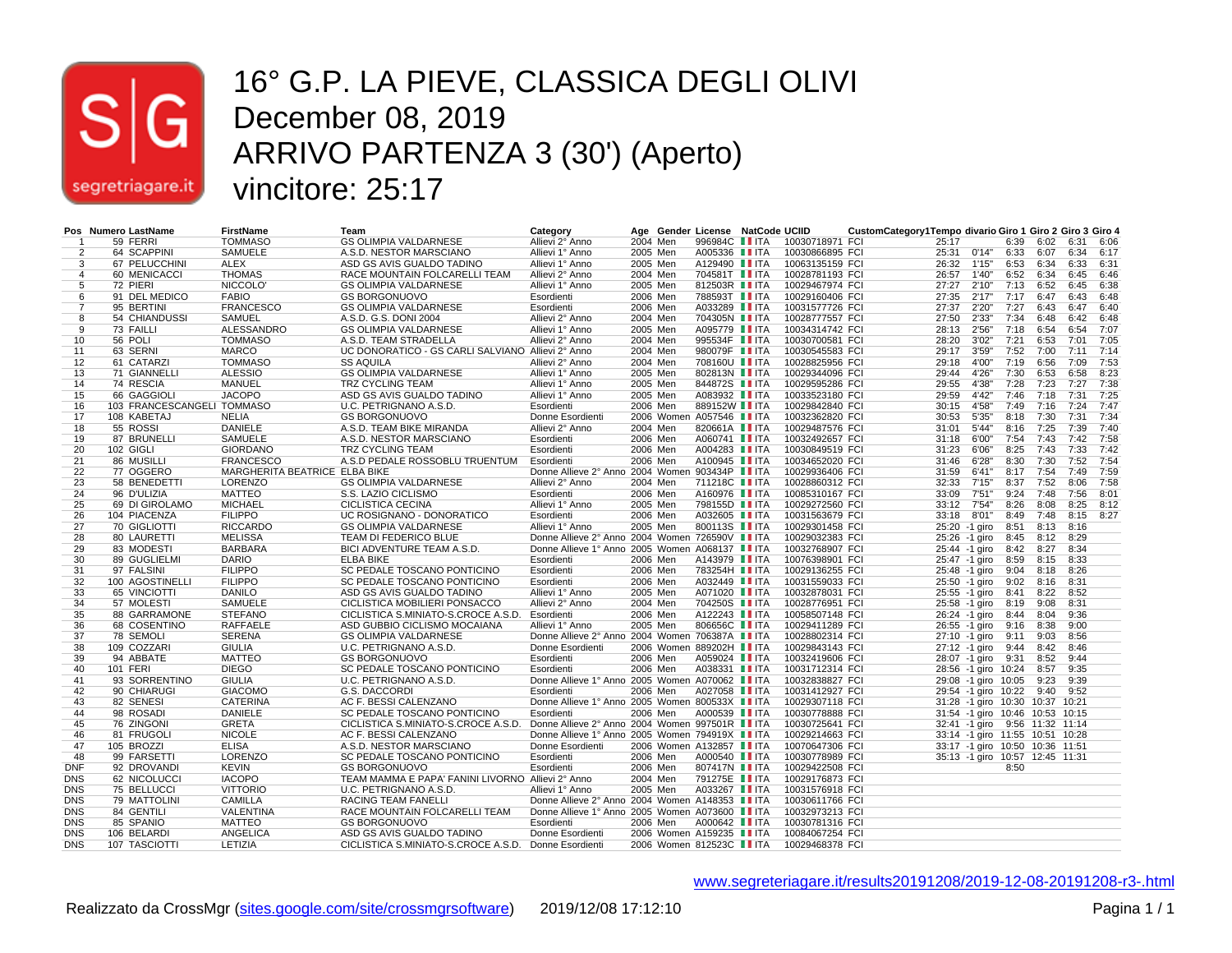

#### 16° G.P. LA PIEVE, CLASSICA DEGLI OLIVI December 08, 2019 ARRIVO PARTENZA 3 (30') (Aperto) vincitore: 25:17

|                | Pos Numero LastName        | <b>FirstName</b>              | Team                                                 | Category                                        |          | Age Gender License NatCode UCIID |                 | CustomCategory1Tempo divario Giro 1 Giro 2 Giro 3 Giro 4 |                                 |              |      |               |              |
|----------------|----------------------------|-------------------------------|------------------------------------------------------|-------------------------------------------------|----------|----------------------------------|-----------------|----------------------------------------------------------|---------------------------------|--------------|------|---------------|--------------|
|                | 59 FERRI                   | <b>TOMMASO</b>                | <b>GS OLIMPIA VALDARNESE</b>                         | Allievi 2° Anno                                 | 2004 Men | 996984C IIITA                    | 10030718971 FCI | 25:17                                                    |                                 | 6:39         | 6:02 | 6:31 6:06     |              |
| $\overline{2}$ | 64 SCAPPINI                | SAMUELE                       | A.S.D. NESTOR MARSCIANO                              | Allievi 1° Anno                                 | 2005 Men | A005336 IITA                     | 10030866895 FCI |                                                          | 25:31 0'14"                     | 6:33         | 6:07 | 6:34 6:17     |              |
| 3              | 67 PELUCCHINI              | <b>ALEX</b>                   | ASD GS AVIS GUALDO TADINO                            | Allievi 1° Anno                                 | 2005 Men | A129490 II ITA                   | 10063135159 FCI | 26:32                                                    | 1'15"                           | 6:53         | 6:34 | 6:33 6:31     |              |
| 4              | 60 MENICACCI               | <b>THOMAS</b>                 | RACE MOUNTAIN FOLCARELLI TEAM                        | Allievi 2° Anno                                 | 2004 Men | 704581T <b>II</b> ITA            | 10028781193 FCI | 26:57                                                    | 1'40"                           | 6:52         | 6:34 | 6:45 6:46     |              |
| 5              | 72 PIERI                   | NICCOLO'                      | <b>GS OLIMPIA VALDARNESE</b>                         | Allievi 1° Anno                                 | 2005 Men | 812503R II ITA                   | 10029467974 FCI | 27:27                                                    | 2'10"                           | 7:13         | 6:52 | 6:45          | 6:38         |
| 6              | 91 DEL MEDICO              | <b>FABIO</b>                  | <b>GS BORGONUOVO</b>                                 | Esordienti                                      | 2006 Men | 788593T IITA                     | 10029160406 FCI | 27:35                                                    | 2'17"                           | 7:17         | 6:47 | 6:43          | 6:48         |
| $\overline{7}$ | 95 BERTINI                 | <b>FRANCESCO</b>              | <b>GS OLIMPIA VALDARNESE</b>                         | Esordienti                                      | 2006 Men | A033289 IITA                     | 10031577726 FCI | 27:37                                                    | 2'20"                           | 7:27         | 6:43 | 6:47 6:40     |              |
| 8              | 54 CHIANDUSSI              | <b>SAMUEL</b>                 | A.S.D. G.S. DONI 2004                                | Allievi 2° Anno                                 | 2004 Men | 704305N IITA                     | 10028777557 FCI | 27:50                                                    | 2'33"                           | 7:34         | 6:48 | 6:42          | 6:48         |
| 9              | 73 FAILLI                  | ALESSANDRO                    | <b>GS OLIMPIA VALDARNESE</b>                         | Allievi 1° Anno                                 | 2005 Men | A095779 IITA                     | 10034314742 FCI | 28:13                                                    | 2'56"                           | 7:18         | 6:54 | 6:54          | 7:07         |
| 10             | 56 POLI                    | <b>TOMMASO</b>                |                                                      |                                                 | 2004 Men | 995534F <b>II</b> ITA            |                 |                                                          | 3'02"                           | 7:21         | 6:53 | 7:01          | 7:05         |
|                |                            |                               | A.S.D. TEAM STRADELLA                                | Allievi 2° Anno                                 |          | 980079F <b>IIITA</b>             | 10030700581 FCI | 28:20                                                    |                                 | 7:52         |      | 7:11          |              |
| 11             | 63 SERNI                   | <b>MARCO</b>                  | UC DONORATICO - GS CARLI SALVIANO Allievi 2º Anno    |                                                 | 2004 Men |                                  | 10030545583 FCI | 29:17                                                    | 3'59"                           |              | 7:00 |               | 7:14         |
| 12             | 61 CATARZI                 | <b>TOMMASO</b>                | <b>SS AQUILA</b>                                     | Allievi 2° Anno                                 | 2004 Men | 708160U <b>II</b> ITA            | 10028825956 FCI | 29:18                                                    | 4'00"<br>4'26"                  | 7:19<br>7:30 | 6:56 | 7:09          | 7:53<br>8:23 |
| 13             | 71 GIANNELLI               | <b>ALESSIO</b>                | <b>GS OLIMPIA VALDARNESE</b>                         | Allievi 1° Anno                                 | 2005 Men | 802813N II ITA                   | 10029344096 FCI | 29:44                                                    |                                 |              | 6:53 | 6:58          |              |
| 14             | 74 RESCIA                  | <b>MANUEL</b>                 | TRZ CYCLING TEAM                                     | Allievi 1° Anno                                 | 2005 Men | 844872S IITA                     | 10029595286 FCI | 29:55                                                    | 4'38"                           | 7:28         | 7:23 | 7:27          | 7:38         |
| 15             | 66 GAGGIOLI                | <b>JACOPO</b>                 | ASD GS AVIS GUALDO TADINO                            | Allievi 1° Anno                                 | 2005 Men | A083932 II ITA                   | 10033523180 FCI | 29:59                                                    | 4'42"                           | 7:46         | 7:18 | 7:31          | 7:25         |
| 16             | 103 FRANCESCANGELI TOMMASO |                               | U.C. PETRIGNANO A.S.D.                               | Esordienti                                      | 2006 Men | 889152W II ITA                   | 10029842840 FCI | 30:15                                                    | 4'58"                           | 7:49         | 7:16 | 7:24          | 7:47         |
| 17             | 108 KABETAJ                | <b>NELIA</b>                  | <b>GS BORGONUOVO</b>                                 | Donne Esordienti                                |          | 2006 Women A057546 IITA          | 10032362820 FCI | 30:53                                                    | 5'35"                           | 8:18         | 7:30 | 7:31          | 7:34         |
| 18             | 55 ROSSI                   | DANIELE                       | A.S.D. TEAM BIKE MIRANDA                             | Allievi 2° Anno                                 | 2004 Men | 820661A <b>II</b> ITA            | 10029487576 FCI | 31:01                                                    | 5'44"                           | 8:16         | 7:25 | 7:39          | 7:40         |
| 19             | 87 BRUNELLI                | SAMUELE                       | A.S.D. NESTOR MARSCIANO                              | Esordienti                                      | 2006 Men | A060741 <b>III</b> ITA           | 10032492657 FCI | 31:18                                                    | 6'00"                           | 7:54         | 7:43 | 7:42          | 7:58         |
| 20             | 102 GIGLI                  | <b>GIORDANO</b>               | TRZ CYCLING TEAM                                     | Esordienti                                      | 2006 Men | A004283 IITA                     | 10030849519 FCI | 31:23                                                    | 6'06"                           | 8:25         | 7:43 | 7:33          | 7:42         |
| 21             | 86 MUSILLI                 | <b>FRANCESCO</b>              | A.S.D PEDALE ROSSOBLU TRUENTUM                       | Esordienti                                      | 2006 Men | A100945 IITA                     | 10034652020 FCI | 31:46                                                    | 6'28"                           | 8:30         | 7:30 | 7:52          | 7:54         |
| 22             | 77 OGGERO                  | MARGHERITA BEATRICE ELBA BIKE |                                                      | Donne Allieve 2° Anno 2004 Women 903434P IITA   |          |                                  | 10029936406 FCI | 31:59                                                    | 6'41"                           | 8:17         | 7:54 | 7:49          | 7:59         |
| 23             | 58 BENEDETTI               | LORENZO                       | <b>GS OLIMPIA VALDARNESE</b>                         | Allievi 2° Anno                                 | 2004 Men | 711218C <b>II</b> ITA            | 10028860312 FCI | 32:33                                                    | 7'15"                           | 8:37         | 7:52 | 8:06          | 7:58         |
| 24             | 96 D'ULIZIA                | <b>MATTEO</b>                 | S.S. LAZIO CICLISMO                                  | Esordienti                                      | 2006 Men | A160976 IIITA                    | 10085310167 FCI | 33:09                                                    | 7'51"                           | 9:24         | 7:48 | 7:56          | 8:01         |
| 25             | 69 DI GIROLAMO             | <b>MICHAEL</b>                | <b>CICLISTICA CECINA</b>                             | Allievi 1° Anno                                 | 2005 Men | 798155D <b>II</b> ITA            | 10029272560 FCI | 33:12                                                    | 7'54"                           | 8:26         | 8:08 | $8:25$ $8:12$ |              |
| 26             | 104 PIACENZA               | <b>FILIPPO</b>                | UC ROSIGNANO - DONORATICO                            | Esordienti                                      | 2006 Men | A032605 II ITA                   | 10031563679 FCI | 33:18                                                    | 8'01"                           | 8:49         | 7:48 | 8:15 8:27     |              |
| 27             | 70 GIGLIOTTI               | <b>RICCARDO</b>               | <b>GS OLIMPIA VALDARNESE</b>                         | Allievi 1° Anno                                 | 2005 Men | 800113S <b>II ITA</b>            | 10029301458 FCI |                                                          | 25:20 -1 giro                   | 8:51         | 8:13 | 8:16          |              |
| 28             | 80 LAURETTI                | <b>MELISSA</b>                | TEAM DI FEDERICO BLUE                                | Donne Allieve 2° Anno 2004 Women 726590V IIITA  |          |                                  | 10029032383 FCI |                                                          | 25:26 -1 giro                   | 8:45         | 8:12 | 8:29          |              |
| 29             | 83 MODESTI                 | <b>BARBARA</b>                | BICI ADVENTURE TEAM A.S.D.                           | Donne Allieve 1° Anno 2005 Women A068137 II ITA |          |                                  | 10032768907 FCI |                                                          | 25:44 -1 giro                   | 8:42         | 8:27 | 8:34          |              |
| 30             | 89 GUGLIELMI               | <b>DARIO</b>                  | <b>ELBA BIKE</b>                                     | Esordienti                                      | 2006 Men | A143979 IITA                     | 10076398901 FCI |                                                          | 25:47 -1 giro                   | 8:59         | 8:15 | 8:33          |              |
| 31             | 97 FALSINI                 | <b>FILIPPO</b>                | SC PEDALE TOSCANO PONTICINO                          | Esordienti                                      | 2006 Men | 783254H IITA                     | 10029136255 FCI |                                                          | 25:48 -1 giro                   | 9:04         | 8:18 | 8:26          |              |
| 32             | 100 AGOSTINELLI            | <b>FILIPPO</b>                | SC PEDALE TOSCANO PONTICINO                          | Esordienti                                      | 2006 Men | A032449 II ITA                   | 10031559033 FCI |                                                          | 25:50 -1 giro                   | 9:02         | 8:16 | 8:31          |              |
| 33             | 65 VINCIOTTI               | <b>DANILO</b>                 | ASD GS AVIS GUALDO TADINO                            | Allievi 1° Anno                                 | 2005 Men | A071020 <b>II</b> ITA            | 10032878031 FCI |                                                          | 25:55 -1 giro                   | 8:41         | 8:22 | 8:52          |              |
| 34             | 57 MOLESTI                 | SAMUELE                       | CICLISTICA MOBILIERI PONSACCO                        | Allievi 2° Anno                                 | 2004 Men | 704250S IITA                     | 10028776951 FCI |                                                          | 25:58 -1 giro                   | 8:19         | 9:08 | 8:31          |              |
| 35             | 88 GARRAMONE               | <b>STEFANO</b>                | CICLISTICA S.MINIATO-S.CROCE A.S.D.                  | Esordienti                                      | 2006 Men | A122243 IITA                     | 10058507148 FCI |                                                          | 26:24 -1 giro                   | 8:44         | 8:04 | 9:36          |              |
| 36             | 68 COSENTINO               | <b>RAFFAELE</b>               | ASD GUBBIO CICLISMO MOCAIANA                         | Allievi 1° Anno                                 | 2005 Men | 806656C <b>II</b> ITA            | 10029411289 FCI |                                                          | 26:55 -1 giro                   | 9:16         | 8:38 | 9:00          |              |
| 37             | 78 SEMOLI                  | <b>SERENA</b>                 | <b>GS OLIMPIA VALDARNESE</b>                         | Donne Allieve 2° Anno 2004 Women 706387A II ITA |          |                                  | 10028802314 FCI |                                                          | 27:10 -1 giro                   | 9:11         | 9:03 | 8:56          |              |
| 38             | 109 COZZARI                | <b>GIULIA</b>                 | U.C. PETRIGNANO A.S.D.                               | Donne Esordienti                                |          | 2006 Women 889202H IITA          | 10029843143 FCI |                                                          | 27:12 -1 giro                   | 9:44         | 8:42 | 8:46          |              |
| 39             | 94 ABBATE                  | <b>MATTEO</b>                 | <b>GS BORGONUOVO</b>                                 | Esordienti                                      | 2006 Men | A059024   ITA                    | 10032419606 FCI |                                                          | 28:07 -1 giro                   | 9:31         | 8:52 | 9:44          |              |
| 40             | <b>101 FERI</b>            | <b>DIEGO</b>                  | SC PEDALE TOSCANO PONTICINO                          | Esordienti                                      | 2006 Men | A038331 II ITA                   | 10031712314 FCI |                                                          | 28:56 -1 giro 10:24             |              | 8:57 | 9:35          |              |
| 41             | 93 SORRENTINO              | <b>GIULIA</b>                 | U.C. PETRIGNANO A.S.D.                               | Donne Allieve 1° Anno 2005 Women A070062 II ITA |          |                                  | 10032838827 FCI |                                                          | 29:08 -1 giro 10:05             |              | 9:23 | 9:39          |              |
| 42             | 90 CHIARUGI                | <b>GIACOMO</b>                | G.S. DACCORDI                                        | Esordienti                                      | 2006 Men | A027058 IITA                     | 10031412927 FCI |                                                          | 29:54 -1 giro 10:22             |              | 9:40 | 9:52          |              |
| 43             | 82 SENESI                  | <b>CATERINA</b>               | AC F. BESSI CALENZANO                                | Donne Allieve 1° Anno 2005 Women 800533X IITA   |          |                                  | 10029307118 FCI |                                                          | 31:28 -1 giro 10:30 10:37 10:21 |              |      |               |              |
| 44             | 98 ROSADI                  | <b>DANIELE</b>                | SC PEDALE TOSCANO PONTICINO                          | Esordienti                                      | 2006 Men | A000539 II ITA                   | 10030778888 FCI |                                                          | 31:54 -1 giro 10:46 10:53 10:15 |              |      |               |              |
| 45             | 76 ZINGONI                 | <b>GRETA</b>                  | CICLISTICA S.MINIATO-S.CROCE A.S.D.                  | Donne Allieve 2° Anno 2004 Women 997501R IITA   |          |                                  | 10030725641 FCI |                                                          | 32:41 -1 giro 9:56 11:32 11:14  |              |      |               |              |
| 46             | 81 FRUGOLI                 | <b>NICOLE</b>                 | AC F. BESSI CALENZANO                                | Donne Allieve 1° Anno 2005 Women 794919X IIITA  |          |                                  | 10029214663 FCI |                                                          | 33:14 -1 giro 11:55 10:51 10:28 |              |      |               |              |
| 47             | 105 BROZZI                 | <b>ELISA</b>                  | A.S.D. NESTOR MARSCIANO                              | Donne Esordienti                                |          | 2006 Women A132857 IITA          | 10070647306 FCI |                                                          | 33:17 -1 giro 10:50 10:36 11:51 |              |      |               |              |
| 48             | 99 FARSETTI                | LORENZO                       | SC PEDALE TOSCANO PONTICINO                          | Esordienti                                      | 2006 Men | A000540 <b>II ITA</b>            | 10030778989 FCI |                                                          | 35:13 -1 giro 10:57 12:45 11:31 |              |      |               |              |
| <b>DNF</b>     | 92 DROVANDI                | <b>KEVIN</b>                  | <b>GS BORGONUOVO</b>                                 | Esordienti                                      | 2006 Men | 807417N IITA                     | 10029422508 FCI |                                                          |                                 | 8:50         |      |               |              |
| <b>DNS</b>     | 62 NICOLUCCI               | <b>IACOPO</b>                 | TEAM MAMMA E PAPA' FANINI LIVORNO Allievi 2° Anno    |                                                 | 2004 Men | 791275E <b>II</b> ITA            | 10029176873 FCI |                                                          |                                 |              |      |               |              |
| <b>DNS</b>     | 75 BELLUCCI                | <b>VITTORIO</b>               | U.C. PETRIGNANO A.S.D.                               | Allievi 1° Anno                                 | 2005 Men | A033267 II ITA                   | 10031576918 FCI |                                                          |                                 |              |      |               |              |
| <b>DNS</b>     | 79 MATTOLINI               | <b>CAMILLA</b>                | RACING TEAM FANELLI                                  | Donne Allieve 2° Anno 2004 Women A148353 IIITA  |          |                                  | 10030611766 FCI |                                                          |                                 |              |      |               |              |
| <b>DNS</b>     | 84 GENTILI                 | VALENTINA                     | RACE MOUNTAIN FOLCARELLI TEAM                        | Donne Allieve 1° Anno 2005 Women A073600 II ITA |          |                                  | 10032973213 FCI |                                                          |                                 |              |      |               |              |
| <b>DNS</b>     | 85 SPANIO                  | <b>MATTEO</b>                 | <b>GS BORGONUOVO</b>                                 | Esordienti                                      | 2006 Men | A000642 II ITA                   | 10030781316 FCI |                                                          |                                 |              |      |               |              |
| <b>DNS</b>     | 106 BELARDI                | ANGELICA                      | ASD GS AVIS GUALDO TADINO                            | Donne Esordienti                                |          | 2006 Women A159235 IITA          | 10084067254 FCI |                                                          |                                 |              |      |               |              |
| <b>DNS</b>     | 107 TASCIOTTI              | LETIZIA                       | CICLISTICA S.MINIATO-S.CROCE A.S.D. Donne Esordienti |                                                 |          | 2006 Women 812523C IITA          | 10029468378 FCI |                                                          |                                 |              |      |               |              |
|                |                            |                               |                                                      |                                                 |          |                                  |                 |                                                          |                                 |              |      |               |              |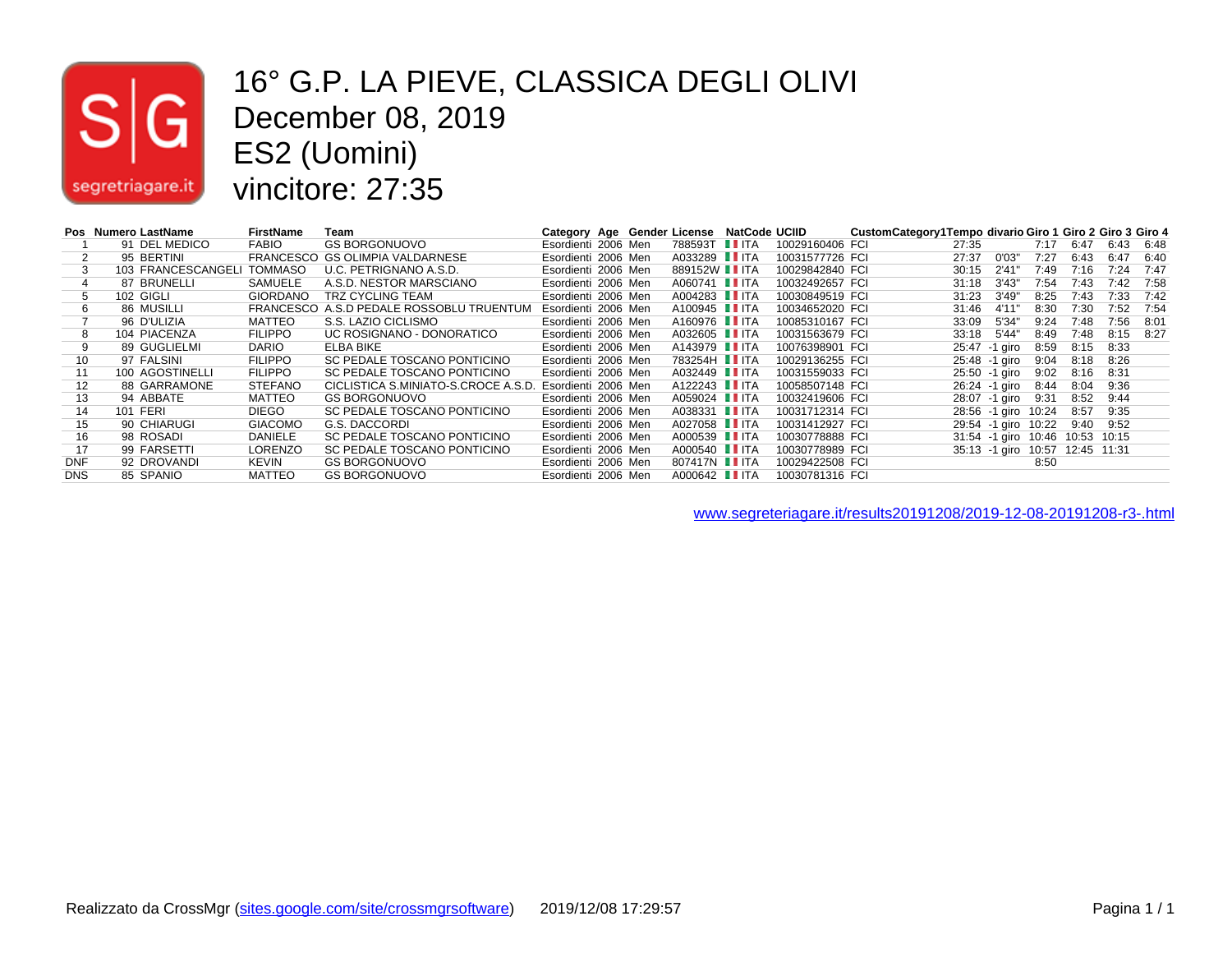

#### 16° G.P. LA PIEVE, CLASSICA DEGLI OLIVI December 08, 2019 ES2 (Uomini) vincitore: 27:35

|            | Pos Numero LastName | FirstName       | Team                                | Category Age Gender License |  |                       | <b>NatCode UCIID</b> |                 | CustomCategory1Tempo divario Giro 1 Giro 2 Giro 3 Giro 4 |       |               |       |             |       |      |
|------------|---------------------|-----------------|-------------------------------------|-----------------------------|--|-----------------------|----------------------|-----------------|----------------------------------------------------------|-------|---------------|-------|-------------|-------|------|
|            | 91 DEL MEDICO       | <b>FABIO</b>    | GS BORGONUOVO                       | Esordienti 2006 Men         |  | 788593T IITA          |                      | 10029160406 FCI |                                                          | 27:35 |               | 7:17  | 6:47        | 6:43  | 6:48 |
|            | 95 BERTINI          |                 | FRANCESCO GS OLIMPIA VALDARNESE     | Esordienti 2006 Men         |  | A033289 II ITA        |                      | 10031577726 FCI |                                                          | 27:37 | 0'03"         | 7:27  | 6:43        | 6:47  | 6:40 |
|            | 103 FRANCESCANGELI  | TOMMASO         | U.C. PETRIGNANO A.S.D.              | Esordienti 2006 Men         |  | 889152W I ITA         |                      | 10029842840 FCI |                                                          | 30:15 | 2'41          | 7:49  | 7:16        | 7:24  | 7:47 |
| 4          | 87 BRUNELLI         | SAMUELE         | A.S.D. NESTOR MARSCIANO             | Esordienti 2006 Men         |  | A060741 IIITA         |                      | 10032492657 FCI |                                                          | 31:18 | 3'43''        | 7:54  | 7:43        | 7:42  | 7:58 |
| 5          | 102 GIGLI           | <b>GIORDANO</b> | <b>TRZ CYCLING TEAM</b>             | Esordienti 2006 Men         |  | A004283 IIITA         |                      | 10030849519 FCI |                                                          | 31:23 | 3'49''        | 8:25  | 7:43        | 7:33  | 7:42 |
| 6          | 86 MUSILLI          | FRANCESCO       | A.S.D PEDALE ROSSOBLU TRUENTUM      | Esordienti 2006 Men         |  | A100945 IITA          |                      | 10034652020 FCI |                                                          | 31:46 | 4'11          | 8:30  | 7:30        | 7:52  | 7:54 |
|            | 96 D'ULIZIA         | MATTEO          | S.S. LAZIO CICLISMO                 | Esordienti 2006 Men         |  | A160976 I ITA         |                      | 10085310167 FCI |                                                          | 33:09 | 5'34"         | 9:24  | 7:48        | 7:56  | 8:01 |
| 8          | 104 PIACENZA        | <b>FILIPPO</b>  | UC ROSIGNANO - DONORATICO           | Esordienti 2006 Men         |  | A032605 II ITA        |                      | 10031563679 FCI |                                                          | 33:18 | 5'44"         | 8:49  | 7:48        | 8:15  | 8:27 |
| 9          | 89 GUGLIELMI        | <b>DARIO</b>    | ELBA BIKE                           | Esordienti 2006 Men         |  | A143979 <b>II</b> ITA |                      | 10076398901 FCI |                                                          |       | 25:47 -1 airo | 8:59  | 8:15        | 8:33  |      |
| 10         | 97 FALSINI          | <b>FILIPPO</b>  | SC PEDALE TOSCANO PONTICINO         | Esordienti 2006 Men         |  | 783254H IITA          |                      | 10029136255 FCI |                                                          |       | 25:48 -1 giro | 9:04  | 8:18        | 8:26  |      |
| 11         | 100 AGOSTINELLI     | <b>FILIPPO</b>  | SC PEDALE TOSCANO PONTICINO         | Esordienti 2006 Men         |  | A032449 IITA          |                      | 10031559033 FCI |                                                          |       | 25:50 -1 giro | 9:02  | 8:16        | 8:31  |      |
| 12         | 88 GARRAMONE        | <b>STEFANO</b>  | CICLISTICA S.MINIATO-S.CROCE A.S.D. | Esordienti 2006 Men         |  | A122243 IIITA         |                      | 10058507148 FCI |                                                          |       | 26:24 -1 airo | 8:44  | 8:04        | 9:36  |      |
| 13         | 94 ABBATE           | <b>MATTEO</b>   | <b>GS BORGONUOVO</b>                | Esordienti 2006 Men         |  | A059024 IIITA         |                      | 10032419606 FCI |                                                          |       | 28:07 -1 airo | 9:31  | 8:52        | 9:44  |      |
| 14         | 101 FERI            | <b>DIEGO</b>    | SC PEDALE TOSCANO PONTICINO         | Esordienti 2006 Men         |  | A038331 II ITA        |                      | 10031712314 FCI |                                                          |       | 28:56 -1 airo | 10:24 | 8:57        | 9:35  |      |
| 15         | 90 CHIARUGI         | <b>GIACOMO</b>  | G.S. DACCORDI                       | Esordienti 2006 Men         |  | A027058 I ITA         |                      | 10031412927 FCI |                                                          |       | 29:54 -1 giro | 10:22 | 9:40        | 9:52  |      |
| 16         | 98 ROSADI           | <b>DANIELE</b>  | SC PEDALE TOSCANO PONTICINO         | Esordienti 2006 Men         |  | A000539 IITA          |                      | 10030778888 FCI |                                                          |       | 31:54 -1 giro | 10:46 | 10:53       | 10:15 |      |
| 17         | 99 FARSETTI         | <b>LORENZO</b>  | SC PEDALE TOSCANO PONTICINO         | Esordienti 2006 Men         |  | A000540 <b>I</b> ITA  |                      | 10030778989 FCI |                                                          |       | 35:13 -1 giro | 10:57 | 12:45 11:31 |       |      |
| <b>DNF</b> | 92 DROVANDI         | KEVIN           | <b>GS BORGONUOVO</b>                | Esordienti 2006 Men         |  | 807417N <b>I</b> ITA  |                      | 10029422508 FCI |                                                          |       |               | 8:50  |             |       |      |
| <b>DNS</b> | 85 SPANIO           | <b>MATTEO</b>   | <b>GS BORGONUOVO</b>                | Esordienti 2006 Men         |  | A000642 <b>I</b> ITA  |                      | 10030781316 FCI |                                                          |       |               |       |             |       |      |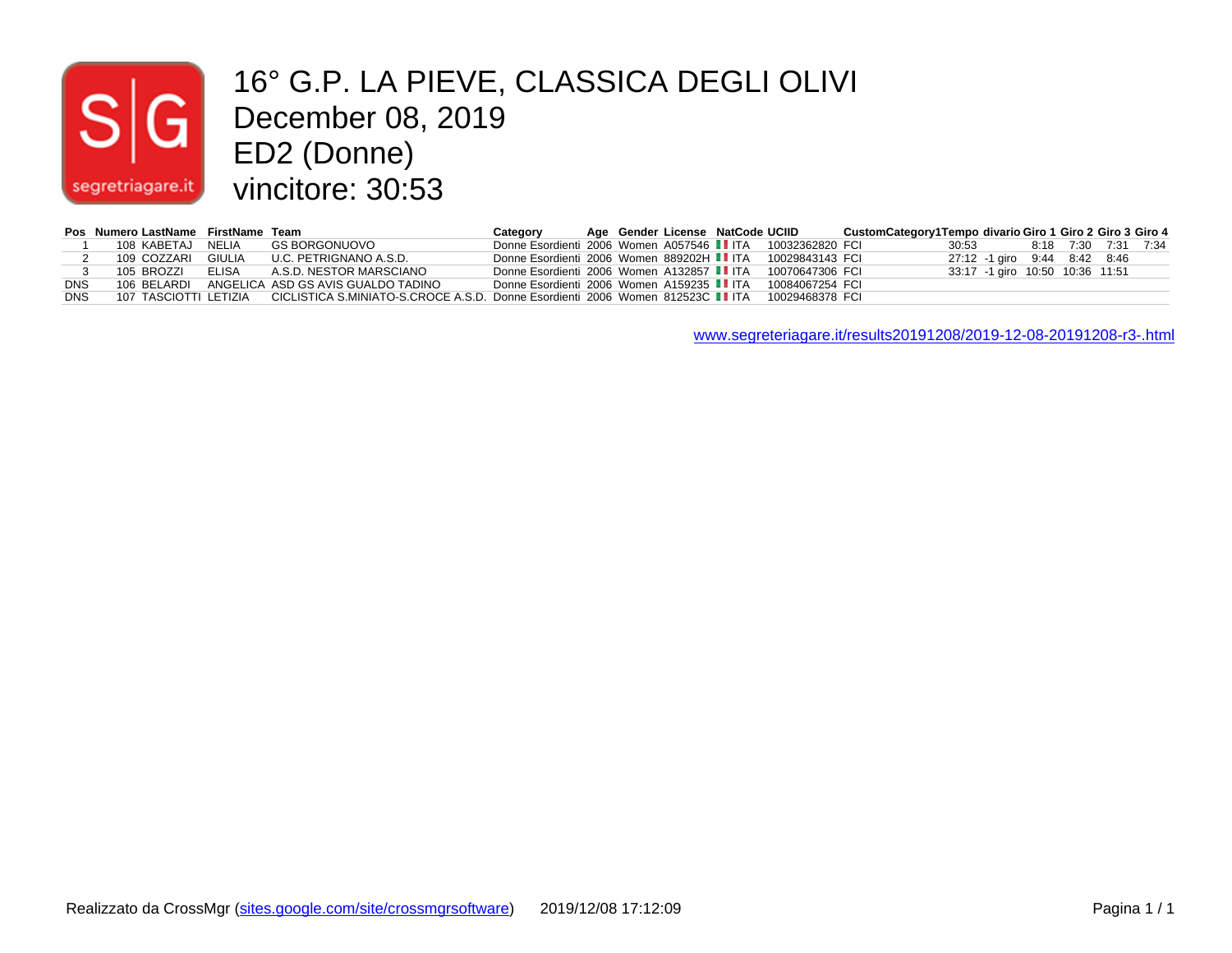# $|\mathsf{s}|$ segretriagare.it

### 16° G.P. LA PIEVE, CLASSICA DEGLI OLIVI December 08, 2019 ED2 (Donne) vincitore: 30:53

|            | Pos Numero LastName FirstName Team |                                                                                                                                | Category                                                  |  | Age Gender License NatCode UCIID |                 | CustomCategory1Tempo divario Giro 1 Giro 2 Giro 3 Giro 4 |                                 |  |  |
|------------|------------------------------------|--------------------------------------------------------------------------------------------------------------------------------|-----------------------------------------------------------|--|----------------------------------|-----------------|----------------------------------------------------------|---------------------------------|--|--|
|            | 108 KABETAJ NELIA                  | GS BORGONUOVO                                                                                                                  | Donne Esordienti 2006 Women A057546 IIITA 10032362820 FCI |  |                                  |                 |                                                          | 30:53 8:18 7:30 7:31 7:34       |  |  |
|            | 109 COZZARI GIULIA                 | U.C. PETRIGNANO A.S.D.                                                                                                         | Donne Esordienti 2006 Women 889202H IIITA 10029843143 FCI |  |                                  |                 |                                                          | 27:12 -1 giro 9:44 8:42 8:46    |  |  |
|            | 105 BROZZI                         | ELISA A.S.D. NESTOR MARSCIANO                                                                                                  | Donne Esordienti 2006 Women A132857 IIITA 10070647306 FCI |  |                                  |                 |                                                          | 33:17 -1 giro 10:50 10:36 11:51 |  |  |
| <b>DNS</b> |                                    | 106 BELARDI ANGELICA ASD GS AVIS GUALDO TADINO                                                                                 | Donne Esordienti 2006 Women A159235 III ITA               |  |                                  | 10084067254 FCI |                                                          |                                 |  |  |
| DNS        |                                    | 107 TASCIOTTI LETIZIA CICLISTICA S.MINIATO-S.CROCE A.S.D. Donne Esordienti 2006 Women 812523C <sup>∎</sup> ITA 10029468378 FCI |                                                           |  |                                  |                 |                                                          |                                 |  |  |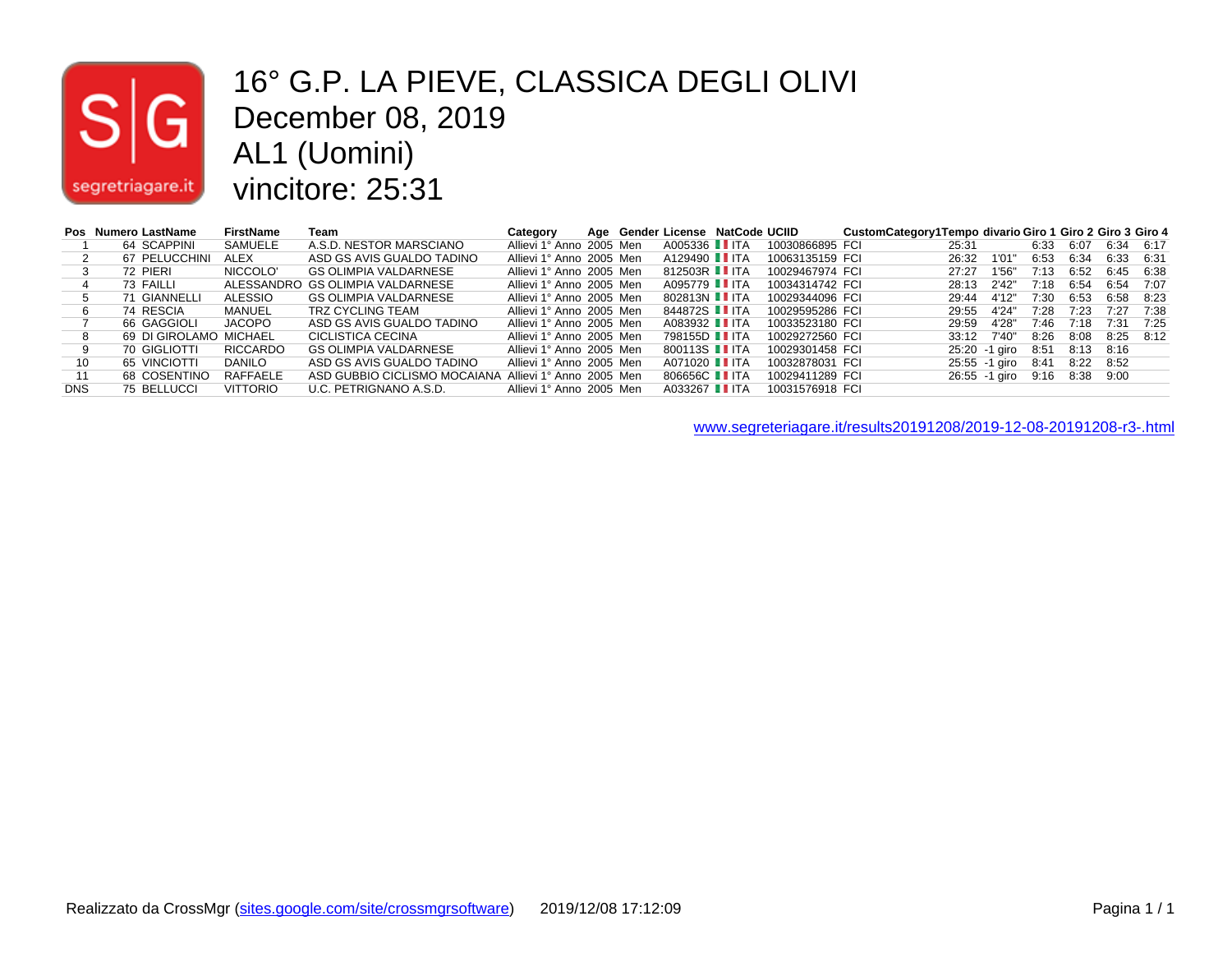

#### 16° G.P. LA PIEVE, CLASSICA DEGLI OLIVI December 08, 2019 AL1 (Uomini) vincitore: 25:31

|            | Pos Numero LastName    | <b>FirstName</b> | Team                                                  | Category                 |  | Age Gender License NatCode UCIID |                 | CustomCategory1Tempo divario Giro 1 Giro 2 Giro 3 Giro 4 |       |               |      |      |      |      |
|------------|------------------------|------------------|-------------------------------------------------------|--------------------------|--|----------------------------------|-----------------|----------------------------------------------------------|-------|---------------|------|------|------|------|
|            | 64 SCAPPINI            | SAMUELE          | A.S.D. NESTOR MARSCIANO                               | Allievi 1° Anno 2005 Men |  | A005336 <b>I</b> ITA             | 10030866895 FCI |                                                          | 25:31 |               | 6:33 | 6:07 | 6:34 | 6:17 |
|            | 67 PELUCCHINI          | ALEX             | ASD GS AVIS GUALDO TADINO                             | Allievi 1° Anno 2005 Men |  | A129490 <b>II</b> ITA            | 10063135159 FCI |                                                          | 26:32 | 1'01          | 6:53 | 6:34 | 6:33 | 6:31 |
|            | 72 PIERI               | NICCOLO'         | <b>GS OLIMPIA VALDARNESE</b>                          | Allievi 1° Anno 2005 Men |  | 812503R I ITA                    | 10029467974 FCI |                                                          | 27:27 | 1'56"         | 7:13 | 6:52 | 6:45 | 6:38 |
|            | 73 FAILLI              |                  | ALESSANDRO GS OLIMPIA VALDARNESE                      | Allievi 1° Anno 2005 Men |  | A095779 I ITA                    | 10034314742 FCI |                                                          | 28:13 | 2'42"         | 7:18 | 6:54 | 6:54 | 7:07 |
|            | 71 GIANNELLI           | ALESSIO          | GS OLIMPIA VALDARNESE                                 | Allievi 1° Anno 2005 Men |  | 802813N L ITA                    | 10029344096 FCI |                                                          | 29:44 | 4'12"         | 7:30 | 6:53 | 6:58 | 8:23 |
|            | 74 RESCIA              | MANUEL           | TRZ CYCLING TEAM                                      | Allievi 1° Anno 2005 Men |  | 844872S IITA                     | 10029595286 FCI |                                                          | 29:55 | 4'24"         | 7:28 | 7:23 | 7:27 | 7:38 |
|            | 66 GAGGIOLI            | JACOPO           | ASD GS AVIS GUALDO TADINO                             | Allievi 1° Anno 2005 Men |  | A083932 TTA                      | 10033523180 FCI |                                                          | 29:59 | 4'28'         | 7:46 | 7:18 | 7:31 | 7:25 |
|            | 69 DI GIROLAMO MICHAEL |                  | CICLISTICA CECINA                                     | Allievi 1° Anno 2005 Men |  | 798155D <b>I</b> ITA             | 10029272560 FCI |                                                          | 33:12 | 7'40"         | 8:26 | 8:08 | 8:25 | 8:12 |
|            | 70 GIGLIOTTI           | <b>RICCARDO</b>  | <b>GS OLIMPIA VALDARNESE</b>                          | Allievi 1° Anno 2005 Men |  | 800113S <b>I</b> ITA             | 10029301458 FCI |                                                          |       | 25:20 -1 airo | 8:51 | 8:13 | 8:16 |      |
| 10         | 65 VINCIOTTI           | <b>DANILO</b>    | ASD GS AVIS GUALDO TADINO                             | Allievi 1° Anno 2005 Men |  | A071020 <b>II</b> ITA            | 10032878031 FCI |                                                          |       | 25:55 -1 giro | 8:41 | 8:22 | 8:52 |      |
|            | 68 COSENTINO           | RAFFAELE         | ASD GUBBIO CICLISMO MOCAIANA Allievi 1° Anno 2005 Men |                          |  | 806656C <b>I</b> ITA             | 10029411289 FCI |                                                          |       | 26:55 -1 giro | 9:16 | 8:38 | 9:00 |      |
| <b>DNS</b> | 75 BELLUCCI            | <b>VITTORIO</b>  | U.C. PETRIGNANO A.S.D.                                | Allievi 1° Anno 2005 Men |  | A033267 I ITA                    | 10031576918 FCI |                                                          |       |               |      |      |      |      |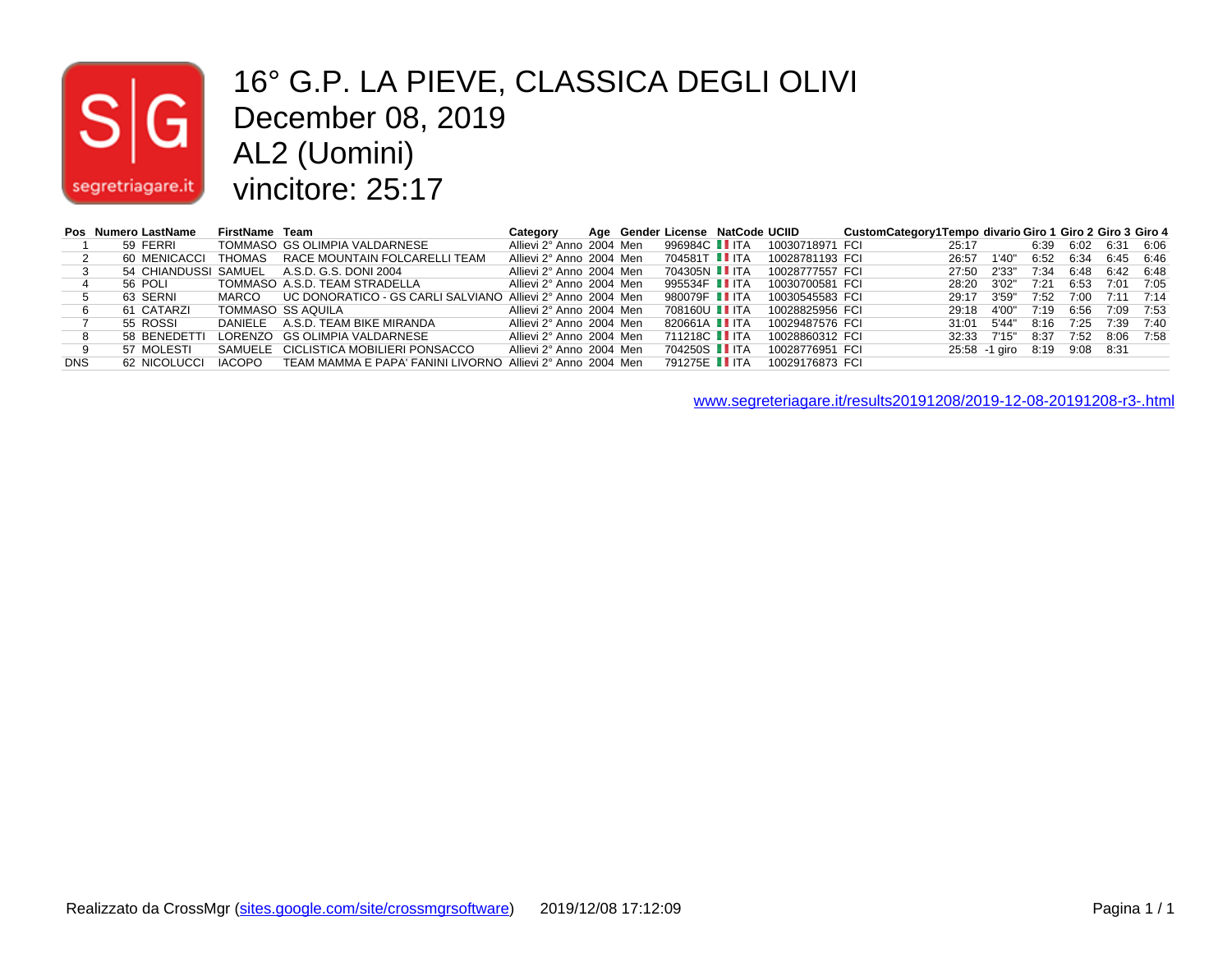# $|S|$ segretriagare.it

#### 16° G.P. LA PIEVE, CLASSICA DEGLI OLIVI December 08, 2019 AL2 (Uomini) vincitore: 25:17

|            | Pos Numero LastName | FirstName Team |                                                            | Category                 |  | Age Gender License NatCode UCIID |                 | CustomCategory1Tempo divario Giro 1 Giro 2 Giro 3 Giro 4 |       |                    |      |      |           |      |
|------------|---------------------|----------------|------------------------------------------------------------|--------------------------|--|----------------------------------|-----------------|----------------------------------------------------------|-------|--------------------|------|------|-----------|------|
|            | 59 FERRI            |                | TOMMASO GS OLIMPIA VALDARNESE                              | Allievi 2° Anno 2004 Men |  | 996984C <b>II</b> ITA            | 10030718971 FCI |                                                          | 25:17 |                    | 6:39 | 6:02 | 6:31      | 6:06 |
|            | 60 MENICACCI        |                | THOMAS RACE MOUNTAIN FOLCARELLI TEAM                       | Allievi 2° Anno 2004 Men |  | 704581T <b>II</b> ITA            | 10028781193 FCI |                                                          | 26:57 | 1'40"              | 6:52 | 6:34 | 6:45      | 6:46 |
|            |                     |                | 54 CHIANDUSSI SAMUEL A.S.D. G.S. DONI 2004                 | Allievi 2° Anno 2004 Men |  | 704305N <b>Ⅱ</b> ITA             | 10028777557 FCI |                                                          | 27:50 | 2'33"              | 7:34 | 6:48 | 6:42      | 6:48 |
|            | 56 POLI             |                | TOMMASO A.S.D. TEAM STRADELLA                              | Allievi 2° Anno 2004 Men |  | 995534F IIITA                    | 10030700581 FCI |                                                          | 28:20 | 3'02"              | 7:21 | 6:53 | 7:01      | 7:05 |
|            | 63 SERNI            | MARCO          | UC DONORATICO - GS CARLI SALVIANO Allievi 2° Anno 2004 Men |                          |  | 980079F II ITA                   | 10030545583 FCI |                                                          | 29:17 | 3'59"              | 7.52 | 7:00 | 7:11      | 7:14 |
|            | 61 CATARZI          |                | TOMMASO SS AQUILA                                          | Allievi 2° Anno 2004 Men |  | 708160U I ITA                    | 10028825956 FCI |                                                          | 29:18 | 4'00"              | 7:19 | 6:56 | 7:09      | 7:53 |
|            | 55 ROSSI            |                | DANIELE A.S.D. TEAM BIKE MIRANDA                           | Allievi 2° Anno 2004 Men |  | 820661A <b>II</b> ITA            | 10029487576 FCI |                                                          | 31:01 | 5'44"              | 8:16 | 7:25 | 7:39      | 7:40 |
|            | 58 BENEDETTI        |                | LORENZO GS OLIMPIA VALDARNESE                              | Allievi 2° Anno 2004 Men |  | 711218C <b>Ⅰ</b> ITA             | 10028860312 FCI |                                                          | 32:33 | 7'15"              | 8:37 | 7:52 | 8:06      | 7:58 |
|            | 57 MOLESTI          |                | SAMUELE CICLISTICA MOBILIERI PONSACCO                      | Allievi 2° Anno 2004 Men |  | 704250S II ITA                   | 10028776951 FCI |                                                          |       | 25:58 -1 giro 8:19 |      |      | 9:08 8:31 |      |
| <b>DNS</b> | 62 NICOLUCCI        | <b>IACOPO</b>  | TEAM MAMMA E PAPA' FANINI LIVORNO Allievi 2° Anno 2004 Men |                          |  | 791275E II ITA                   | 10029176873 FCI |                                                          |       |                    |      |      |           |      |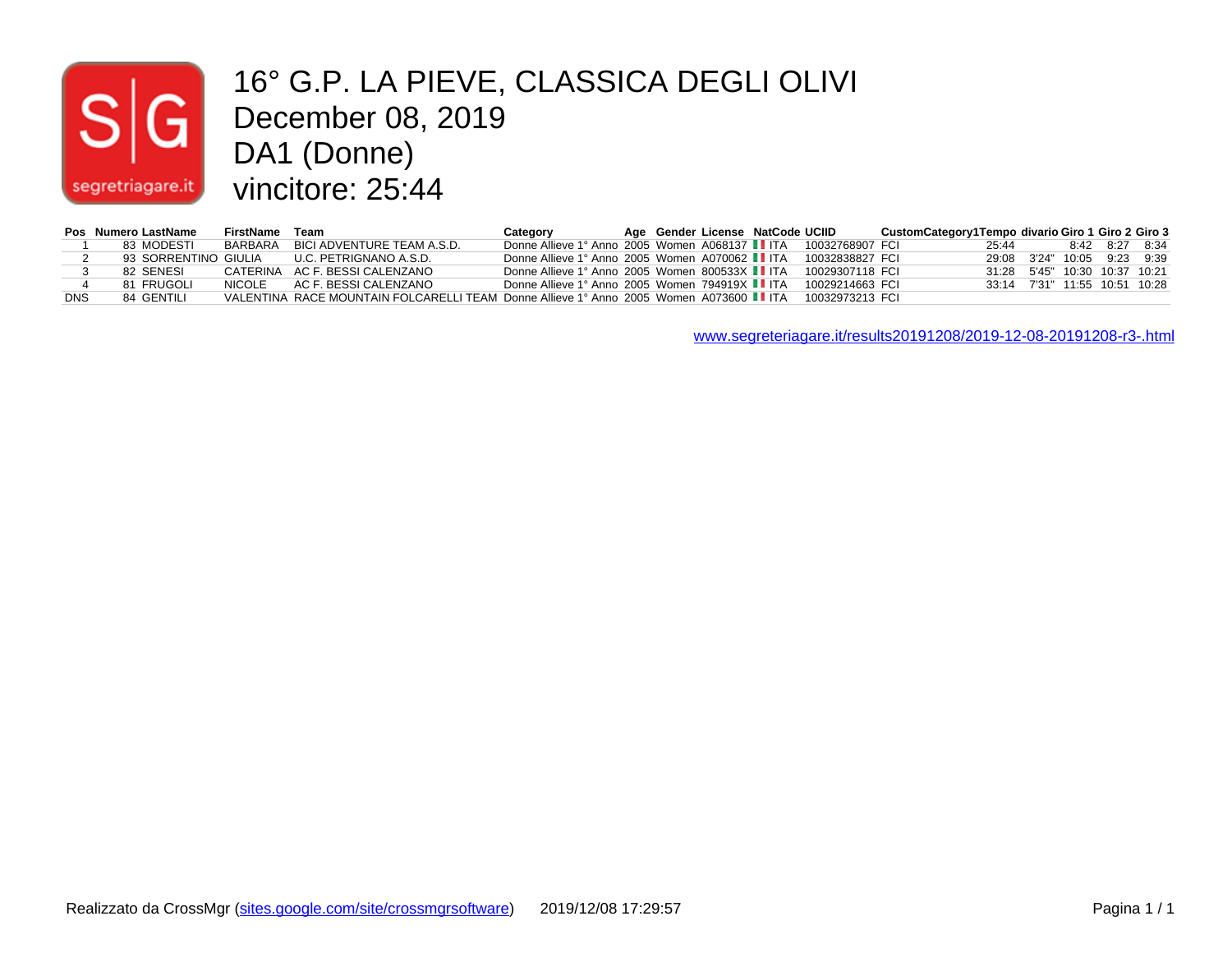# $|\mathsf{s}|$ segretriagare.it

#### 16° G.P. LA PIEVE, CLASSICA DEGLI OLIVI 10° G.P. LA PIEVE,<br>December 08, 2019 DA1 (Donne) vincitore: 25:44

|            | Pos Numero LastName | FirstName | Team                                                                                   | Category                                                        |  | Age Gender License NatCode UCIID |                 | CustomCategory1Tempo divario Giro 1 Giro 2 Giro 3 |                               |  |                |  |
|------------|---------------------|-----------|----------------------------------------------------------------------------------------|-----------------------------------------------------------------|--|----------------------------------|-----------------|---------------------------------------------------|-------------------------------|--|----------------|--|
|            | 83 MODESTI          | BARBARA   | BICI ADVENTURE TEAM A.S.D.                                                             | Donne Allieve 1° Anno 2005 Women A068137 II ITA 10032768907 FCI |  |                                  |                 |                                                   | 25:44                         |  | 8:42 8:27 8:34 |  |
|            |                     |           | 93 SORRENTINO GIULIA U.C. PETRIGNANO A.S.D.                                            | Donne Allieve 1° Anno 2005 Women A070062 I ITA                  |  |                                  | 10032838827 FCL |                                                   | 29:08 3'24" 10:05 9:23 9:39   |  |                |  |
|            | 82 SENESI           |           | CATERINA AC F. BESSI CALENZANO                                                         | Donne Allieve 1° Anno 2005 Women 800533X II ITA                 |  |                                  | 10029307118 FCL |                                                   | 31:28 5'45" 10:30 10:37 10:21 |  |                |  |
|            | 81 FRUGOLI          | NICOI F   | AC F. BESSI CALENZANO                                                                  | Donne Allieve 1° Anno 2005 Women 794919X II ITA                 |  |                                  | 10029214663 FCL |                                                   | 33:14 7'31" 11:55 10:51 10:28 |  |                |  |
| <b>DNS</b> | 84 GENTILI          |           | VALENTINA RACE MOUNTAIN FOLCARELLI TEAM Donne Allieve 1° Anno 2005 Women A073600 I ITA |                                                                 |  |                                  | 10032973213 FCL |                                                   |                               |  |                |  |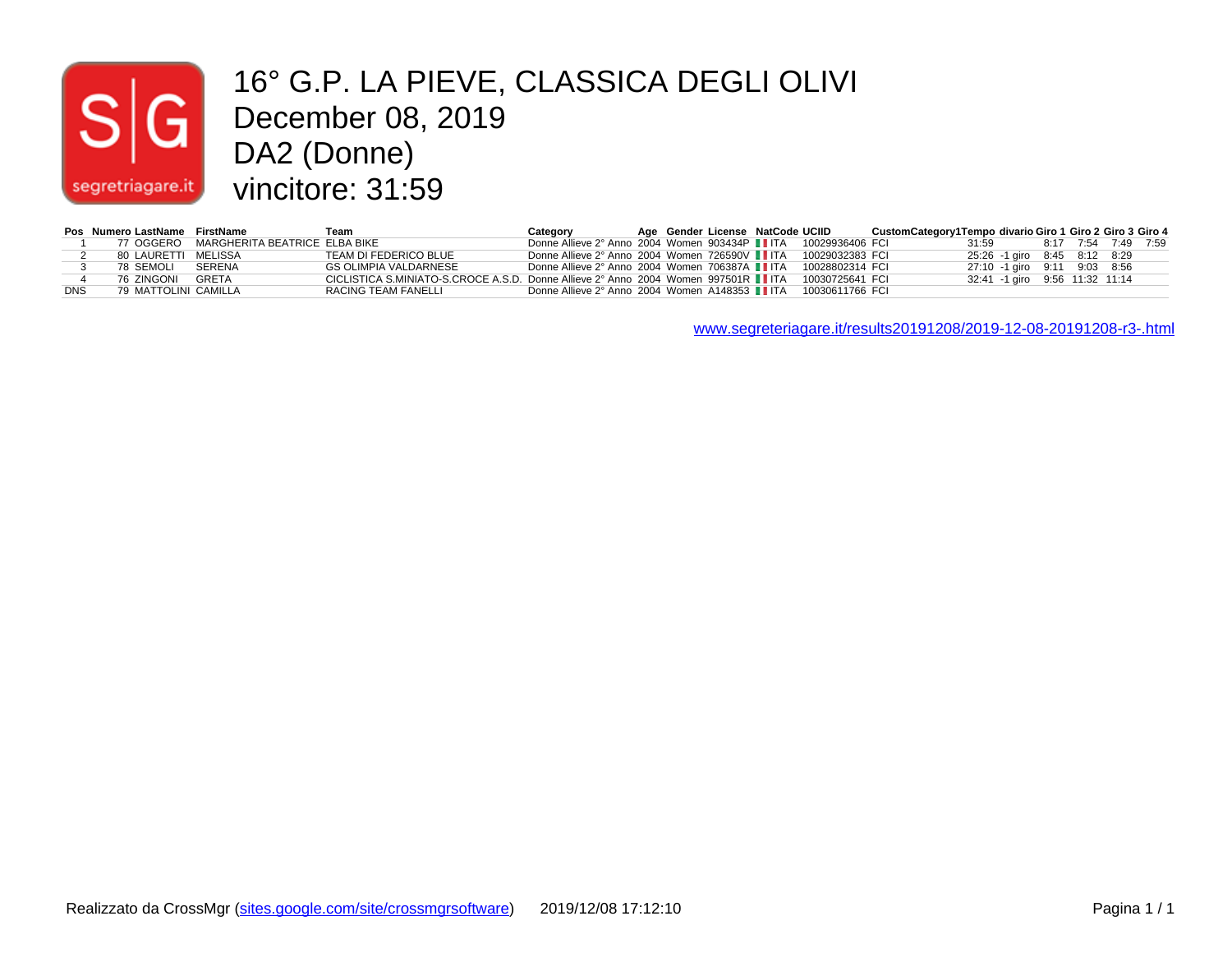## $|\mathsf{S}|$  $|G|$ segretriagare.it

#### 16° G.P. LA PIEVE, CLASSICA DEGLI OLIVI December 08, 2019 DA2 (Donne) vincitore: 31:59

|            | Pos Numero LastName FirstName |                                           | Team                                                                              | Category                                                       |  | Age Gender License NatCode UCIID |                 | CustomCategory1Tempo divario Giro 1 Giro 2 Giro 3 Giro 4 |                                |  |  |
|------------|-------------------------------|-------------------------------------------|-----------------------------------------------------------------------------------|----------------------------------------------------------------|--|----------------------------------|-----------------|----------------------------------------------------------|--------------------------------|--|--|
|            |                               | 77 OGGERO – MARGHERITA BEATRICE ELBA BIKE |                                                                                   | Donne Allieve 2° Anno 2004 Women 903434P IITA 10029936406 FCI  |  |                                  |                 |                                                          | 31:59 8:17 7:54 7:49 7:59      |  |  |
|            | 80 LAURETTI MELISSA           |                                           | TEAM DI FEDERICO BLUE                                                             | Donne Allieve 2° Anno 2004 Women 726590V IIITA 10029032383 FCI |  |                                  |                 |                                                          | 25:26 -1 giro 8:45 8:12 8:29   |  |  |
|            | 78 SEMOLI                     | SERENA                                    | GS OLIMPIA VALDARNESE                                                             | Donne Allieve 2° Anno 2004 Women 706387A   ITA 10028802314 FCI |  |                                  |                 |                                                          | 27:10 -1 giro 9:11 9:03 8:56   |  |  |
|            | 76 ZINGONI GRETA              |                                           | CICLISTICA S.MINIATO-S.CROCE A.S.D. Donne Allieve 2° Anno 2004 Women 997501R IITA |                                                                |  |                                  | 10030725641 FCL |                                                          | 32:41 -1 giro 9:56 11:32 11:14 |  |  |
| <b>DNS</b> | 79 MATTOLINI CAMILLA          |                                           | RACING TEAM FANELLI                                                               | Donne Allieve 2° Anno 2004 Women A148353 ■ ITA 10030611766 FCI |  |                                  |                 |                                                          |                                |  |  |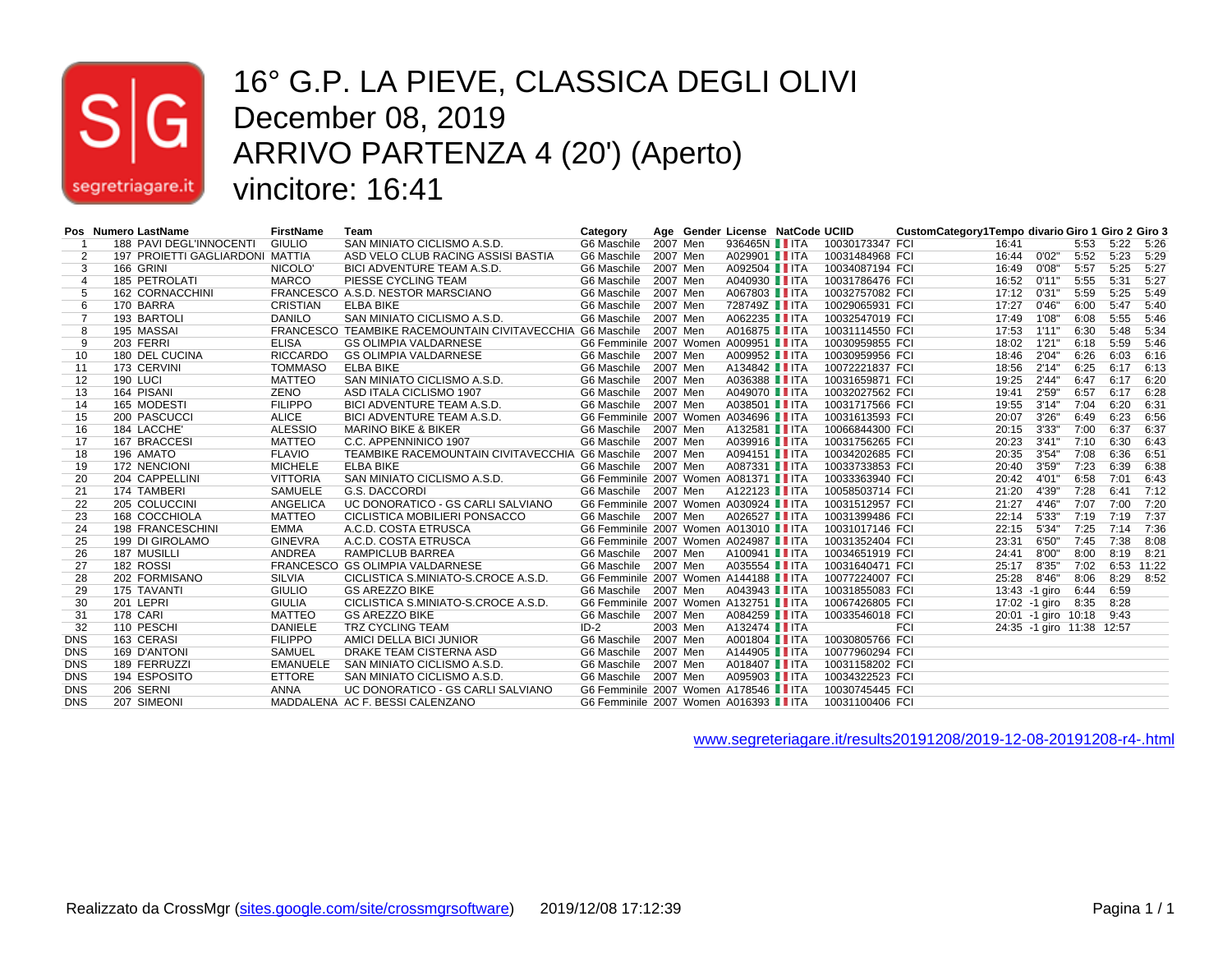

#### 16° G.P. LA PIEVE, CLASSICA DEGLI OLIVI December 08, 2019 ARRIVO PARTENZA 4 (20') (Aperto) vincitore: 16:41

|                | Pos Numero LastName             | <b>FirstName</b> | Team                                                      | Category                             |          | Age Gender License NatCode UCIID |                 | CustomCategory1Tempo divario Giro 1 Giro 2 Giro 3 |       |                           |      |      |       |
|----------------|---------------------------------|------------------|-----------------------------------------------------------|--------------------------------------|----------|----------------------------------|-----------------|---------------------------------------------------|-------|---------------------------|------|------|-------|
|                | 188 PAVI DEGL'INNOCENTI         | <b>GIULIO</b>    | SAN MINIATO CICLISMO A.S.D.                               | G6 Maschile                          | 2007 Men | 936465N <b>I</b> ITA             | 10030173347 FCI |                                                   | 16:41 |                           | 5:53 | 5:22 | 5:26  |
| $\overline{2}$ | 197 PROIETTI GAGLIARDONI MATTIA |                  | ASD VELO CLUB RACING ASSISI BASTIA                        | G6 Maschile                          | 2007 Men | A029901 <b>I</b> ITA             | 10031484968 FCI |                                                   | 16:44 | 0'02"                     | 5:52 | 5:23 | 5:29  |
| 3              | 166 GRINI                       | NICOLO'          | BICI ADVENTURE TEAM A.S.D.                                | G6 Maschile                          | 2007 Men | A092504 TTA                      | 10034087194 FCI |                                                   | 16:49 | 0'08"                     | 5:57 | 5:25 | 5:27  |
| 4              | 185 PETROLATI                   | <b>MARCO</b>     | PIESSE CYCLING TEAM                                       | G6 Maschile                          | 2007 Men | A040930 <b>IIITA</b>             | 10031786476 FCI |                                                   | 16:52 | 0'11"                     | 5:55 | 5:31 | 5:27  |
|                | <b>162 CORNACCHINI</b>          |                  | FRANCESCO A.S.D. NESTOR MARSCIANO                         | G6 Maschile                          | 2007 Men | A067803 TTA                      | 10032757082 FCI |                                                   | 17:12 | 0'31"                     | 5:59 | 5:25 | 5:49  |
| 6              | 170 BARRA                       | <b>CRISTIAN</b>  | <b>ELBA BIKE</b>                                          | G6 Maschile                          | 2007 Men | 728749Z IITA                     | 10029065931 FCI |                                                   | 17:27 | 0'46"                     | 6:00 | 5:47 | 5:40  |
|                | 193 BARTOLI                     | <b>DANILO</b>    | SAN MINIATO CICLISMO A.S.D.                               | G6 Maschile                          | 2007 Men | A062235 TTA                      | 10032547019 FCI |                                                   | 17:49 | 1'08"                     | 6:08 | 5:55 | 5:46  |
| 8              | 195 MASSAI                      |                  | FRANCESCO TEAMBIKE RACEMOUNTAIN CIVITAVECCHIA G6 Maschile |                                      | 2007 Men | A016875 IITA                     | 10031114550 FCI |                                                   | 17:53 | 1'11"                     | 6:30 | 5:48 | 5:34  |
| 9              | 203 FERRI                       | <b>ELISA</b>     | <b>GS OLIMPIA VALDARNESE</b>                              | G6 Femminile 2007 Women A009951 IITA |          |                                  | 10030959855 FCI |                                                   | 18:02 | 1'21"                     | 6:18 | 5:59 | 5:46  |
| 10             | 180 DEL CUCINA                  | <b>RICCARDO</b>  | GS OLIMPIA VALDARNESE                                     | G6 Maschile                          | 2007 Men | A009952 TTA                      | 10030959956 FCI |                                                   | 18:46 | 2'04"                     | 6:26 | 6:03 | 6:16  |
| 11             | 173 CERVINI                     | <b>TOMMASO</b>   | <b>ELBA BIKE</b>                                          | G6 Maschile                          | 2007 Men | A134842 IITA                     | 10072221837 FCI |                                                   | 18:56 | 2'14"                     | 6:25 | 6:17 | 6:13  |
| 12             | 190 LUCI                        | <b>MATTEO</b>    | SAN MINIATO CICLISMO A.S.D.                               | G6 Maschile                          | 2007 Men | A036388 TTA                      | 10031659871 FCI |                                                   | 19:25 | 2'44"                     | 6:47 | 6:17 | 6:20  |
| 13             | 164 PISANI                      | <b>ZENO</b>      | ASD ITALA CICLISMO 1907                                   | G6 Maschile                          | 2007 Men | A049070 <b>II</b> ITA            | 10032027562 FCI |                                                   | 19:41 | 2'59"                     | 6:57 | 6:17 | 6:28  |
| 14             | 165 MODESTI                     | <b>FILIPPO</b>   | BICI ADVENTURE TEAM A.S.D.                                | G6 Maschile                          | 2007 Men | A038501 IITA                     | 10031717566 FCI |                                                   | 19:55 | 3'14"                     | 7:04 | 6:20 | 6:31  |
| 15             | 200 PASCUCCI                    | <b>ALICE</b>     | BICI ADVENTURE TEAM A.S.D.                                | G6 Femminile 2007 Women A034696 IITA |          |                                  | 10031613593 FCI |                                                   | 20:07 | 3'26"                     | 6:49 | 6:23 | 6:56  |
| 16             | 184 LACCHE'                     | <b>ALESSIO</b>   | <b>MARINO BIKE &amp; BIKER</b>                            | G6 Maschile                          | 2007 Men | A132581 IITA                     | 10066844300 FCI |                                                   | 20:15 | 3'33"                     | 7:00 | 6:37 | 6:37  |
| 17             | 167 BRACCESI                    | <b>MATTEO</b>    | C.C. APPENNINICO 1907                                     | G6 Maschile                          | 2007 Men | A039916 <b>II</b> ITA            | 10031756265 FCI |                                                   | 20:23 | 3'41"                     | 7:10 | 6:30 | 6:43  |
| 18             | 196 AMATO                       | <b>FLAVIO</b>    | TEAMBIKE RACEMOUNTAIN CIVITAVECCHIA G6 Maschile           |                                      | 2007 Men | A094151 <b>II</b> ITA            | 10034202685 FCI |                                                   | 20:35 | 3'54"                     | 7:08 | 6:36 | 6:51  |
| 19             | 172 NENCIONI                    | <b>MICHELE</b>   | <b>ELBA BIKE</b>                                          | G6 Maschile                          | 2007 Men | A087331 TH                       | 10033733853 FCI |                                                   | 20:40 | 3'59"                     | 7:23 | 6:39 | 6:38  |
| 20             | 204 CAPPELLINI                  | <b>VITTORIA</b>  | SAN MINIATO CICLISMO A.S.D.                               | G6 Femminile 2007 Women A081371 IITA |          |                                  | 10033363940 FCI |                                                   | 20:42 | 4'01"                     | 6:58 | 7:01 | 6:43  |
| 21             | 174 TAMBERI                     | SAMUELE          | G.S. DACCORDI                                             | G6 Maschile 2007 Men                 |          | A122123 <b>I</b> ITA             | 10058503714 FCI |                                                   | 21:20 | 4'39"                     | 7:28 | 6:41 | 7:12  |
| 22             | 205 COLUCCINI                   | ANGELICA         | UC DONORATICO - GS CARLI SALVIANO                         | G6 Femminile 2007 Women A030924 IITA |          |                                  | 10031512957 FCI |                                                   | 21:27 | 4'46"                     | 7:07 | 7:00 | 7:20  |
| 23             | 168 COCCHIOLA                   | <b>MATTEO</b>    | CICLISTICA MOBILIERI PONSACCO                             | G6 Maschile 2007 Men                 |          | A026527 I ITA                    | 10031399486 FCI |                                                   | 22:14 | 5'33"                     | 7:19 | 7:19 | 7:37  |
| 24             | 198 FRANCESCHINI                | EMMA             | A.C.D. COSTA ETRUSCA                                      | G6 Femminile 2007 Women A013010 IITA |          |                                  | 10031017146 FCI |                                                   | 22:15 | 5'34"                     | 7:25 | 7:14 | 7:36  |
| 25             | 199 DI GIROLAMO                 | <b>GINEVRA</b>   | A.C.D. COSTA ETRUSCA                                      | G6 Femminile 2007 Women A024987 IITA |          |                                  | 10031352404 FCI |                                                   | 23:31 | 6'50"                     | 7:45 | 7:38 | 8:08  |
| 26             | 187 MUSILLI                     | <b>ANDREA</b>    | <b>RAMPICLUB BARREA</b>                                   | G6 Maschile 2007 Men                 |          | A100941 <b>II</b> ITA            | 10034651919 FCI |                                                   | 24:41 | 8'00"                     | 8:00 | 8:19 | 8:21  |
| 27             | 182 ROSSI                       |                  | FRANCESCO GS OLIMPIA VALDARNESE                           | G6 Maschile 2007 Men                 |          | A035554 IITA                     | 10031640471 FCI |                                                   | 25:17 | 8'35"                     | 7:02 | 6:53 | 11:22 |
| 28             | 202 FORMISANO                   | <b>SILVIA</b>    | CICLISTICA S.MINIATO-S.CROCE A.S.D.                       | G6 Femminile 2007 Women A144188 IITA |          |                                  | 10077224007 FCI |                                                   | 25:28 | 8'46"                     | 8:06 | 8:29 | 8:52  |
| 29             | 175 TAVANTI                     | <b>GIULIO</b>    | <b>GS AREZZO BIKE</b>                                     | G6 Maschile 2007 Men                 |          | A043943 TTA                      | 10031855083 FCI |                                                   |       | 13:43 -1 giro             | 6:44 | 6:59 |       |
| 30             | 201 LEPRI                       | <b>GIULIA</b>    | CICLISTICA S.MINIATO-S.CROCE A.S.D.                       | G6 Femminile 2007 Women A132751 IITA |          |                                  | 10067426805 FCI |                                                   |       | 17:02 -1 giro             | 8:35 | 8:28 |       |
| 31             | 178 CARI                        | <b>MATTEO</b>    | <b>GS AREZZO BIKE</b>                                     | G6 Maschile                          | 2007 Men | A084259 I ITA                    | 10033546018 FCI |                                                   |       | 20:01 -1 giro 10:18       |      | 9:43 |       |
| 32             | 110 PESCHI                      | <b>DANIELE</b>   | <b>TRZ CYCLING TEAM</b>                                   | $ID-2$                               | 2003 Men | A132474 <b>II</b> ITA            |                 | <b>FCI</b>                                        |       | 24:35 -1 giro 11:38 12:57 |      |      |       |
| <b>DNS</b>     | 163 CERASI                      | <b>FILIPPO</b>   | AMICI DELLA BICI JUNIOR                                   | G6 Maschile                          | 2007 Men | A001804 <b>I</b> ITA             | 10030805766 FCI |                                                   |       |                           |      |      |       |
| <b>DNS</b>     | 169 D'ANTONI                    | SAMUEL           | DRAKE TEAM CISTERNA ASD                                   | G6 Maschile                          | 2007 Men | A144905 IITA                     | 10077960294 FCI |                                                   |       |                           |      |      |       |
| <b>DNS</b>     | 189 FERRUZZI                    | <b>EMANUELE</b>  | SAN MINIATO CICLISMO A.S.D.                               | G6 Maschile                          | 2007 Men | A018407 IITA                     | 10031158202 FCI |                                                   |       |                           |      |      |       |
| <b>DNS</b>     | 194 ESPOSITO                    | <b>ETTORE</b>    | SAN MINIATO CICLISMO A.S.D.                               | G6 Maschile                          | 2007 Men | A095903 IIITA                    | 10034322523 FCI |                                                   |       |                           |      |      |       |
| <b>DNS</b>     | 206 SERNI                       | <b>ANNA</b>      | UC DONORATICO - GS CARLI SALVIANO                         | G6 Femminile 2007 Women A178546 IITA |          |                                  | 10030745445 FCI |                                                   |       |                           |      |      |       |
| <b>DNS</b>     | 207 SIMEONI                     |                  | MADDALENA AC F. BESSI CALENZANO                           | G6 Femminile 2007 Women A016393 IITA |          |                                  | 10031100406 FCI |                                                   |       |                           |      |      |       |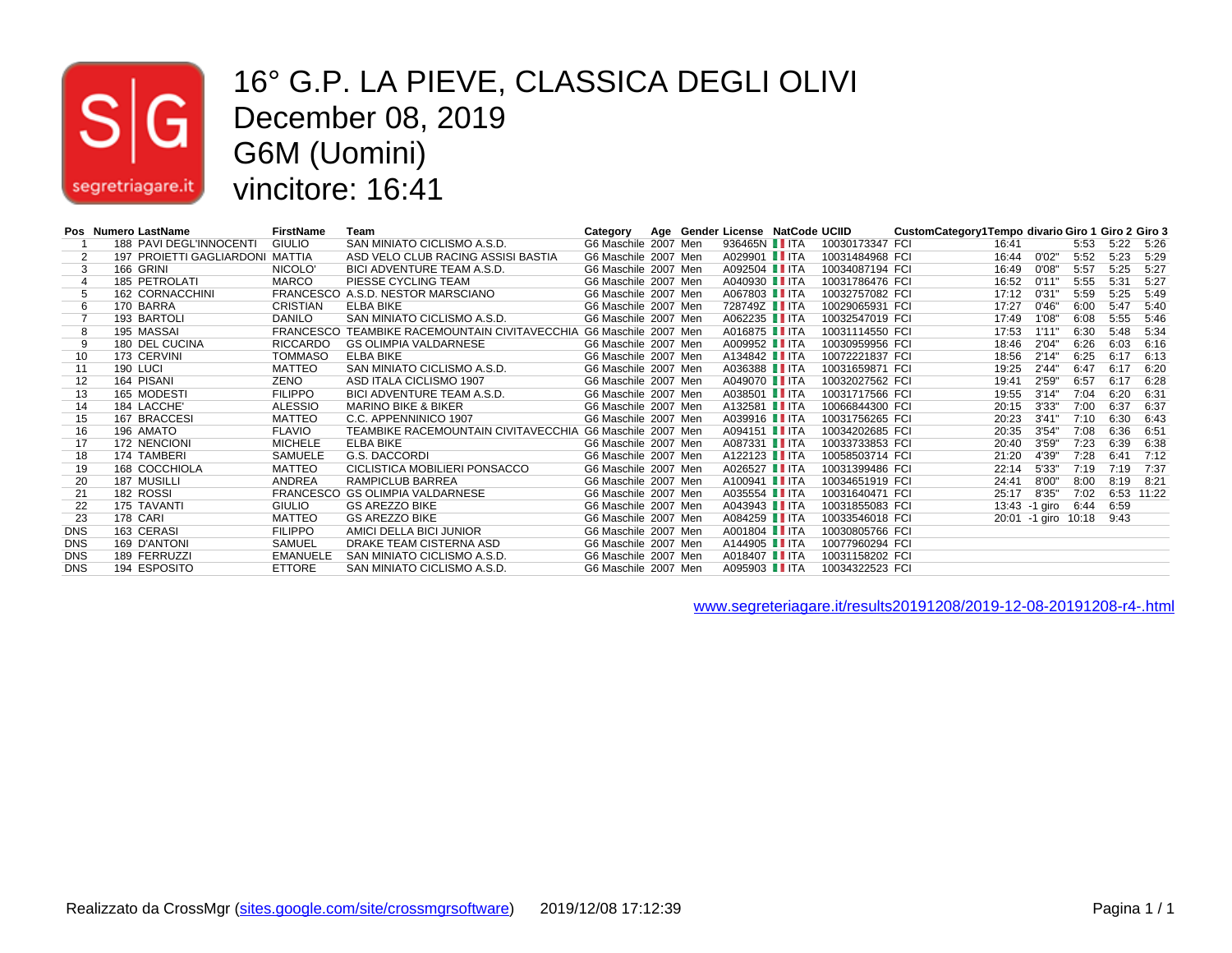

#### 16° G.P. LA PIEVE, CLASSICA DEGLI OLIVI December 08, 2019 G6M (Uomini) vincitore: 16:41

|            | Pos Numero LastName             | <b>FirstName</b> | Team                                                               | Category             |  | Age Gender License NatCode UCIID |                 | CustomCategory1Tempo divario Giro 1 Giro 2 Giro 3 |       |                     |      |      |       |
|------------|---------------------------------|------------------|--------------------------------------------------------------------|----------------------|--|----------------------------------|-----------------|---------------------------------------------------|-------|---------------------|------|------|-------|
|            | 188 PAVI DEGL'INNOCENTI         | <b>GIULIO</b>    | SAN MINIATO CICLISMO A.S.D.                                        | G6 Maschile 2007 Men |  | 936465N I ITA                    | 10030173347 FCI |                                                   | 16:41 |                     | 5:53 | 5:22 | 5:26  |
|            | 197 PROJETTI GAGLIARDONI MATTIA |                  | ASD VELO CLUB RACING ASSISI BASTIA                                 | G6 Maschile 2007 Men |  | A029901 ITA                      | 10031484968 FCI |                                                   | 16:44 | 0'02"               | 5:52 | 5:23 | 5:29  |
| 3          | 166 GRINI                       | NICOLO'          | BICI ADVENTURE TEAM A.S.D.                                         | G6 Maschile 2007 Men |  | A092504 TTA                      | 10034087194 FCI |                                                   | 16:49 | 0'08"               | 5:57 | 5:25 | 5:27  |
| 4          | 185 PETROLATI                   | MARCO            | PIESSE CYCLING TEAM                                                | G6 Maschile 2007 Men |  | A040930 <b>I</b> ITA             | 10031786476 FCI |                                                   | 16:52 | 0'11"               | 5:55 | 5:31 | 5:27  |
|            | 162 CORNACCHINI                 |                  | FRANCESCO A.S.D. NESTOR MARSCIANO                                  | G6 Maschile 2007 Men |  | A067803 IITA                     | 10032757082 FCI |                                                   | 17:12 | 0'31'               | 5:59 | 5:25 | 5:49  |
| 6          | 170 BARRA                       | CRISTIAN         | ELBA BIKE                                                          | G6 Maschile 2007 Men |  | 728749Z IITA                     | 10029065931 FCI |                                                   | 17:27 | 0'46"               | 6:00 | 5:47 | 5:40  |
|            | 193 BARTOLI                     | DANILO           | SAN MINIATO CICLISMO A.S.D.                                        | G6 Maschile 2007 Men |  | A062235 I ITA                    | 10032547019 FCI |                                                   | 17:49 | 1'08'               | 6:08 | 5:55 | 5:46  |
| 8          | 195 MASSAI                      |                  | FRANCESCO TEAMBIKE RACEMOUNTAIN CIVITAVECCHIA G6 Maschile 2007 Men |                      |  | A016875 IITA                     | 10031114550 FCI |                                                   | 17:53 | 1'11'               | 6:30 | 5:48 | 5:34  |
| 9          | 180 DEL CUCINA                  | RICCARDO         | <b>GS OLIMPIA VALDARNESE</b>                                       | G6 Maschile 2007 Men |  | A009952 <b>I</b> ITA             | 10030959956 FCI |                                                   | 18:46 | 2'04"               | 6:26 | 6:03 | 6:16  |
| 10         | 173 CERVINI                     | <b>TOMMASO</b>   | ELBA BIKE                                                          | G6 Maschile 2007 Men |  | A134842 <b>I</b> ITA             | 10072221837 FCI |                                                   | 18:56 | 2'14"               | 6:25 | 6:17 | 6:13  |
| 11         | 190 LUCI                        | MATTEO           | SAN MINIATO CICLISMO A.S.D.                                        | G6 Maschile 2007 Men |  | A036388 I ITA                    | 10031659871 FCI |                                                   | 19:25 | 2'44'               | 6:47 | 6:17 | 6:20  |
| 12         | 164 PISANI                      | ZENO             | ASD ITALA CICLISMO 1907                                            | G6 Maschile 2007 Men |  | A049070 <b>I</b> ITA             | 10032027562 FCI |                                                   | 19:41 | 2'59"               | 6:57 | 6:17 | 6:28  |
| 13         | 165 MODESTI                     | <b>FILIPPO</b>   | <b>BICI ADVENTURE TEAM A.S.D.</b>                                  | G6 Maschile 2007 Men |  | A038501 TH                       | 10031717566 FCI |                                                   | 19:55 | 3'14"               | 7:04 | 6:20 | 6:31  |
| 14         | 184 LACCHE'                     | ALESSIO          | <b>MARINO BIKE &amp; BIKER</b>                                     | G6 Maschile 2007 Men |  | A132581 ITA                      | 10066844300 FCI |                                                   | 20:15 | 3'33'               | 7:00 | 6:37 | 6:37  |
| 15         | 167 BRACCESI                    | MATTEO           | C.C. APPENNINICO 1907                                              | G6 Maschile 2007 Men |  | A039916 IITA                     | 10031756265 FCI |                                                   | 20:23 | 3'41"               | 7:10 | 6:30 | 6:43  |
| 16         | 196 AMATO                       | <b>FLAVIO</b>    | TEAMBIKE RACEMOUNTAIN CIVITAVECCHIA                                | G6 Maschile 2007 Men |  | A094151 TH                       | 10034202685 FCI |                                                   | 20:35 | 3'54'               | 7:08 | 6:36 | 6:51  |
| 17         | 172 NENCIONI                    | <b>MICHELE</b>   | ELBA BIKE                                                          | G6 Maschile 2007 Men |  | A087331 ITA                      | 10033733853 FCI |                                                   | 20:40 | 3'59''              | 7:23 | 6:39 | 6:38  |
| 18         | 174 TAMBERI                     | SAMUELE          | G.S. DACCORDI                                                      | G6 Maschile 2007 Men |  | A122123 <b>III</b> TA            | 10058503714 FCI |                                                   | 21:20 | 4'39"               | 7:28 | 6:41 | 7:12  |
| 19         | 168 COCCHIOLA                   | MATTEO           | CICLISTICA MOBILIERI PONSACCO                                      | G6 Maschile 2007 Men |  | A026527 I ITA                    | 10031399486 FCI |                                                   | 22:14 | 5'33'               | 7:19 | 7:19 | 7:37  |
| 20         | 187 MUSILLI                     | ANDREA           | RAMPICLUB BARREA                                                   | G6 Maschile 2007 Men |  | A100941 <b>I</b> ITA             | 10034651919 FCI |                                                   | 24:41 | 8'00"               | 8:00 | 8:19 | 8:21  |
| 21         | 182 ROSSI                       |                  | FRANCESCO GS OLIMPIA VALDARNESE                                    | G6 Maschile 2007 Men |  | A035554 <b>II</b> ITA            | 10031640471 FCI |                                                   | 25:17 | 8'35"               | 7:02 | 6:53 | 11:22 |
| 22         | 175 TAVANTI                     | <b>GIULIO</b>    | <b>GS AREZZO BIKE</b>                                              | G6 Maschile 2007 Men |  | A043943   ITA                    | 10031855083 FCI |                                                   |       | 13:43 -1 giro       | 6:44 | 6:59 |       |
| 23         | 178 CARI                        | MATTEO           | <b>GS AREZZO BIKE</b>                                              | G6 Maschile 2007 Men |  | A084259 I ITA                    | 10033546018 FCI |                                                   |       | 20:01 -1 giro 10:18 |      | 9:43 |       |
| <b>DNS</b> | 163 CERASI                      | <b>FILIPPO</b>   | AMICI DELLA BICI JUNIOR                                            | G6 Maschile 2007 Men |  | A001804 TTA                      | 10030805766 FCI |                                                   |       |                     |      |      |       |
| <b>DNS</b> | 169 D'ANTONI                    | SAMUEL           | DRAKE TEAM CISTERNA ASD                                            | G6 Maschile 2007 Men |  | A144905 IITA                     | 10077960294 FCI |                                                   |       |                     |      |      |       |
| <b>DNS</b> | 189 FERRUZZI                    | <b>EMANUELE</b>  | SAN MINIATO CICLISMO A.S.D.                                        | G6 Maschile 2007 Men |  | A018407 <b>III</b> TA            | 10031158202 FCI |                                                   |       |                     |      |      |       |
| <b>DNS</b> | 194 ESPOSITO                    | <b>ETTORE</b>    | SAN MINIATO CICLISMO A.S.D.                                        | G6 Maschile 2007 Men |  | A095903 TTA                      | 10034322523 FCI |                                                   |       |                     |      |      |       |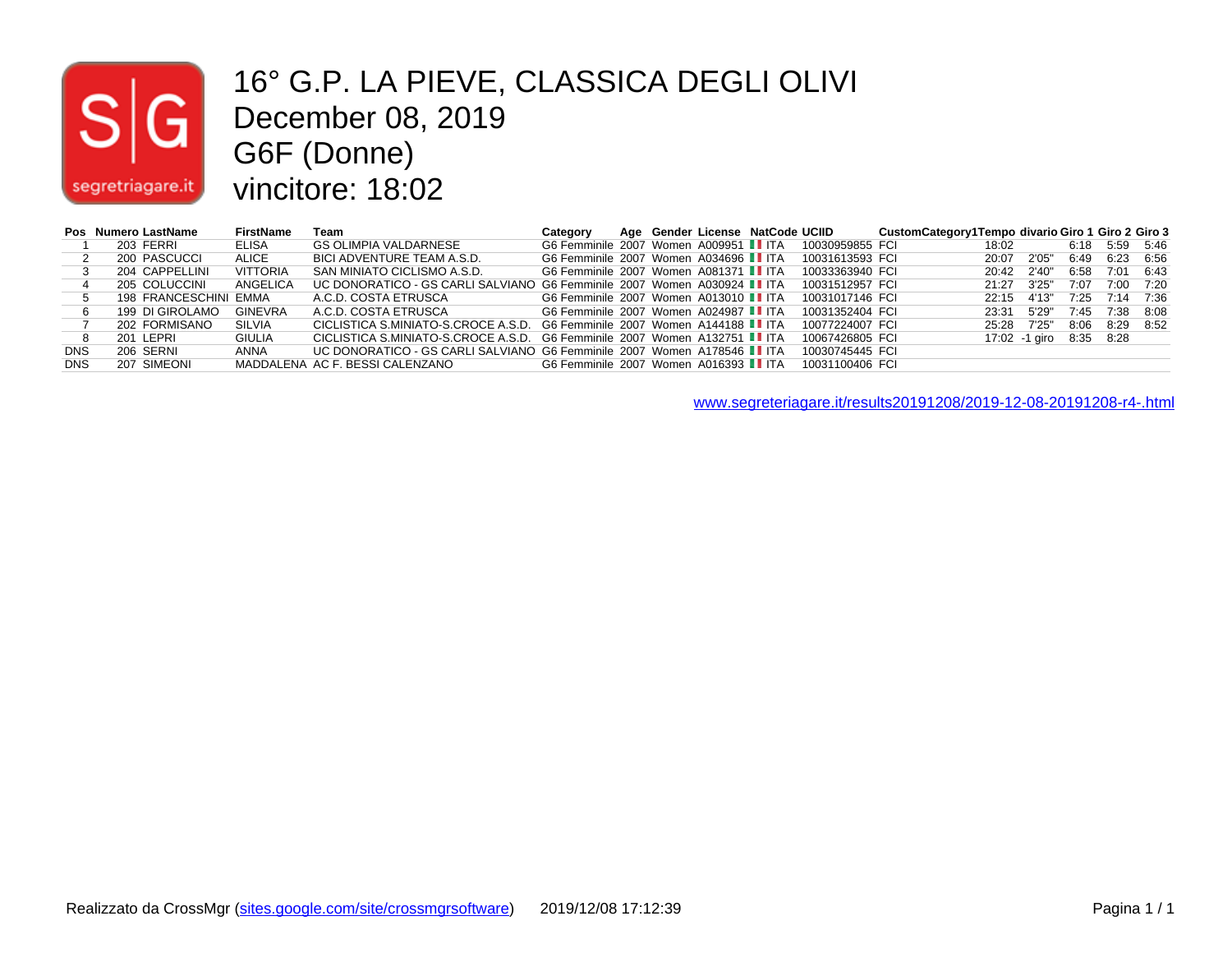

#### 16° G.P. LA PIEVE, CLASSICA DEGLI OLIVI December 08, 2019 G6F (Donne) vincitore: 18:02

| Pos        | Numero LastName       | <b>FirstName</b> | Team                                                                           | Category                               |  | Age Gender License NatCode UCIID |                 | CustomCategory1Tempo divario Giro 1 Giro 2 Giro 3 |             |               |      |      |      |
|------------|-----------------------|------------------|--------------------------------------------------------------------------------|----------------------------------------|--|----------------------------------|-----------------|---------------------------------------------------|-------------|---------------|------|------|------|
|            | 203 FERRI             | ELISA            | <b>GS OLIMPIA VALDARNESE</b>                                                   | G6 Femminile 2007 Women A009951 II ITA |  |                                  | 10030959855 FCI |                                                   | 18:02       |               | 6:18 | 5:59 | 5:46 |
|            | 200 PASCUCCI          | ALICE            | BICI ADVENTURE TEAM A.S.D.                                                     | G6 Femminile 2007 Women A034696 I ITA  |  |                                  | 10031613593 FCI |                                                   | 20:07       | 2'05"         | 6:49 | 6:23 | 6:56 |
|            | 204 CAPPELLINI        | <b>VITTORIA</b>  | SAN MINIATO CICLISMO A.S.D.                                                    | G6 Femminile 2007 Women A081371 II ITA |  |                                  | 10033363940 FCI |                                                   | 20:42       | 2'40"         | 6:58 | 7:01 | 6:43 |
|            | 205 COLUCCINI         | ANGELICA         | UC DONORATICO - GS CARLI SALVIANO G6 Femminile 2007 Women A030924 <b>■</b> ITA |                                        |  |                                  | 10031512957 FCI |                                                   | 21.27       | 3'25"         | 7:07 | 7:00 | 7:20 |
|            | 198 FRANCESCHINI EMMA |                  | A.C.D. COSTA ETRUSCA                                                           | G6 Femminile 2007 Women A013010 ITA    |  |                                  | 10031017146 FCI |                                                   | 22.15       | 4'13"         | 7:25 | 7:14 | 7:36 |
|            | 199 DI GIROLAMO       | <b>GINEVRA</b>   | A.C.D. COSTA ETRUSCA                                                           | G6 Femminile 2007 Women A024987 II ITA |  |                                  | 10031352404 FCI |                                                   | 23:31       | 5'29"         | 7:45 | 7:38 | 8:08 |
|            | 202 FORMISANO         | SILVIA           | CICLISTICA S.MINIATO-S.CROCE A.S.D. G6 Femminile 2007 Women A144188 ■ ITA      |                                        |  |                                  | 10077224007 FCI |                                                   | 25:28 7'25" |               | 8:06 | 8:29 | 8:52 |
|            | 201 LEPRI             | <b>GIULIA</b>    | CICLISTICA S.MINIATO-S.CROCE A.S.D. G6 Femminile 2007 Women A132751 II ITA     |                                        |  |                                  | 10067426805 FCI |                                                   |             | 17:02 -1 giro | 8:35 | 8:28 |      |
| <b>DNS</b> | 206 SERNI             | ANNA             | UC DONORATICO - GS CARLI SALVIANO G6 Femminile 2007 Women A178546 II ITA       |                                        |  |                                  | 10030745445 FCI |                                                   |             |               |      |      |      |
| <b>DNS</b> | 207 SIMEONI           |                  | MADDALENA AC F. BESSI CALENZANO                                                | G6 Femminile 2007 Women A016393 IIITA  |  |                                  | 10031100406 FCI |                                                   |             |               |      |      |      |